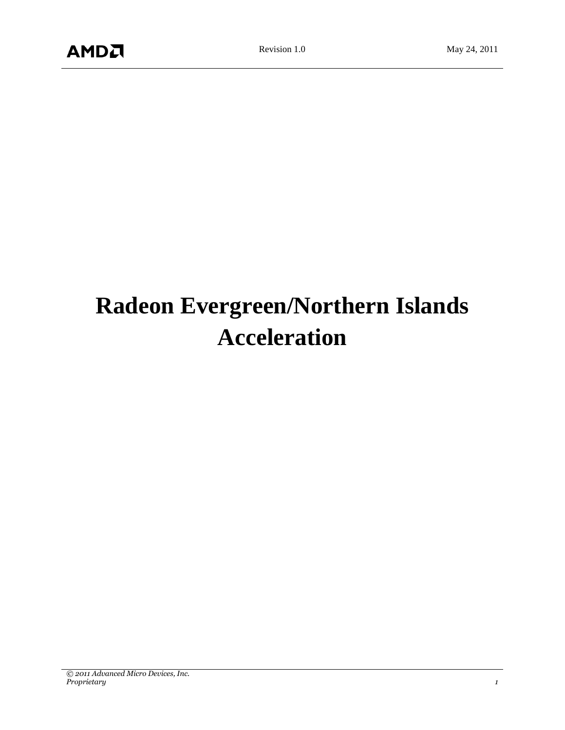# **Radeon Evergreen/Northern Islands Acceleration**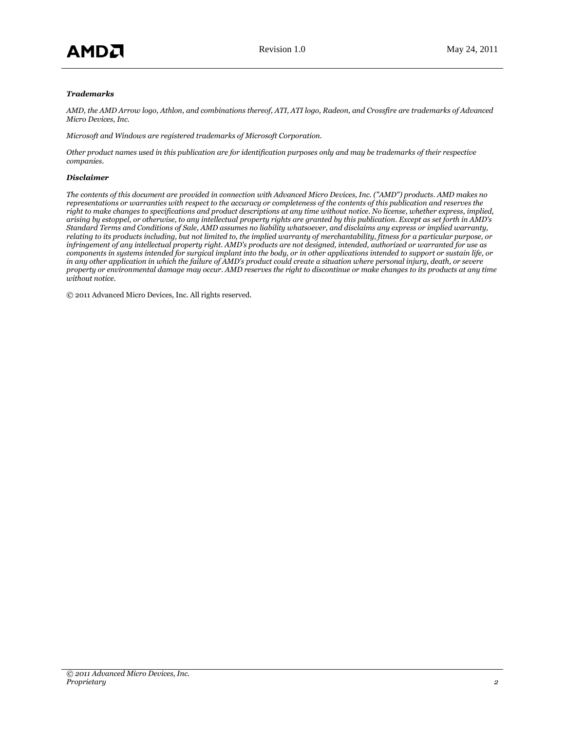#### *Trademarks*

*AMD, the AMD Arrow logo, Athlon, and combinations thereof, ATI, ATI logo, Radeon, and Crossfire are trademarks of Advanced Micro Devices, Inc.*

*Microsoft and Windows are registered trademarks of Microsoft Corporation.*

*Other product names used in this publication are for identification purposes only and may be trademarks of their respective companies.*

#### *Disclaimer*

*The contents of this document are provided in connection with Advanced Micro Devices, Inc. ("AMD") products. AMD makes no representations or warranties with respect to the accuracy or completeness of the contents of this publication and reserves the right to make changes to specifications and product descriptions at any time without notice. No license, whether express, implied, arising by estoppel, or otherwise, to any intellectual property rights are granted by this publication. Except as set forth in AMD's Standard Terms and Conditions of Sale, AMD assumes no liability whatsoever, and disclaims any express or implied warranty, relating to its products including, but not limited to, the implied warranty of merchantability, fitness for a particular purpose, or infringement of any intellectual property right. AMD's products are not designed, intended, authorized or warranted for use as components in systems intended for surgical implant into the body, or in other applications intended to support or sustain life, or in any other application in which the failure of AMD's product could create a situation where personal injury, death, or severe property or environmental damage may occur. AMD reserves the right to discontinue or make changes to its products at any time without notice.*

© 2011 Advanced Micro Devices, Inc. All rights reserved.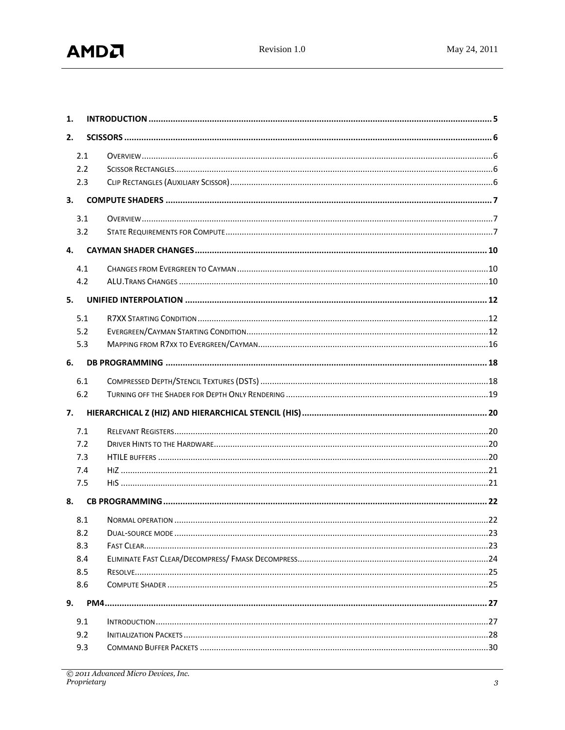| 1.  |  |
|-----|--|
| 2.  |  |
| 2.1 |  |
| 2.2 |  |
| 2.3 |  |
| 3.  |  |
| 3.1 |  |
| 3.2 |  |
| 4.  |  |
| 4.1 |  |
| 4.2 |  |
| 5.  |  |
| 5.1 |  |
| 5.2 |  |
| 5.3 |  |
| 6.  |  |
| 6.1 |  |
| 6.2 |  |
| 7.  |  |
| 7.1 |  |
| 7.2 |  |
| 7.3 |  |
| 7.4 |  |
| 7.5 |  |
| 8.  |  |
| 8.1 |  |
| 8.2 |  |
| 8.3 |  |
| 8.4 |  |
| 8.5 |  |
| 8.6 |  |
| 9.  |  |
| 9.1 |  |
| 9.2 |  |
| 9.3 |  |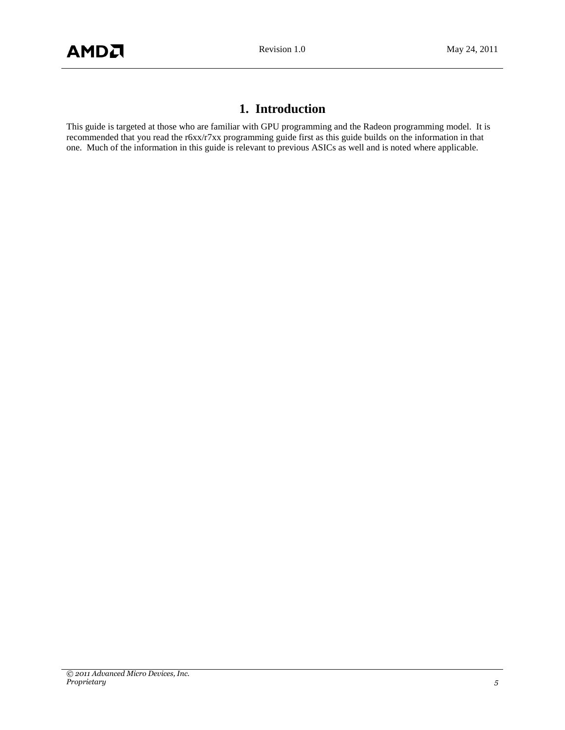# **1. Introduction**

<span id="page-4-0"></span>This guide is targeted at those who are familiar with GPU programming and the Radeon programming model. It is recommended that you read the r6xx/r7xx programming guide first as this guide builds on the information in that one. Much of the information in this guide is relevant to previous ASICs as well and is noted where applicable.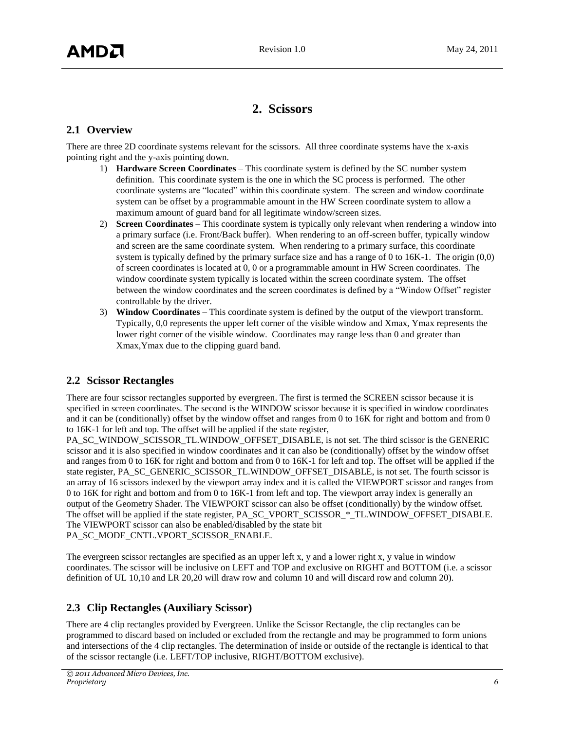# **2. Scissors**

# <span id="page-5-1"></span><span id="page-5-0"></span>**2.1 Overview**

There are three 2D coordinate systems relevant for the scissors. All three coordinate systems have the x-axis pointing right and the y-axis pointing down.

- 1) **Hardware Screen Coordinates** This coordinate system is defined by the SC number system definition. This coordinate system is the one in which the SC process is performed. The other coordinate systems are "located" within this coordinate system. The screen and window coordinate system can be offset by a programmable amount in the HW Screen coordinate system to allow a maximum amount of guard band for all legitimate window/screen sizes.
- 2) **Screen Coordinates** This coordinate system is typically only relevant when rendering a window into a primary surface (i.e. Front/Back buffer). When rendering to an off-screen buffer, typically window and screen are the same coordinate system. When rendering to a primary surface, this coordinate system is typically defined by the primary surface size and has a range of 0 to 16K-1. The origin (0,0) of screen coordinates is located at 0, 0 or a programmable amount in HW Screen coordinates. The window coordinate system typically is located within the screen coordinate system. The offset between the window coordinates and the screen coordinates is defined by a "Window Offset" register controllable by the driver.
- 3) **Window Coordinates** This coordinate system is defined by the output of the viewport transform. Typically, 0,0 represents the upper left corner of the visible window and Xmax, Ymax represents the lower right corner of the visible window. Coordinates may range less than 0 and greater than Xmax,Ymax due to the clipping guard band.

# <span id="page-5-2"></span>**2.2 Scissor Rectangles**

There are four scissor rectangles supported by evergreen. The first is termed the SCREEN scissor because it is specified in screen coordinates. The second is the WINDOW scissor because it is specified in window coordinates and it can be (conditionally) offset by the window offset and ranges from 0 to 16K for right and bottom and from 0 to 16K-1 for left and top. The offset will be applied if the state register,

PA\_SC\_WINDOW\_SCISSOR\_TL.WINDOW\_OFFSET\_DISABLE, is not set. The third scissor is the GENERIC scissor and it is also specified in window coordinates and it can also be (conditionally) offset by the window offset and ranges from 0 to 16K for right and bottom and from 0 to 16K-1 for left and top. The offset will be applied if the state register, PA\_SC\_GENERIC\_SCISSOR\_TL.WINDOW\_OFFSET\_DISABLE, is not set. The fourth scissor is an array of 16 scissors indexed by the viewport array index and it is called the VIEWPORT scissor and ranges from 0 to 16K for right and bottom and from 0 to 16K-1 from left and top. The viewport array index is generally an output of the Geometry Shader. The VIEWPORT scissor can also be offset (conditionally) by the window offset. The offset will be applied if the state register, PA\_SC\_VPORT\_SCISSOR\_\*\_TL.WINDOW\_OFFSET\_DISABLE. The VIEWPORT scissor can also be enabled/disabled by the state bit PA\_SC\_MODE\_CNTL.VPORT\_SCISSOR\_ENABLE.

The evergreen scissor rectangles are specified as an upper left x, y and a lower right x, y value in window coordinates. The scissor will be inclusive on LEFT and TOP and exclusive on RIGHT and BOTTOM (i.e. a scissor definition of UL 10,10 and LR 20,20 will draw row and column 10 and will discard row and column 20).

# <span id="page-5-3"></span>**2.3 Clip Rectangles (Auxiliary Scissor)**

There are 4 clip rectangles provided by Evergreen. Unlike the Scissor Rectangle, the clip rectangles can be programmed to discard based on included or excluded from the rectangle and may be programmed to form unions and intersections of the 4 clip rectangles. The determination of inside or outside of the rectangle is identical to that of the scissor rectangle (i.e. LEFT/TOP inclusive, RIGHT/BOTTOM exclusive).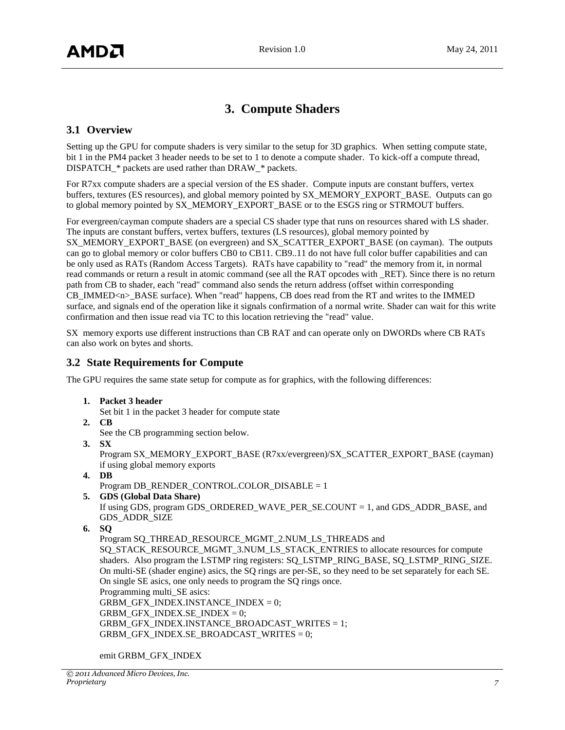# **3. Compute Shaders**

# <span id="page-6-1"></span><span id="page-6-0"></span>**3.1 Overview**

Setting up the GPU for compute shaders is very similar to the setup for 3D graphics. When setting compute state, bit 1 in the PM4 packet 3 header needs to be set to 1 to denote a compute shader. To kick-off a compute thread, DISPATCH\_\* packets are used rather than DRAW\_\* packets.

For R7xx compute shaders are a special version of the ES shader. Compute inputs are constant buffers, vertex buffers, textures (ES resources), and global memory pointed by SX\_MEMORY\_EXPORT\_BASE. Outputs can go to global memory pointed by SX\_MEMORY\_EXPORT\_BASE or to the ESGS ring or STRMOUT buffers.

For evergreen/cayman compute shaders are a special CS shader type that runs on resources shared with LS shader. The inputs are constant buffers, vertex buffers, textures (LS resources), global memory pointed by SX\_MEMORY\_EXPORT\_BASE (on evergreen) and SX\_SCATTER\_EXPORT\_BASE (on cayman). The outputs can go to global memory or color buffers CB0 to CB11. CB9..11 do not have full color buffer capabilities and can be only used as RATs (Random Access Targets). RATs have capability to "read" the memory from it, in normal read commands or return a result in atomic command (see all the RAT opcodes with \_RET). Since there is no return path from CB to shader, each "read" command also sends the return address (offset within corresponding CB IMMED<n>BASE surface). When "read" happens, CB does read from the RT and writes to the IMMED surface, and signals end of the operation like it signals confirmation of a normal write. Shader can wait for this write confirmation and then issue read via TC to this location retrieving the "read" value.

SX memory exports use different instructions than CB RAT and can operate only on DWORDs where CB RATs can also work on bytes and shorts.

# <span id="page-6-2"></span>**3.2 State Requirements for Compute**

The GPU requires the same state setup for compute as for graphics, with the following differences:

**1. Packet 3 header**

Set bit 1 in the packet 3 header for compute state

- **2. CB**
	- See the CB programming section below.
- **3. SX**

Program SX\_MEMORY\_EXPORT\_BASE (R7xx/evergreen)/SX\_SCATTER\_EXPORT\_BASE (cayman) if using global memory exports

**4. DB**

Program DB\_RENDER\_CONTROL.COLOR\_DISABLE = 1

**5. GDS (Global Data Share)**

If using GDS, program GDS\_ORDERED\_WAVE\_PER\_SE.COUNT = 1, and GDS\_ADDR\_BASE, and GDS\_ADDR\_SIZE

```
6. SQ
```
Program SQ\_THREAD\_RESOURCE\_MGMT\_2.NUM\_LS\_THREADS and SO\_STACK\_RESOURCE\_MGMT\_3.NUM\_LS\_STACK\_ENTRIES to allocate resources for compute shaders. Also program the LSTMP ring registers: SQ\_LSTMP\_RING\_BASE, SQ\_LSTMP\_RING\_SIZE. On multi-SE (shader engine) asics, the SQ rings are per-SE, so they need to be set separately for each SE. On single SE asics, one only needs to program the SQ rings once. Programming multi\_SE asics: GRBM\_GFX\_INDEX.INSTANCE\_INDEX = 0; GRBM\_GFX\_INDEX.SE\_INDEX = 0; GRBM\_GFX\_INDEX.INSTANCE\_BROADCAST\_WRITES = 1; GRBM\_GFX\_INDEX.SE\_BROADCAST\_WRITES = 0;

emit GRBM\_GFX\_INDEX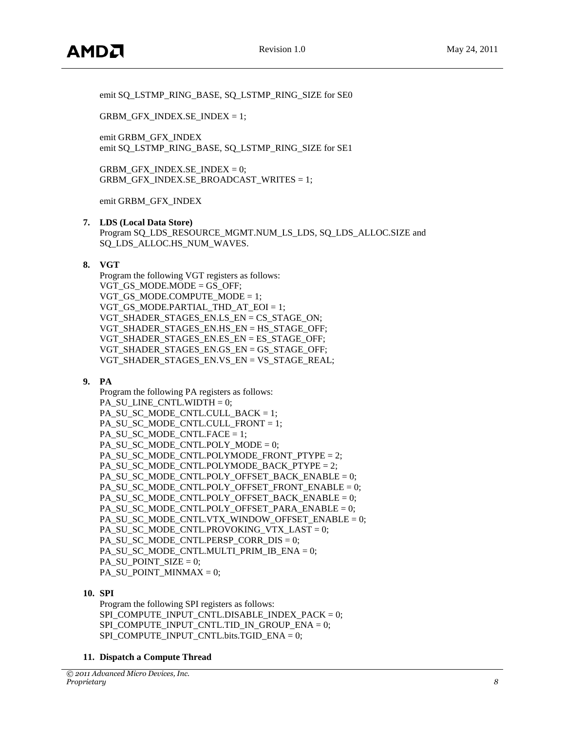emit SQ\_LSTMP\_RING\_BASE, SQ\_LSTMP\_RING\_SIZE for SE0

GRBM\_GFX\_INDEX.SE\_INDEX = 1;

emit GRBM\_GFX\_INDEX emit SQ\_LSTMP\_RING\_BASE, SQ\_LSTMP\_RING\_SIZE for SE1

GRBM\_GFX\_INDEX.SE\_INDEX =  $0$ ; GRBM\_GFX\_INDEX.SE\_BROADCAST\_WRITES = 1;

emit GRBM\_GFX\_INDEX

#### **7. LDS (Local Data Store)**

Program SQ\_LDS\_RESOURCE\_MGMT.NUM\_LS\_LDS, SQ\_LDS\_ALLOC.SIZE and SQ\_LDS\_ALLOC.HS\_NUM\_WAVES.

#### **8. VGT**

Program the following VGT registers as follows: VGT GS MODE.MODE = GS OFF; VGT GS MODE.COMPUTE MODE = 1; VGT\_GS\_MODE.PARTIAL\_THD\_AT\_EOI = 1; VGT\_SHADER\_STAGES\_EN.LS\_EN = CS\_STAGE\_ON; VGT\_SHADER\_STAGES\_EN.HS\_EN = HS\_STAGE\_OFF; VGT\_SHADER\_STAGES\_EN.ES\_EN = ES\_STAGE\_OFF; VGT\_SHADER\_STAGES\_EN.GS\_EN = GS\_STAGE\_OFF; VGT\_SHADER\_STAGES\_EN.VS\_EN = VS\_STAGE\_REAL;

#### **9. PA**

Program the following PA registers as follows: PA\_SU\_LINE\_CNTL.WIDTH = 0; PA\_SU\_SC\_MODE\_CNTL.CULL\_BACK = 1; PA\_SU\_SC\_MODE\_CNTL.CULL\_FRONT = 1; PA\_SU\_SC\_MODE\_CNTL.FACE = 1; PA\_SU\_SC\_MODE\_CNTL.POLY\_MODE = 0; PA\_SU\_SC\_MODE\_CNTL.POLYMODE\_FRONT\_PTYPE = 2; PA\_SU\_SC\_MODE\_CNTL.POLYMODE\_BACK\_PTYPE = 2; PA\_SU\_SC\_MODE\_CNTL.POLY\_OFFSET\_BACK\_ENABLE = 0; PA\_SU\_SC\_MODE\_CNTL.POLY\_OFFSET\_FRONT\_ENABLE = 0; PA\_SU\_SC\_MODE\_CNTL.POLY\_OFFSET\_BACK\_ENABLE = 0; PA\_SU\_SC\_MODE\_CNTL.POLY\_OFFSET\_PARA\_ENABLE =  $0$ ; PA\_SU\_SC\_MODE\_CNTL.VTX\_WINDOW\_OFFSET\_ENABLE = 0; PA\_SU\_SC\_MODE\_CNTL.PROVOKING\_VTX\_LAST = 0; PA\_SU\_SC\_MODE\_CNTL.PERSP\_CORR\_DIS = 0; PA\_SU\_SC\_MODE\_CNTL.MULTI\_PRIM\_IB\_ENA = 0; PA\_SU\_POINT\_SIZE =  $0$ ; PA\_SU\_POINT\_MINMAX = 0;

#### **10. SPI**

Program the following SPI registers as follows: SPI\_COMPUTE\_INPUT\_CNTL.DISABLE\_INDEX\_PACK =  $0$ ; SPI\_COMPUTE\_INPUT\_CNTL.TID\_IN\_GROUP\_ENA =  $0$ : SPI\_COMPUTE\_INPUT\_CNTL.bits.TGID\_ENA = 0;

#### **11. Dispatch a Compute Thread**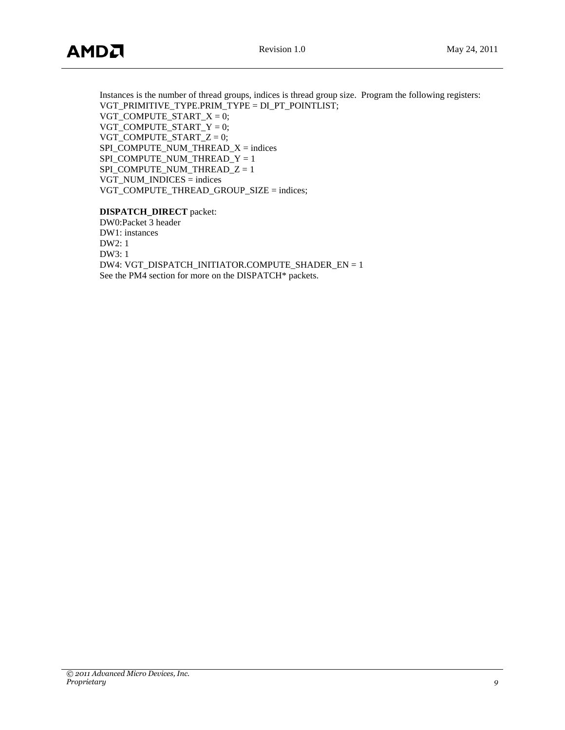Instances is the number of thread groups, indices is thread group size. Program the following registers: VGT\_PRIMITIVE\_TYPE.PRIM\_TYPE = DI\_PT\_POINTLIST; VGT\_COMPUTE\_START\_ $X = 0$ ; VGT\_COMPUTE\_START\_Y = 0; VGT\_COMPUTE\_START\_Z = 0; SPI\_COMPUTE\_NUM\_THREAD\_X = indices SPI\_COMPUTE\_NUM\_THREAD\_Y = 1 SPI\_COMPUTE\_NUM\_THREAD\_Z = 1 VGT\_NUM\_INDICES = indices VGT\_COMPUTE\_THREAD\_GROUP\_SIZE = indices;

#### **DISPATCH\_DIRECT** packet:

DW0:Packet 3 header DW1: instances DW2: 1 DW3: 1 DW4: VGT\_DISPATCH\_INITIATOR.COMPUTE\_SHADER\_EN = 1 See the PM4 section for more on the DISPATCH\* packets.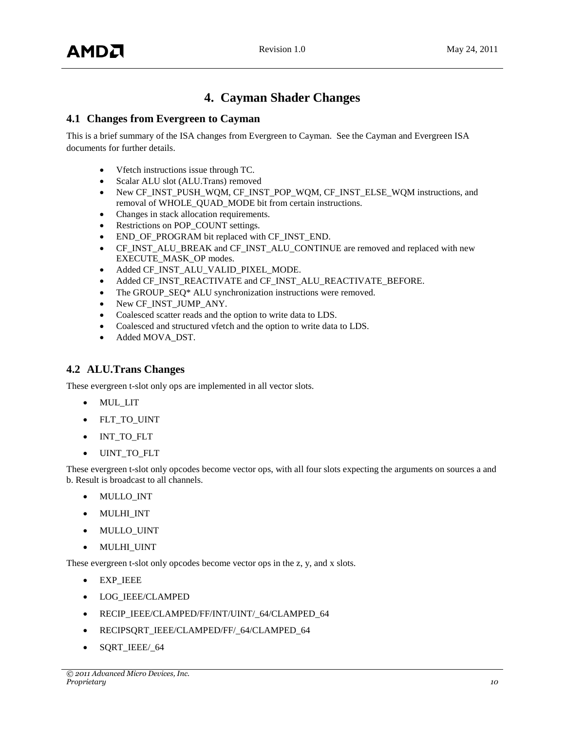# **4. Cayman Shader Changes**

# <span id="page-9-1"></span><span id="page-9-0"></span>**4.1 Changes from Evergreen to Cayman**

This is a brief summary of the ISA changes from Evergreen to Cayman. See the Cayman and Evergreen ISA documents for further details.

- Vfetch instructions issue through TC.
- Scalar ALU slot (ALU.Trans) removed
- New CF\_INST\_PUSH\_WQM, CF\_INST\_POP\_WQM, CF\_INST\_ELSE\_WQM instructions, and removal of WHOLE\_QUAD\_MODE bit from certain instructions.
- Changes in stack allocation requirements.
- Restrictions on POP\_COUNT settings.
- END\_OF\_PROGRAM bit replaced with CF\_INST\_END.
- CF\_INST\_ALU\_BREAK and CF\_INST\_ALU\_CONTINUE are removed and replaced with new EXECUTE\_MASK\_OP modes.
- Added CF\_INST\_ALU\_VALID\_PIXEL\_MODE.
- Added CF\_INST\_REACTIVATE and CF\_INST\_ALU\_REACTIVATE\_BEFORE.
- The GROUP\_SEQ\* ALU synchronization instructions were removed.
- New CF\_INST\_JUMP\_ANY.
- Coalesced scatter reads and the option to write data to LDS.
- Coalesced and structured vfetch and the option to write data to LDS.
- Added MOVA\_DST.

# <span id="page-9-2"></span>**4.2 ALU.Trans Changes**

These evergreen t-slot only ops are implemented in all vector slots.

- MUL\_LIT
- FLT\_TO\_UINT
- INT\_TO\_FLT
- UINT\_TO\_FLT

These evergreen t-slot only opcodes become vector ops, with all four slots expecting the arguments on sources a and b. Result is broadcast to all channels.

- MULLO\_INT
- MULHI INT
- MULLO\_UINT
- MULHI UINT

These evergreen t-slot only opcodes become vector ops in the z, y, and x slots.

- EXP IEEE
- LOG\_IEEE/CLAMPED
- RECIP\_IEEE/CLAMPED/FF/INT/UINT/\_64/CLAMPED\_64
- RECIPSQRT\_IEEE/CLAMPED/FF/\_64/CLAMPED\_64
- SQRT\_IEEE/\_64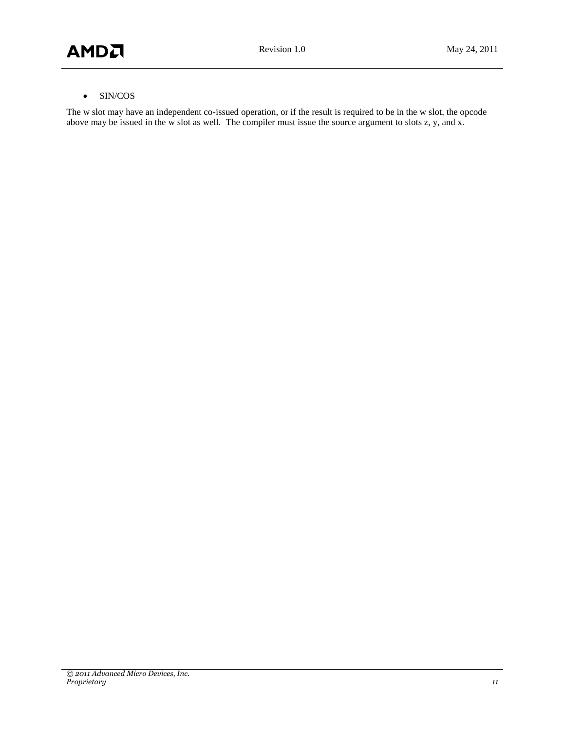### SIN/COS

The w slot may have an independent co-issued operation, or if the result is required to be in the w slot, the opcode above may be issued in the w slot as well. The compiler must issue the source argument to slots z, y, and x.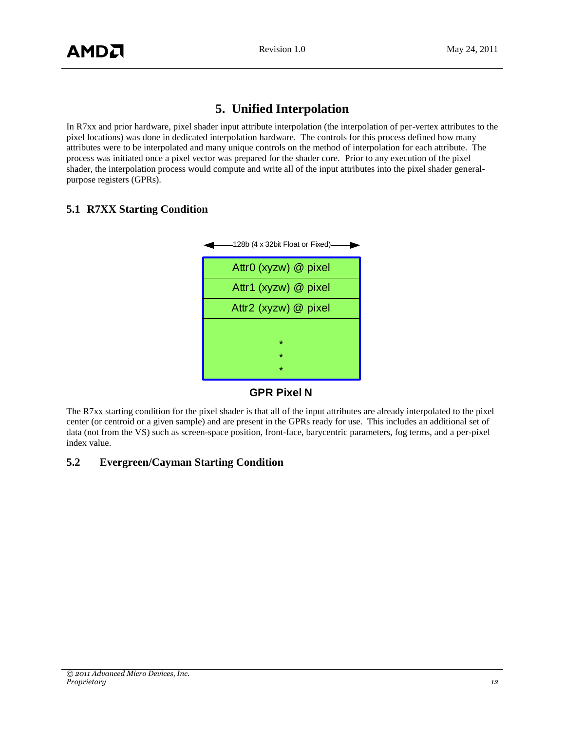# **5. Unified Interpolation**

<span id="page-11-0"></span>In R7xx and prior hardware, pixel shader input attribute interpolation (the interpolation of per-vertex attributes to the pixel locations) was done in dedicated interpolation hardware. The controls for this process defined how many attributes were to be interpolated and many unique controls on the method of interpolation for each attribute. The process was initiated once a pixel vector was prepared for the shader core. Prior to any execution of the pixel shader, the interpolation process would compute and write all of the input attributes into the pixel shader generalpurpose registers (GPRs).

# <span id="page-11-1"></span>**5.1 R7XX Starting Condition**



**GPR Pixel N**

The R7xx starting condition for the pixel shader is that all of the input attributes are already interpolated to the pixel center (or centroid or a given sample) and are present in the GPRs ready for use. This includes an additional set of data (not from the VS) such as screen-space position, front-face, barycentric parameters, fog terms, and a per-pixel index value.

# <span id="page-11-2"></span>**5.2 Evergreen/Cayman Starting Condition**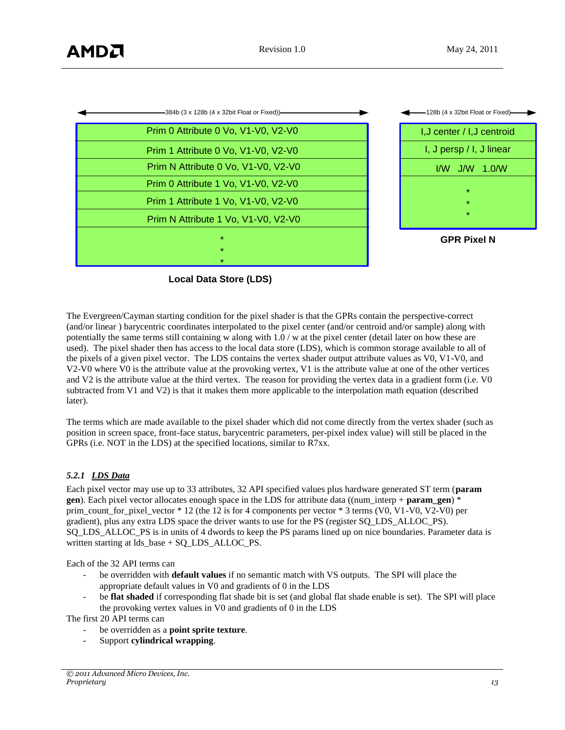| -384b (3 x 128b (4 x 32bit Float or Fixed))- | -128b (4 x 32bit Float or Fixed)- |
|----------------------------------------------|-----------------------------------|
| Prim 0 Attribute 0 Vo, V1-V0, V2-V0          | I, J center / I, J centroid       |
| Prim 1 Attribute 0 Vo, V1-V0, V2-V0          | I, J persp / I, J linear          |
| Prim N Attribute 0 Vo, V1-V0, V2-V0          | $1/W$ J/W 1.0/W                   |
| Prim 0 Attribute 1 Vo, V1-V0, V2-V0          | $\star$                           |
| Prim 1 Attribute 1 Vo, V1-V0, V2-V0          | $\star$                           |
| Prim N Attribute 1 Vo, V1-V0, V2-V0          | $\star$                           |
| $\star$                                      | <b>GPR Pixel N</b>                |
| $\star$                                      |                                   |
| *                                            |                                   |

**Local Data Store (LDS)**

The Evergreen/Cayman starting condition for the pixel shader is that the GPRs contain the perspective-correct (and/or linear ) barycentric coordinates interpolated to the pixel center (and/or centroid and/or sample) along with potentially the same terms still containing w along with 1.0 / w at the pixel center (detail later on how these are used). The pixel shader then has access to the local data store (LDS), which is common storage available to all of the pixels of a given pixel vector. The LDS contains the vertex shader output attribute values as V0, V1-V0, and V2-V0 where V0 is the attribute value at the provoking vertex, V1 is the attribute value at one of the other vertices and V2 is the attribute value at the third vertex. The reason for providing the vertex data in a gradient form (i.e. V0 subtracted from V1 and V2) is that it makes them more applicable to the interpolation math equation (described later).

The terms which are made available to the pixel shader which did not come directly from the vertex shader (such as position in screen space, front-face status, barycentric parameters, per-pixel index value) will still be placed in the GPRs (i.e. NOT in the LDS) at the specified locations, similar to R7xx.

#### *5.2.1 LDS Data*

Each pixel vector may use up to 33 attributes, 32 API specified values plus hardware generated ST term (**param gen**). Each pixel vector allocates enough space in the LDS for attribute data ((num\_interp + **param\_gen**) \* prim\_count\_for\_pixel\_vector \* 12 (the 12 is for 4 components per vector \* 3 terms (V0, V1-V0, V2-V0) per gradient), plus any extra LDS space the driver wants to use for the PS (register SQ\_LDS\_ALLOC\_PS). SQ\_LDS\_ALLOC\_PS is in units of 4 dwords to keep the PS params lined up on nice boundaries. Parameter data is written starting at lds\_base + SQ\_LDS\_ALLOC\_PS.

Each of the 32 API terms can

- be overridden with **default values** if no semantic match with VS outputs. The SPI will place the appropriate default values in V0 and gradients of 0 in the LDS
- be **flat shaded** if corresponding flat shade bit is set (and global flat shade enable is set). The SPI will place the provoking vertex values in V0 and gradients of 0 in the LDS

The first 20 API terms can

- be overridden as a **point sprite texture**.
- Support **cylindrical wrapping**.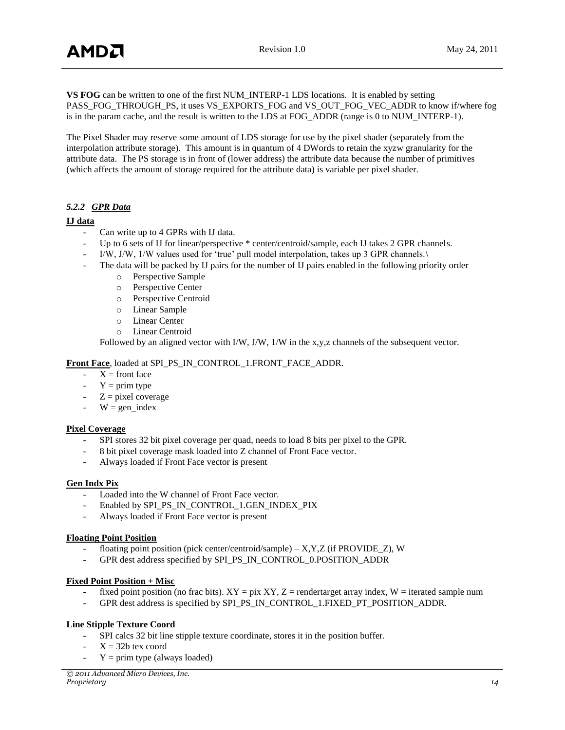**VS FOG** can be written to one of the first NUM\_INTERP-1 LDS locations. It is enabled by setting PASS\_FOG\_THROUGH\_PS, it uses VS\_EXPORTS\_FOG and VS\_OUT\_FOG\_VEC\_ADDR to know if/where fog is in the param cache, and the result is written to the LDS at FOG\_ADDR (range is 0 to NUM\_INTERP-1).

The Pixel Shader may reserve some amount of LDS storage for use by the pixel shader (separately from the interpolation attribute storage). This amount is in quantum of 4 DWords to retain the xyzw granularity for the attribute data. The PS storage is in front of (lower address) the attribute data because the number of primitives (which affects the amount of storage required for the attribute data) is variable per pixel shader.

#### *5.2.2 GPR Data*

#### **IJ data**

- Can write up to 4 GPRs with IJ data.
- Up to 6 sets of IJ for linear/perspective \* center/centroid/sample, each IJ takes 2 GPR channels.
- I/W, J/W, 1/W values used for 'true' pull model interpolation, takes up 3 GPR channels.\
- The data will be packed by IJ pairs for the number of IJ pairs enabled in the following priority order
	- o Perspective Sample
	- o Perspective Center
	- o Perspective Centroid
	- o Linear Sample
	- o Linear Center
	- o Linear Centroid

Followed by an aligned vector with I/W, J/W, 1/W in the x,y,z channels of the subsequent vector.

#### **Front Face**, loaded at SPI\_PS\_IN\_CONTROL\_1.FRONT\_FACE\_ADDR.

- $X =$  front face
- $Y = \text{prim type}$
- $-Z = pixel coverage$
- $W = \text{gen}\text{ index}$

#### **Pixel Coverage**

- SPI stores 32 bit pixel coverage per quad, needs to load 8 bits per pixel to the GPR.
- 8 bit pixel coverage mask loaded into Z channel of Front Face vector.
- Always loaded if Front Face vector is present

#### **Gen Indx Pix**

- Loaded into the W channel of Front Face vector.
- Enabled by SPI\_PS\_IN\_CONTROL\_1.GEN\_INDEX\_PIX
- Always loaded if Front Face vector is present

#### **Floating Point Position**

- floating point position (pick center/centroid/sample)  $X, Y, Z$  (if PROVIDE  $Z$ ), W
- GPR dest address specified by SPI\_PS\_IN\_CONTROL\_0.POSITION\_ADDR

#### **Fixed Point Position + Misc**

- fixed point position (no frac bits).  $XY = \text{pix } XY$ ,  $Z = \text{rendertarget array index}$ ,  $W = \text{iterated sample num}$
- GPR dest address is specified by SPI\_PS\_IN\_CONTROL\_1.FIXED\_PT\_POSITION\_ADDR.

#### **Line Stipple Texture Coord**

- SPI calcs 32 bit line stipple texture coordinate, stores it in the position buffer.
- $X = 32b$  tex coord
- $Y = \text{prim type (always loaded)}$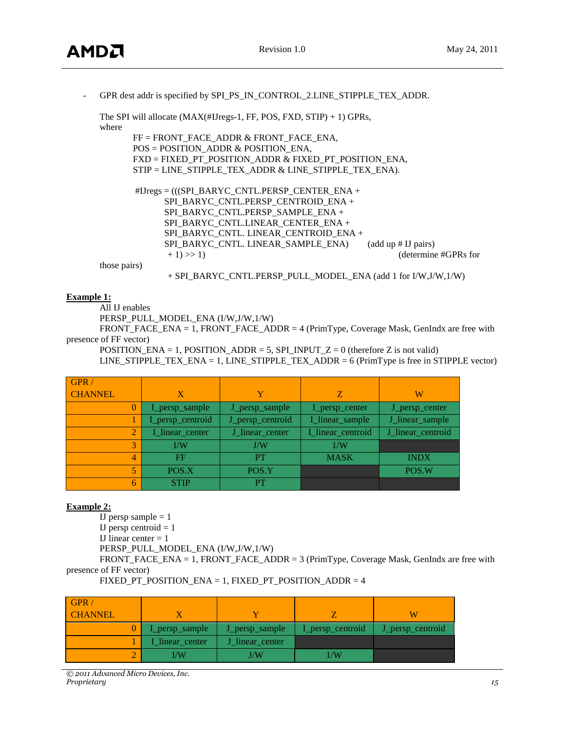- GPR dest addr is specified by SPI\_PS\_IN\_CONTROL\_2.LINE\_STIPPLE\_TEX\_ADDR.

| The SPI will allocate $(MAX(\#IJregs-1, FF, POS, FXD, STIP) + 1) GPRs$ , |  |
|--------------------------------------------------------------------------|--|
| where                                                                    |  |
| $FF = FROMT$ FACE ADDR & FRONT FACE ENA,                                 |  |
| $POS = POSITION$ ADDR & POSITION ENA,                                    |  |
| FXD = FIXED_PT_POSITION_ADDR & FIXED_PT_POSITION_ENA,                    |  |
| $STIP = LINE STIPPLE TEXT ADDR & LINE STIPPLE TEXT ENA).$                |  |
| $\text{HJregs} = (((SPI_BARYC_CNTL.PERSP_CENTER_ENA +$                   |  |
| SPI BARYC CNTL.PERSP CENTROID ENA +                                      |  |
| SPI BARYC CNTL.PERSP SAMPLE ENA +                                        |  |
| SPI BARYC CNTL.LINEAR CENTER ENA +                                       |  |
| SPI BARYC CNTL. LINEAR CENTROID ENA +                                    |  |
| SPI BARYC CNTL. LINEAR SAMPLE ENA)<br>(add up # II pairs)                |  |
| $+1) >> 1)$<br>(determine #GPRs for                                      |  |
| those pairs)                                                             |  |
| + SPI BARYC CNTL.PERSP PULL MODEL ENA (add 1 for I/W, J/W, 1/W)          |  |

#### **Example 1:**

All IJ enables

PERSP\_PULL\_MODEL\_ENA (I/W,J/W,1/W)

FRONT\_FACE\_ENA = 1, FRONT\_FACE\_ADDR = 4 (PrimType, Coverage Mask, GenIndx are free with presence of FF vector)

POSITION\_ENA = 1, POSITION\_ADDR = 5, SPI\_INPUT\_Z = 0 (therefore Z is not valid) LINE\_STIPPLE\_TEX\_ENA = 1, LINE\_STIPPLE\_TEX\_ADDR = 6 (PrimType is free in STIPPLE vector)

| GPR/           |                  |                  |                   |                   |
|----------------|------------------|------------------|-------------------|-------------------|
| <b>CHANNEL</b> | X                | Y                | Z                 | W                 |
|                | I_persp_sample   | J_persp_sample   | I_persp_center    | J_persp_center    |
|                | I_persp_centroid | J_persp_centroid | I_linear_sample   | J_linear_sample   |
|                | I_linear_center  | J_linear_center  | I_linear_centroid | J_linear_centroid |
|                | I/W              | J/W              | 1/N               |                   |
| 4              | FF               | PТ               | <b>MASK</b>       | <b>INDX</b>       |
|                | POS.X            | POS.Y            |                   | POS.W             |
| 6              | <b>STIP</b>      | PТ               |                   |                   |

#### **Example 2:**

 $\overline{IJ}$  persp sample = 1 IJ persp centroid  $= 1$ IJ linear center  $= 1$ PERSP\_PULL\_MODEL\_ENA (I/W,J/W,1/W) FRONT\_FACE\_ENA = 1, FRONT\_FACE\_ADDR = 3 (PrimType, Coverage Mask, GenIndx are free with presence of FF vector)

| FIXED PT POSITION $ENA = 1$ . FIXED PT POSITION $ADDR = 4$ |  |
|------------------------------------------------------------|--|
|------------------------------------------------------------|--|

| GPR/<br><b>CHANNEL</b> |                        |                 |                  |                  |
|------------------------|------------------------|-----------------|------------------|------------------|
|                        | I_persp_sample         | J_persp_sample  | I_persp_centroid | J_persp_centroid |
|                        | <b>I_linear_center</b> | J linear center |                  |                  |
|                        | I/W                    | I/W             | /W               |                  |

*© 2011 Advanced Micro Devices, Inc. Proprietary 15*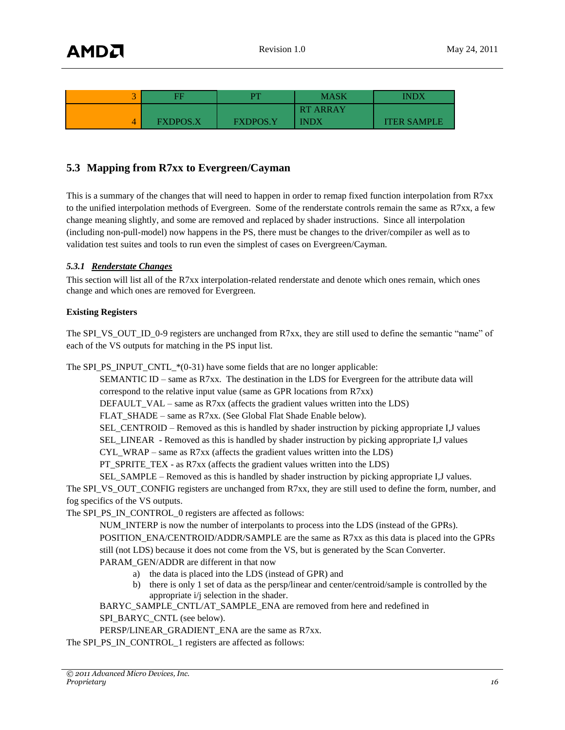| 王               | DТ              | <b>MASK</b>     | INDX               |
|-----------------|-----------------|-----------------|--------------------|
|                 |                 | <b>RT ARRAY</b> |                    |
| <b>FXDPOS.X</b> | <b>FXDPOS.Y</b> | <b>INDX</b>     | <b>ITER SAMPLE</b> |

# <span id="page-15-0"></span>**5.3 Mapping from R7xx to Evergreen/Cayman**

This is a summary of the changes that will need to happen in order to remap fixed function interpolation from R7xx to the unified interpolation methods of Evergreen. Some of the renderstate controls remain the same as R7xx, a few change meaning slightly, and some are removed and replaced by shader instructions. Since all interpolation (including non-pull-model) now happens in the PS, there must be changes to the driver/compiler as well as to validation test suites and tools to run even the simplest of cases on Evergreen/Cayman.

#### *5.3.1 Renderstate Changes*

This section will list all of the R7xx interpolation-related renderstate and denote which ones remain, which ones change and which ones are removed for Evergreen.

#### **Existing Registers**

The SPI\_VS\_OUT\_ID\_0-9 registers are unchanged from R7xx, they are still used to define the semantic "name" of each of the VS outputs for matching in the PS input list.

The SPI\_PS\_INPUT\_CNTL\_ $*(0-31)$  have some fields that are no longer applicable:

SEMANTIC ID – same as R7xx. The destination in the LDS for Evergreen for the attribute data will correspond to the relative input value (same as GPR locations from R7xx)

DEFAULT VAL – same as R7xx (affects the gradient values written into the LDS)

FLAT SHADE – same as R7xx. (See Global Flat Shade Enable below).

SEL\_CENTROID – Removed as this is handled by shader instruction by picking appropriate I,J values

SEL\_LINEAR - Removed as this is handled by shader instruction by picking appropriate I,J values

CYL\_WRAP – same as R7xx (affects the gradient values written into the LDS)

PT\_SPRITE\_TEX - as R7xx (affects the gradient values written into the LDS)

SEL\_SAMPLE – Removed as this is handled by shader instruction by picking appropriate I,J values.

The SPI\_VS\_OUT\_CONFIG registers are unchanged from R7xx, they are still used to define the form, number, and fog specifics of the VS outputs.

The SPI\_PS\_IN\_CONTROL\_0 registers are affected as follows:

NUM\_INTERP is now the number of interpolants to process into the LDS (instead of the GPRs).

POSITION\_ENA/CENTROID/ADDR/SAMPLE are the same as R7xx as this data is placed into the GPRs still (not LDS) because it does not come from the VS, but is generated by the Scan Converter. PARAM\_GEN/ADDR are different in that now

- a) the data is placed into the LDS (instead of GPR) and
- b) there is only 1 set of data as the persp/linear and center/centroid/sample is controlled by the appropriate i/j selection in the shader.

BARYC\_SAMPLE\_CNTL/AT\_SAMPLE\_ENA are removed from here and redefined in

SPI\_BARYC\_CNTL (see below).

PERSP/LINEAR\_GRADIENT\_ENA are the same as R7xx.

The SPI\_PS\_IN\_CONTROL\_1 registers are affected as follows: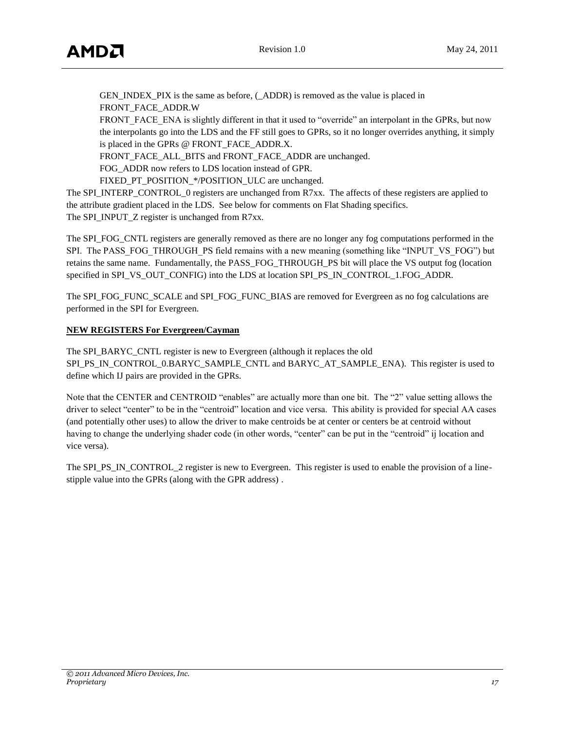GEN\_INDEX\_PIX is the same as before, (\_ADDR) is removed as the value is placed in FRONT\_FACE\_ADDR.W

FRONT FACE ENA is slightly different in that it used to "override" an interpolant in the GPRs, but now the interpolants go into the LDS and the FF still goes to GPRs, so it no longer overrides anything, it simply is placed in the GPRs @ FRONT\_FACE\_ADDR.X.

FRONT\_FACE\_ALL\_BITS and FRONT\_FACE\_ADDR are unchanged.

FOG\_ADDR now refers to LDS location instead of GPR.

FIXED\_PT\_POSITION\_\*/POSITION\_ULC are unchanged.

The SPI\_INTERP\_CONTROL\_0 registers are unchanged from R7xx. The affects of these registers are applied to the attribute gradient placed in the LDS. See below for comments on Flat Shading specifics. The SPI\_INPUT\_Z register is unchanged from R7xx.

The SPI\_FOG\_CNTL registers are generally removed as there are no longer any fog computations performed in the SPI. The PASS\_FOG\_THROUGH\_PS\_field remains with a new meaning (something like "INPUT\_VS\_FOG") but retains the same name. Fundamentally, the PASS\_FOG\_THROUGH\_PS bit will place the VS output fog (location specified in SPI\_VS\_OUT\_CONFIG) into the LDS at location SPI\_PS\_IN\_CONTROL\_1.FOG\_ADDR.

The SPI\_FOG\_FUNC\_SCALE and SPI\_FOG\_FUNC\_BIAS are removed for Evergreen as no fog calculations are performed in the SPI for Evergreen.

### **NEW REGISTERS For Evergreen/Cayman**

The SPI\_BARYC\_CNTL register is new to Evergreen (although it replaces the old SPI\_PS\_IN\_CONTROL\_0.BARYC\_SAMPLE\_CNTL and BARYC\_AT\_SAMPLE\_ENA). This register is used to define which IJ pairs are provided in the GPRs.

Note that the CENTER and CENTROID "enables" are actually more than one bit. The "2" value setting allows the driver to select "center" to be in the "centroid" location and vice versa. This ability is provided for special AA cases (and potentially other uses) to allow the driver to make centroids be at center or centers be at centroid without having to change the underlying shader code (in other words, "center" can be put in the "centroid" ij location and vice versa).

The SPI\_PS\_IN\_CONTROL\_2 register is new to Evergreen. This register is used to enable the provision of a linestipple value into the GPRs (along with the GPR address) .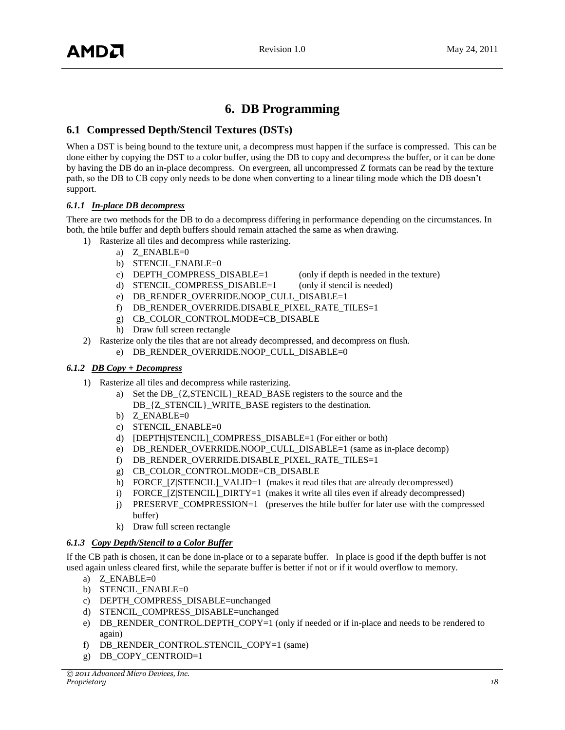# **6. DB Programming**

# <span id="page-17-1"></span><span id="page-17-0"></span>**6.1 Compressed Depth/Stencil Textures (DSTs)**

When a DST is being bound to the texture unit, a decompress must happen if the surface is compressed. This can be done either by copying the DST to a color buffer, using the DB to copy and decompress the buffer, or it can be done by having the DB do an in-place decompress. On evergreen, all uncompressed Z formats can be read by the texture path, so the DB to CB copy only needs to be done when converting to a linear tiling mode which the DB doesn"t support.

### *6.1.1 In-place DB decompress*

There are two methods for the DB to do a decompress differing in performance depending on the circumstances. In both, the htile buffer and depth buffers should remain attached the same as when drawing.

- 1) Rasterize all tiles and decompress while rasterizing.
	- a) Z  $ENABLE=0$
	- b) STENCIL ENABLE=0
	- c) DEPTH\_COMPRESS\_DISABLE=1 (only if depth is needed in the texture)
		-
	- d) STENCIL COMPRESS DISABLE=1 (only if stencil is needed)
	- e) DB\_RENDER\_OVERRIDE.NOOP\_CULL\_DISABLE=1
	- f) DB\_RENDER\_OVERRIDE.DISABLE\_PIXEL\_RATE\_TILES=1
	- g) CB\_COLOR\_CONTROL.MODE=CB\_DISABLE
	- h) Draw full screen rectangle
- 2) Rasterize only the tiles that are not already decompressed, and decompress on flush.
	- e) DB\_RENDER\_OVERRIDE.NOOP\_CULL\_DISABLE=0

#### *6.1.2 DB Copy + Decompress*

- 1) Rasterize all tiles and decompress while rasterizing.
	- a) Set the DB\_{Z,STENCIL}\_READ\_BASE registers to the source and the DB\_{Z\_STENCIL}\_WRITE\_BASE registers to the destination.
	- b) Z\_ENABLE=0
	- c) STENCIL ENABLE=0
	- d) [DEPTH|STENCIL]\_COMPRESS\_DISABLE=1 (For either or both)
	- e) DB\_RENDER\_OVERRIDE.NOOP\_CULL\_DISABLE=1 (same as in-place decomp)
	- f) DB\_RENDER\_OVERRIDE.DISABLE\_PIXEL\_RATE\_TILES=1
	- g) CB\_COLOR\_CONTROL.MODE=CB\_DISABLE
	- h) FORCE\_[Z|STENCIL]\_VALID=1 (makes it read tiles that are already decompressed)
	- i) FORCE [Z|STENCIL] DIRTY=1 (makes it write all tiles even if already decompressed)
	- j) PRESERVE\_COMPRESSION=1 (preserves the htile buffer for later use with the compressed buffer)
	- k) Draw full screen rectangle

#### *6.1.3 Copy Depth/Stencil to a Color Buffer*

If the CB path is chosen, it can be done in-place or to a separate buffer. In place is good if the depth buffer is not used again unless cleared first, while the separate buffer is better if not or if it would overflow to memory.

- a) Z\_ENABLE=0
- b) STENCIL ENABLE=0
- c) DEPTH\_COMPRESS\_DISABLE=unchanged
- d) STENCIL\_COMPRESS\_DISABLE=unchanged
- e) DB\_RENDER\_CONTROL.DEPTH\_COPY=1 (only if needed or if in-place and needs to be rendered to again)
- f) DB\_RENDER\_CONTROL.STENCIL\_COPY=1 (same)
- g) DB\_COPY\_CENTROID=1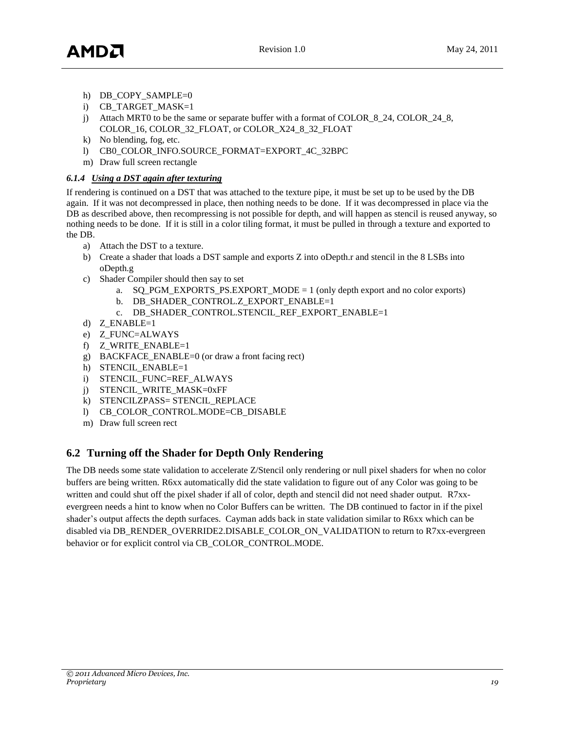- h) DB\_COPY\_SAMPLE=0
- i) CB\_TARGET\_MASK=1
- j) Attach MRT0 to be the same or separate buffer with a format of COLOR\_8\_24, COLOR\_24\_8, COLOR\_16, COLOR\_32\_FLOAT, or COLOR\_X24\_8\_32\_FLOAT
- k) No blending, fog, etc.
- l) CB0\_COLOR\_INFO.SOURCE\_FORMAT=EXPORT\_4C\_32BPC
- m) Draw full screen rectangle

#### *6.1.4 Using a DST again after texturing*

If rendering is continued on a DST that was attached to the texture pipe, it must be set up to be used by the DB again. If it was not decompressed in place, then nothing needs to be done. If it was decompressed in place via the DB as described above, then recompressing is not possible for depth, and will happen as stencil is reused anyway, so nothing needs to be done. If it is still in a color tiling format, it must be pulled in through a texture and exported to the DB.

- a) Attach the DST to a texture.
- b) Create a shader that loads a DST sample and exports Z into oDepth.r and stencil in the 8 LSBs into oDepth.g
- c) Shader Compiler should then say to set
	- a. SQ\_PGM\_EXPORTS\_PS.EXPORT\_MODE = 1 (only depth export and no color exports)
	- b. DB\_SHADER\_CONTROL.Z\_EXPORT\_ENABLE=1
	- c. DB\_SHADER\_CONTROL.STENCIL\_REF\_EXPORT\_ENABLE=1
- d) Z ENABLE=1
- e) Z\_FUNC=ALWAYS
- f) Z\_WRITE\_ENABLE=1
- g) BACKFACE\_ENABLE=0 (or draw a front facing rect)
- h) STENCIL ENABLE=1
- i) STENCIL\_FUNC=REF\_ALWAYS
- j) STENCIL\_WRITE\_MASK=0xFF
- k) STENCILZPASS= STENCIL\_REPLACE
- l) CB\_COLOR\_CONTROL.MODE=CB\_DISABLE
- m) Draw full screen rect

# <span id="page-18-0"></span>**6.2 Turning off the Shader for Depth Only Rendering**

The DB needs some state validation to accelerate Z/Stencil only rendering or null pixel shaders for when no color buffers are being written. R6xx automatically did the state validation to figure out of any Color was going to be written and could shut off the pixel shader if all of color, depth and stencil did not need shader output. R7xxevergreen needs a hint to know when no Color Buffers can be written. The DB continued to factor in if the pixel shader"s output affects the depth surfaces. Cayman adds back in state validation similar to R6xx which can be disabled via DB\_RENDER\_OVERRIDE2.DISABLE\_COLOR\_ON\_VALIDATION to return to R7xx-evergreen behavior or for explicit control via CB\_COLOR\_CONTROL.MODE.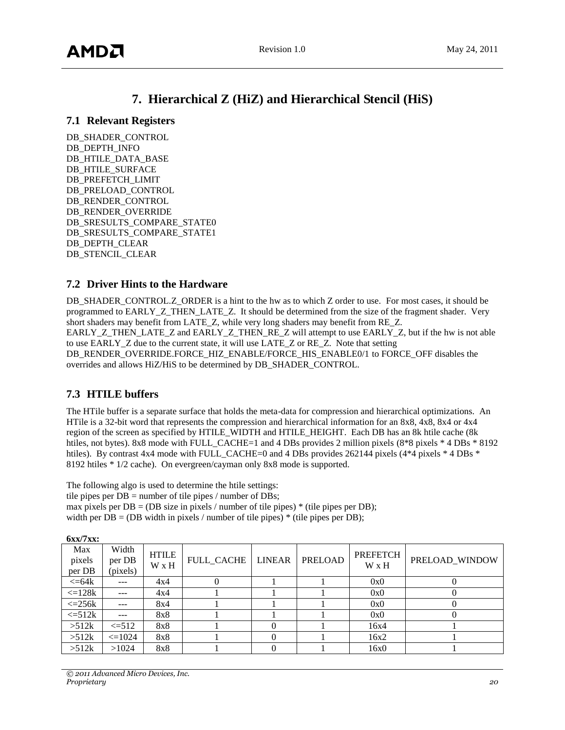# **7. Hierarchical Z (HiZ) and Hierarchical Stencil (HiS)**

### <span id="page-19-1"></span><span id="page-19-0"></span>**7.1 Relevant Registers**

DB\_SHADER\_CONTROL DB\_DEPTH\_INFO DB\_HTILE\_DATA\_BASE DB\_HTILE\_SURFACE DB\_PREFETCH\_LIMIT DB\_PRELOAD\_CONTROL DB\_RENDER\_CONTROL DB\_RENDER\_OVERRIDE DB\_SRESULTS\_COMPARE\_STATE0 DB\_SRESULTS\_COMPARE\_STATE1 DB\_DEPTH\_CLEAR DB\_STENCIL\_CLEAR

# <span id="page-19-2"></span>**7.2 Driver Hints to the Hardware**

DB\_SHADER\_CONTROL.Z\_ORDER is a hint to the hw as to which Z order to use. For most cases, it should be programmed to EARLY\_Z\_THEN\_LATE\_Z. It should be determined from the size of the fragment shader. Very short shaders may benefit from LATE\_Z, while very long shaders may benefit from RE\_Z. EARLY\_Z\_THEN\_LATE\_Z and EARLY\_Z\_THEN\_RE\_Z will attempt to use EARLY\_Z, but if the hw is not able to use EARLY\_Z due to the current state, it will use LATE\_Z or RE\_Z. Note that setting DB\_RENDER\_OVERRIDE.FORCE\_HIZ\_ENABLE/FORCE\_HIS\_ENABLE0/1 to FORCE\_OFF disables the overrides and allows HiZ/HiS to be determined by DB\_SHADER\_CONTROL.

# <span id="page-19-3"></span>**7.3 HTILE buffers**

The HTile buffer is a separate surface that holds the meta-data for compression and hierarchical optimizations. An HTile is a 32-bit word that represents the compression and hierarchical information for an 8x8, 4x8, 8x4 or 4x4 region of the screen as specified by HTILE\_WIDTH and HTILE\_HEIGHT. Each DB has an 8k htile cache (8k htiles, not bytes). 8x8 mode with FULL\_CACHE=1 and 4 DBs provides 2 million pixels (8\*8 pixels \* 4 DBs \* 8192 htiles). By contrast 4x4 mode with FULL\_CACHE=0 and 4 DBs provides 262144 pixels (4\*4 pixels \* 4 DBs \* 8192 htiles \* 1/2 cache). On evergreen/cayman only 8x8 mode is supported.

The following algo is used to determine the htile settings: tile pipes per  $DB =$  number of tile pipes / number of  $DBs$ ; max pixels per  $DB = (DB \text{ size in pixels } / \text{ number of tile pipes})$  \* (tile pipes per DB); width per  $DB = (DB \text{ width in pixels } / \text{ number of tile pipes})$  \* (tile pipes per DB);

| .                       |                             |                       |            |               |                |                   |                |
|-------------------------|-----------------------------|-----------------------|------------|---------------|----------------|-------------------|----------------|
| Max<br>pixels<br>per DB | Width<br>per DB<br>(pixels) | <b>HTILE</b><br>W x H | FULL CACHE | <b>LINEAR</b> | <b>PRELOAD</b> | PREFETCH<br>W x H | PRELOAD WINDOW |
| $\epsilon = 64k$        | ---                         | 4x4                   | U          |               |                | 0x0               |                |
| $\leq$ 128 $k$          |                             | 4x4                   |            |               |                | 0x0               |                |
| $\epsilon = 256k$       | ---                         | 8x4                   |            |               |                | 0x0               |                |
| $\leq 512k$             | ---                         | 8x8                   |            |               |                | 0x0               |                |
| >512k                   | $\leq 512$                  | 8x8                   |            |               |                | 16x4              |                |
| >512k                   | $\leq 1024$                 | 8x8                   |            |               |                | 16x2              |                |
| >512k                   | >1024                       | 8x8                   |            |               |                | 16x0              |                |

**6xx/7xx:**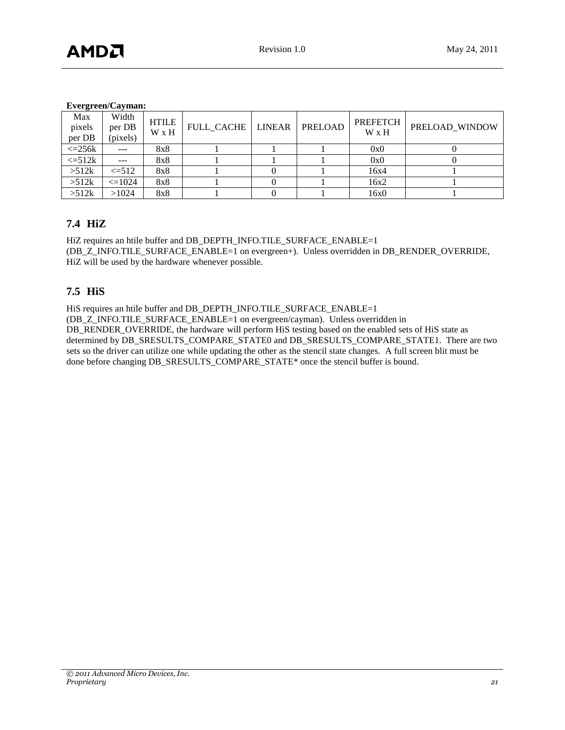#### **Evergreen/Cayman:**

| $\bullet$<br>Max<br>pixels<br>per DB | Width<br>per DB<br>(pixels) | <b>HTILE</b><br>W x H | FULL CACHE   LINEAR | PRELOAD | <b>PREFETCH</b><br>W x H | PRELOAD WINDOW |
|--------------------------------------|-----------------------------|-----------------------|---------------------|---------|--------------------------|----------------|
| $\epsilon = 256k$                    | $---$                       | 8x8                   |                     |         | 0x0                      |                |
| $\leq 512k$                          | $- - -$                     | 8x8                   |                     |         | 0x0                      |                |
| >512k                                | $\leq 512$                  | 8x8                   |                     |         | 16x4                     |                |
| >512k                                | $\leq 1024$                 | 8x8                   |                     |         | 16x2                     |                |
| >512k                                | >1024                       | 8x8                   |                     |         | 16x0                     |                |

# <span id="page-20-0"></span>**7.4 HiZ**

HiZ requires an htile buffer and DB\_DEPTH\_INFO.TILE\_SURFACE\_ENABLE=1 (DB\_Z\_INFO.TILE\_SURFACE\_ENABLE=1 on evergreen+). Unless overridden in DB\_RENDER\_OVERRIDE, HiZ will be used by the hardware whenever possible.

# <span id="page-20-1"></span>**7.5 HiS**

HiS requires an htile buffer and DB\_DEPTH\_INFO.TILE\_SURFACE\_ENABLE=1

(DB\_Z\_INFO.TILE\_SURFACE\_ENABLE=1 on evergreen/cayman). Unless overridden in

DB\_RENDER\_OVERRIDE, the hardware will perform HiS testing based on the enabled sets of HiS state as determined by DB\_SRESULTS\_COMPARE\_STATE0 and DB\_SRESULTS\_COMPARE\_STATE1. There are two sets so the driver can utilize one while updating the other as the stencil state changes. A full screen blit must be done before changing DB\_SRESULTS\_COMPARE\_STATE\* once the stencil buffer is bound.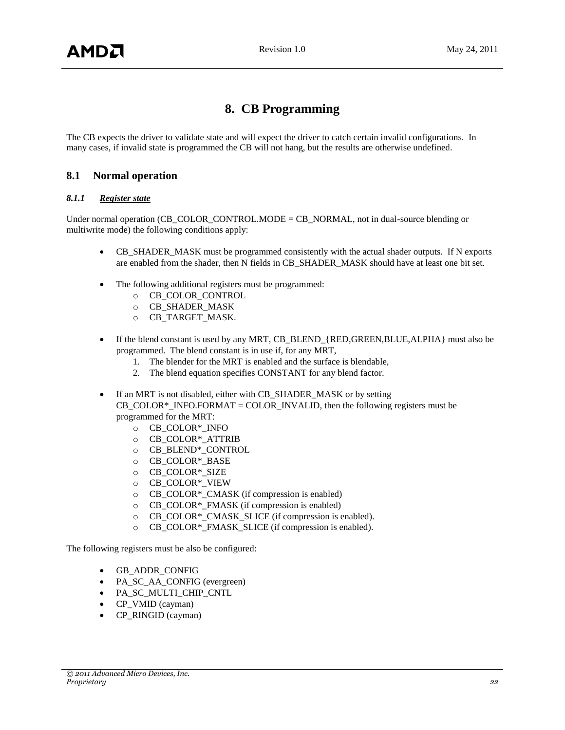# **8. CB Programming**

<span id="page-21-0"></span>The CB expects the driver to validate state and will expect the driver to catch certain invalid configurations. In many cases, if invalid state is programmed the CB will not hang, but the results are otherwise undefined.

# <span id="page-21-1"></span>**8.1 Normal operation**

#### *8.1.1 Register state*

Under normal operation (CB\_COLOR\_CONTROL.MODE = CB\_NORMAL, not in dual-source blending or multiwrite mode) the following conditions apply:

- CB\_SHADER\_MASK must be programmed consistently with the actual shader outputs. If N exports are enabled from the shader, then N fields in CB\_SHADER\_MASK should have at least one bit set.
- The following additional registers must be programmed:
	- o CB\_COLOR\_CONTROL
	- o CB\_SHADER\_MASK
	- o CB\_TARGET\_MASK.
- If the blend constant is used by any MRT, CB\_BLEND\_{RED,GREEN,BLUE,ALPHA} must also be programmed. The blend constant is in use if, for any MRT,
	- 1. The blender for the MRT is enabled and the surface is blendable,
	- 2. The blend equation specifies CONSTANT for any blend factor.
- If an MRT is not disabled, either with CB\_SHADER\_MASK or by setting  $CB\_COLOR^*$ \_INFO.FORMAT = COLOR\_INVALID, then the following registers must be programmed for the MRT:
	- o CB\_COLOR\*\_INFO
	- o CB\_COLOR\*\_ATTRIB
	- o CB\_BLEND\*\_CONTROL
	- o CB\_COLOR\*\_BASE
	- o CB\_COLOR\*\_SIZE
	- o CB\_COLOR\*\_VIEW
	- o CB\_COLOR\*\_CMASK (if compression is enabled)
	- o CB\_COLOR\*\_FMASK (if compression is enabled)
	- o CB\_COLOR\*\_CMASK\_SLICE (if compression is enabled).
	- o CB\_COLOR\*\_FMASK\_SLICE (if compression is enabled).

The following registers must be also be configured:

- GB\_ADDR\_CONFIG
- PA\_SC\_AA\_CONFIG (evergreen)
- PA\_SC\_MULTI\_CHIP\_CNTL
- CP\_VMID (cayman)
- CP\_RINGID (cayman)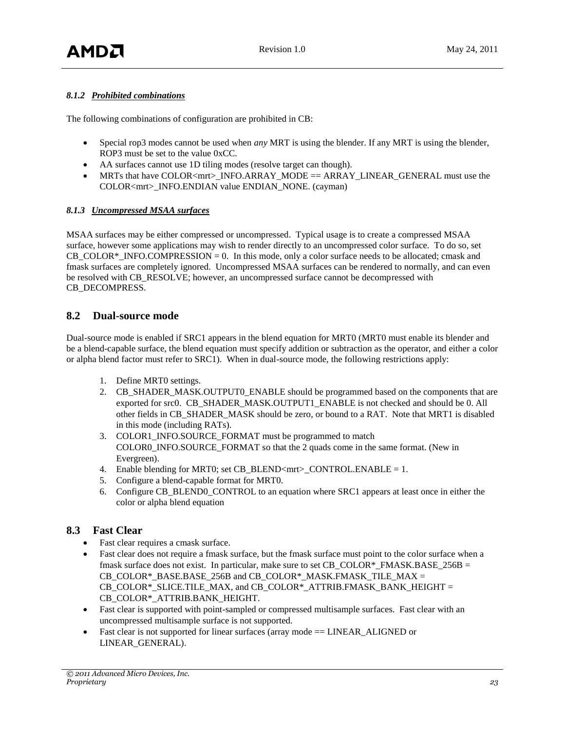## *8.1.2 Prohibited combinations*

The following combinations of configuration are prohibited in CB:

- Special rop3 modes cannot be used when *any* MRT is using the blender. If any MRT is using the blender, ROP3 must be set to the value 0xCC.
- AA surfaces cannot use 1D tiling modes (resolve target can though).
- MRTs that have COLOR<mrt>\_INFO.ARRAY\_MODE == ARRAY\_LINEAR\_GENERAL must use the COLOR<mrt>\_INFO.ENDIAN value ENDIAN\_NONE. (cayman)

#### *8.1.3 Uncompressed MSAA surfaces*

MSAA surfaces may be either compressed or uncompressed. Typical usage is to create a compressed MSAA surface, however some applications may wish to render directly to an uncompressed color surface. To do so, set  $CB\_COLOR*$ \_INFO.COMPRESSION = 0. In this mode, only a color surface needs to be allocated; cmask and fmask surfaces are completely ignored. Uncompressed MSAA surfaces can be rendered to normally, and can even be resolved with CB\_RESOLVE; however, an uncompressed surface cannot be decompressed with CB\_DECOMPRESS.

### <span id="page-22-0"></span>**8.2 Dual-source mode**

Dual-source mode is enabled if SRC1 appears in the blend equation for MRT0 (MRT0 must enable its blender and be a blend-capable surface, the blend equation must specify addition or subtraction as the operator, and either a color or alpha blend factor must refer to SRC1). When in dual-source mode, the following restrictions apply:

- 1. Define MRT0 settings.
- 2. CB\_SHADER\_MASK.OUTPUT0\_ENABLE should be programmed based on the components that are exported for src0. CB\_SHADER\_MASK.OUTPUT1\_ENABLE is not checked and should be 0. All other fields in CB\_SHADER\_MASK should be zero, or bound to a RAT. Note that MRT1 is disabled in this mode (including RATs).
- 3. COLOR1\_INFO.SOURCE\_FORMAT must be programmed to match COLOR0\_INFO.SOURCE\_FORMAT so that the 2 quads come in the same format. (New in Evergreen).
- 4. Enable blending for MRT0; set CB\_BLEND<mrt> $\geq$  CONTROL.ENABLE = 1.
- 5. Configure a blend-capable format for MRT0.
- 6. Configure CB\_BLEND0\_CONTROL to an equation where SRC1 appears at least once in either the color or alpha blend equation

# <span id="page-22-1"></span>**8.3 Fast Clear**

- Fast clear requires a cmask surface.
- Fast clear does not require a fmask surface, but the fmask surface must point to the color surface when a fmask surface does not exist. In particular, make sure to set CB\_COLOR\*\_FMASK.BASE\_256B = CB COLOR\* BASE.BASE 256B and CB COLOR\* MASK.FMASK TILE MAX = CB\_COLOR\*\_SLICE.TILE\_MAX, and CB\_COLOR\*\_ATTRIB.FMASK\_BANK\_HEIGHT = CB\_COLOR\*\_ATTRIB.BANK\_HEIGHT.
- Fast clear is supported with point-sampled or compressed multisample surfaces. Fast clear with an uncompressed multisample surface is not supported.
- Fast clear is not supported for linear surfaces (array mode == LINEAR ALIGNED or LINEAR\_GENERAL).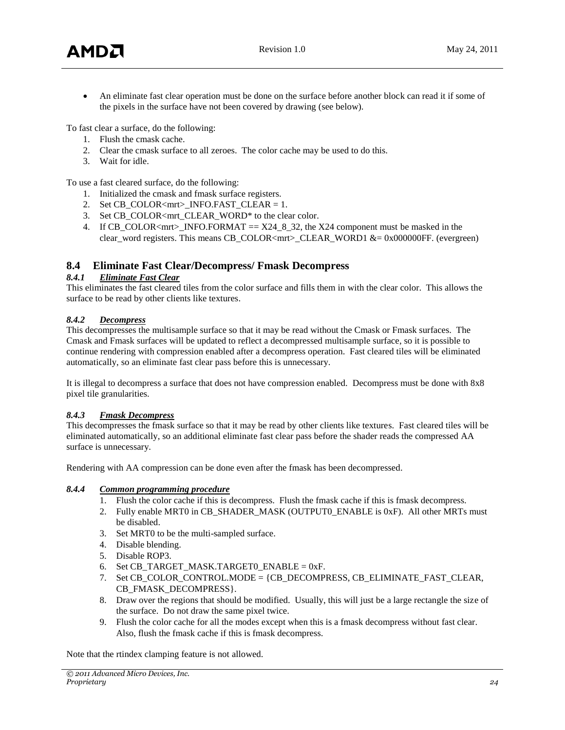An eliminate fast clear operation must be done on the surface before another block can read it if some of the pixels in the surface have not been covered by drawing (see below).

To fast clear a surface, do the following:

- 1. Flush the cmask cache.
- 2. Clear the cmask surface to all zeroes. The color cache may be used to do this.
- 3. Wait for idle.

To use a fast cleared surface, do the following:

- 1. Initialized the cmask and fmask surface registers.
- 2. Set CB\_COLOR<mrt>\_INFO.FAST\_CLEAR = 1.
- 3. Set CB\_COLOR<mrt\_CLEAR\_WORD\* to the clear color.
- 4. If CB\_COLOR<mrt>\_INFO.FORMAT  $== X24\_8\_32$ , the X24 component must be masked in the clear\_word registers. This means CB\_COLOR<mrt>\_CLEAR\_WORD1 &= 0x000000FF. (evergreen)

# <span id="page-23-0"></span>**8.4 Eliminate Fast Clear/Decompress/ Fmask Decompress**

### *8.4.1 Eliminate Fast Clear*

This eliminates the fast cleared tiles from the color surface and fills them in with the clear color. This allows the surface to be read by other clients like textures.

### *8.4.2 Decompress*

This decompresses the multisample surface so that it may be read without the Cmask or Fmask surfaces. The Cmask and Fmask surfaces will be updated to reflect a decompressed multisample surface, so it is possible to continue rendering with compression enabled after a decompress operation. Fast cleared tiles will be eliminated automatically, so an eliminate fast clear pass before this is unnecessary.

It is illegal to decompress a surface that does not have compression enabled. Decompress must be done with 8x8 pixel tile granularities.

#### *8.4.3 Fmask Decompress*

This decompresses the fmask surface so that it may be read by other clients like textures. Fast cleared tiles will be eliminated automatically, so an additional eliminate fast clear pass before the shader reads the compressed AA surface is unnecessary.

Rendering with AA compression can be done even after the fmask has been decompressed.

#### *8.4.4 Common programming procedure*

- 1. Flush the color cache if this is decompress. Flush the fmask cache if this is fmask decompress.
- 2. Fully enable MRT0 in CB\_SHADER\_MASK (OUTPUT0\_ENABLE is 0xF). All other MRTs must be disabled.
- 3. Set MRT0 to be the multi-sampled surface.
- 4. Disable blending.
- 5. Disable ROP3.
- 6. Set CB\_TARGET\_MASK.TARGET0\_ENABLE =  $0xF$ .
- 7. Set CB\_COLOR\_CONTROL.MODE = {CB\_DECOMPRESS, CB\_ELIMINATE\_FAST\_CLEAR, CB\_FMASK\_DECOMPRESS}.
- 8. Draw over the regions that should be modified. Usually, this will just be a large rectangle the size of the surface. Do not draw the same pixel twice.
- 9. Flush the color cache for all the modes except when this is a fmask decompress without fast clear. Also, flush the fmask cache if this is fmask decompress.

Note that the rtindex clamping feature is not allowed.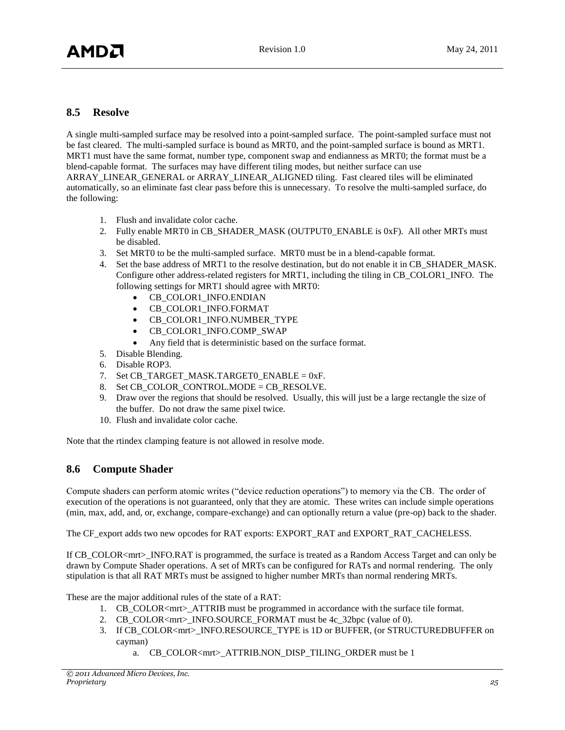# <span id="page-24-0"></span>**8.5 Resolve**

A single multi-sampled surface may be resolved into a point-sampled surface. The point-sampled surface must not be fast cleared. The multi-sampled surface is bound as MRT0, and the point-sampled surface is bound as MRT1. MRT1 must have the same format, number type, component swap and endianness as MRT0; the format must be a blend-capable format. The surfaces may have different tiling modes, but neither surface can use ARRAY\_LINEAR\_GENERAL or ARRAY\_LINEAR\_ALIGNED tiling. Fast cleared tiles will be eliminated automatically, so an eliminate fast clear pass before this is unnecessary. To resolve the multi-sampled surface, do the following:

- 1. Flush and invalidate color cache.
- 2. Fully enable MRT0 in CB\_SHADER\_MASK (OUTPUT0\_ENABLE is 0xF). All other MRTs must be disabled.
- 3. Set MRT0 to be the multi-sampled surface. MRT0 must be in a blend-capable format.
- 4. Set the base address of MRT1 to the resolve destination, but do not enable it in CB\_SHADER\_MASK. Configure other address-related registers for MRT1, including the tiling in CB\_COLOR1\_INFO. The following settings for MRT1 should agree with MRT0:
	- CB\_COLOR1\_INFO.ENDIAN
	- CB\_COLOR1\_INFO.FORMAT
	- CB\_COLOR1\_INFO.NUMBER\_TYPE
	- CB\_COLOR1\_INFO.COMP\_SWAP
	- Any field that is deterministic based on the surface format.
- 5. Disable Blending.
- 6. Disable ROP3.
- 7. Set CB\_TARGET\_MASK.TARGET0\_ENABLE = 0xF.
- 8. Set CB\_COLOR\_CONTROL.MODE = CB\_RESOLVE.
- 9. Draw over the regions that should be resolved. Usually, this will just be a large rectangle the size of the buffer. Do not draw the same pixel twice.
- 10. Flush and invalidate color cache.

Note that the rtindex clamping feature is not allowed in resolve mode.

# <span id="page-24-1"></span>**8.6 Compute Shader**

Compute shaders can perform atomic writes ("device reduction operations") to memory via the CB. The order of execution of the operations is not guaranteed, only that they are atomic. These writes can include simple operations (min, max, add, and, or, exchange, compare-exchange) and can optionally return a value (pre-op) back to the shader.

The CF\_export adds two new opcodes for RAT exports: EXPORT\_RAT and EXPORT\_RAT\_CACHELESS.

If CB\_COLOR<mrt> INFO.RAT is programmed, the surface is treated as a Random Access Target and can only be drawn by Compute Shader operations. A set of MRTs can be configured for RATs and normal rendering. The only stipulation is that all RAT MRTs must be assigned to higher number MRTs than normal rendering MRTs.

These are the major additional rules of the state of a RAT:

- 1. CB\_COLOR<mrt>\_ATTRIB must be programmed in accordance with the surface tile format.
- 2. CB\_COLOR<mrt>\_INFO.SOURCE\_FORMAT must be 4c\_32bpc (value of 0).
- 3. If CB\_COLOR<mrt>\_INFO.RESOURCE\_TYPE is 1D or BUFFER, (or STRUCTUREDBUFFER on cayman)
	- a. CB\_COLOR<mrt>\_ATTRIB.NON\_DISP\_TILING\_ORDER must be 1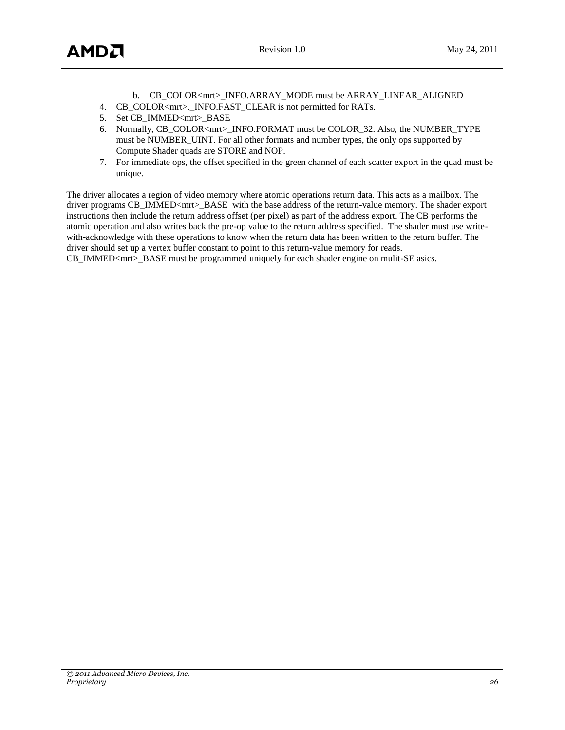- b. CB\_COLOR<mrt>\_INFO.ARRAY\_MODE must be ARRAY\_LINEAR\_ALIGNED
- 4. CB\_COLOR<mrt>.\_INFO.FAST\_CLEAR is not permitted for RATs.
- 5. Set CB\_IMMED<mrt>BASE
- 6. Normally, CB\_COLOR<mrt>\_INFO.FORMAT must be COLOR\_32. Also, the NUMBER\_TYPE must be NUMBER\_UINT. For all other formats and number types, the only ops supported by Compute Shader quads are STORE and NOP.
- 7. For immediate ops, the offset specified in the green channel of each scatter export in the quad must be unique.

The driver allocates a region of video memory where atomic operations return data. This acts as a mailbox. The driver programs CB\_IMMED<mrt>\_BASE with the base address of the return-value memory. The shader export instructions then include the return address offset (per pixel) as part of the address export. The CB performs the atomic operation and also writes back the pre-op value to the return address specified. The shader must use writewith-acknowledge with these operations to know when the return data has been written to the return buffer. The driver should set up a vertex buffer constant to point to this return-value memory for reads.

CB\_IMMED<mrt>\_BASE must be programmed uniquely for each shader engine on mulit-SE asics.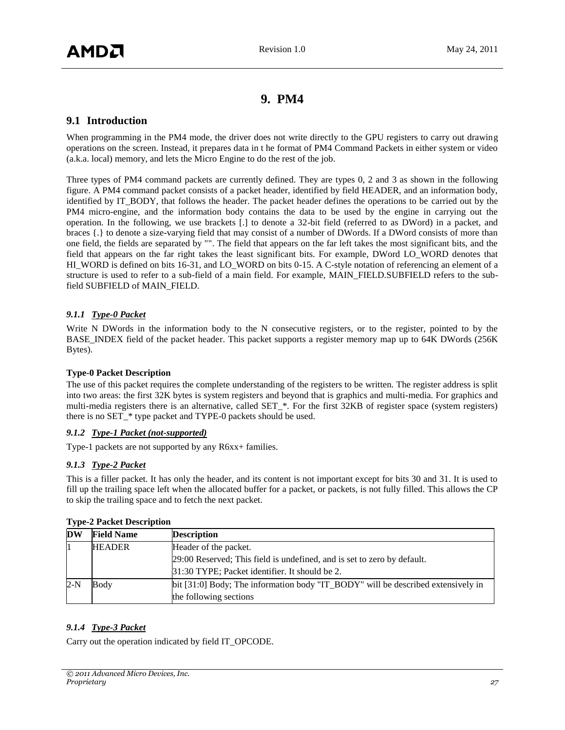# **9. PM4**

# <span id="page-26-1"></span><span id="page-26-0"></span>**9.1 Introduction**

When programming in the PM4 mode, the driver does not write directly to the GPU registers to carry out drawing operations on the screen. Instead, it prepares data in t he format of PM4 Command Packets in either system or video (a.k.a. local) memory, and lets the Micro Engine to do the rest of the job.

Three types of PM4 command packets are currently defined. They are types 0, 2 and 3 as shown in the following figure. A PM4 command packet consists of a packet header, identified by field HEADER, and an information body, identified by IT\_BODY, that follows the header. The packet header defines the operations to be carried out by the PM4 micro-engine, and the information body contains the data to be used by the engine in carrying out the operation. In the following, we use brackets [.] to denote a 32-bit field (referred to as DWord) in a packet, and braces {.} to denote a size-varying field that may consist of a number of DWords. If a DWord consists of more than one field, the fields are separated by "". The field that appears on the far left takes the most significant bits, and the field that appears on the far right takes the least significant bits. For example, DWord LO\_WORD denotes that HI\_WORD is defined on bits 16-31, and LO\_WORD on bits 0-15. A C-style notation of referencing an element of a structure is used to refer to a sub-field of a main field. For example, MAIN\_FIELD.SUBFIELD refers to the subfield SUBFIELD of MAIN\_FIELD.

#### *9.1.1 Type-0 Packet*

Write N DWords in the information body to the N consecutive registers, or to the register, pointed to by the BASE\_INDEX field of the packet header. This packet supports a register memory map up to 64K DWords (256K Bytes).

#### **Type-0 Packet Description**

The use of this packet requires the complete understanding of the registers to be written. The register address is split into two areas: the first 32K bytes is system registers and beyond that is graphics and multi-media. For graphics and multi-media registers there is an alternative, called SET\_\*. For the first 32KB of register space (system registers) there is no SET  $*$  type packet and TYPE-0 packets should be used.

#### *9.1.2 Type-1 Packet (not-supported)*

Type-1 packets are not supported by any R6xx+ families.

#### *9.1.3 Type-2 Packet*

This is a filler packet. It has only the header, and its content is not important except for bits 30 and 31. It is used to fill up the trailing space left when the allocated buffer for a packet, or packets, is not fully filled. This allows the CP to skip the trailing space and to fetch the next packet.

| DW    | <b>Field Name</b> | <b>Description</b>                                                               |
|-------|-------------------|----------------------------------------------------------------------------------|
|       | <b>HEADER</b>     | Header of the packet.                                                            |
|       |                   | 29:00 Reserved; This field is undefined, and is set to zero by default.          |
|       |                   | 31:30 TYPE; Packet identifier. It should be 2.                                   |
| $2-N$ | Body              | bit [31:0] Body; The information body "IT_BODY" will be described extensively in |
|       |                   | the following sections                                                           |

#### **Type-2 Packet Description**

#### *9.1.4 Type-3 Packet*

Carry out the operation indicated by field IT\_OPCODE.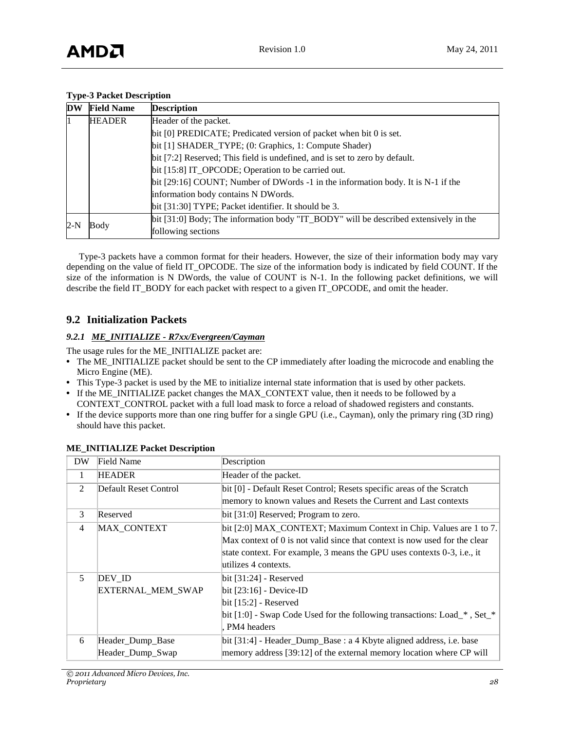#### **Type-3 Packet Description**

| <b>DW</b>                                                                   | <b>Field Name</b>                                  | <b>Description</b>                                                                   |  |  |
|-----------------------------------------------------------------------------|----------------------------------------------------|--------------------------------------------------------------------------------------|--|--|
|                                                                             | Header of the packet.<br><b>HEADER</b>             |                                                                                      |  |  |
|                                                                             |                                                    | bit [0] PREDICATE; Predicated version of packet when bit 0 is set.                   |  |  |
|                                                                             |                                                    | bit [1] SHADER_TYPE; (0: Graphics, 1: Compute Shader)                                |  |  |
| bit [7:2] Reserved; This field is undefined, and is set to zero by default. |                                                    |                                                                                      |  |  |
|                                                                             | bit [15:8] IT_OPCODE; Operation to be carried out. |                                                                                      |  |  |
| information body contains N DWords.                                         |                                                    | bit [29:16] COUNT; Number of DWords -1 in the information body. It is N-1 if the     |  |  |
|                                                                             |                                                    |                                                                                      |  |  |
|                                                                             |                                                    | bit [31:30] TYPE; Packet identifier. It should be 3.                                 |  |  |
| $2-N$                                                                       |                                                    | bit [31:0] Body; The information body "IT_BODY" will be described extensively in the |  |  |
|                                                                             | Body                                               | following sections                                                                   |  |  |

Type-3 packets have a common format for their headers. However, the size of their information body may vary depending on the value of field IT\_OPCODE. The size of the information body is indicated by field COUNT. If the size of the information is N DWords, the value of COUNT is N-1. In the following packet definitions, we will describe the field IT\_BODY for each packet with respect to a given IT\_OPCODE, and omit the header.

# <span id="page-27-0"></span>**9.2 Initialization Packets**

# *9.2.1 ME\_INITIALIZE - R7xx/Evergreen/Cayman*

The usage rules for the ME\_INITIALIZE packet are:

- **•** The ME\_INITIALIZE packet should be sent to the CP immediately after loading the microcode and enabling the Micro Engine (ME).
- **•** This Type-3 packet is used by the ME to initialize internal state information that is used by other packets.
- **•** If the ME\_INITIALIZE packet changes the MAX\_CONTEXT value, then it needs to be followed by a CONTEXT\_CONTROL packet with a full load mask to force a reload of shadowed registers and constants.
- **•** If the device supports more than one ring buffer for a single GPU (i.e., Cayman), only the primary ring (3D ring) should have this packet.

| DW             | Field Name               | Description                                                                |
|----------------|--------------------------|----------------------------------------------------------------------------|
| 1              | <b>HEADER</b>            | Header of the packet.                                                      |
| 2              | Default Reset Control    | bit [0] - Default Reset Control; Resets specific areas of the Scratch      |
|                |                          | memory to known values and Resets the Current and Last contexts            |
| 3              | Reserved                 | bit [31:0] Reserved; Program to zero.                                      |
| $\overline{4}$ | <b>MAX CONTEXT</b>       | bit [2:0] MAX_CONTEXT; Maximum Context in Chip. Values are 1 to 7.         |
|                |                          | Max context of 0 is not valid since that context is now used for the clear |
|                |                          | state context. For example, 3 means the GPU uses contexts $0-3$ , i.e., it |
|                |                          | utilizes 4 contexts.                                                       |
| 5              | DEV ID                   | $bit [31:24]$ - Reserved                                                   |
|                | <b>EXTERNAL MEM SWAP</b> | $bit [23:16]$ - Device-ID                                                  |
|                |                          | $bit [15:2]$ - Reserved                                                    |
|                |                          | [bit [1:0] - Swap Code Used for the following transactions: Load_*, Set_*  |
|                |                          | PM4 headers                                                                |
| 6              | Header_Dump_Base         | bit [31:4] - Header_Dump_Base : a 4 Kbyte aligned address, i.e. base       |
|                | Header_Dump_Swap         | memory address [39:12] of the external memory location where CP will       |

# **ME\_INITIALIZE Packet Description**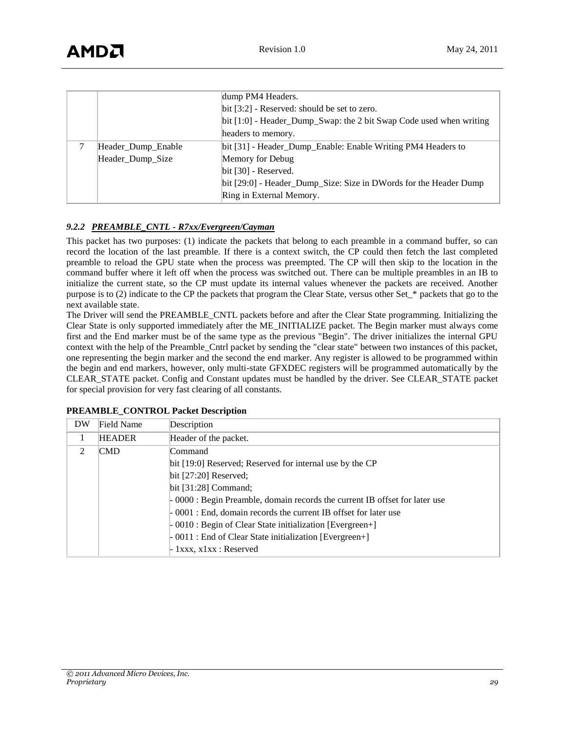|                    | dump PM4 Headers.                                                     |
|--------------------|-----------------------------------------------------------------------|
|                    | $bit [3:2]$ - Reserved: should be set to zero.                        |
|                    | $bit [1:0]$ - Header_Dump_Swap: the 2 bit Swap Code used when writing |
|                    | headers to memory.                                                    |
| Header_Dump_Enable | bit [31] - Header_Dump_Enable: Enable Writing PM4 Headers to          |
| Header_Dump_Size   | Memory for Debug                                                      |
|                    | $bit [30]$ - Reserved.                                                |
|                    | bit [29:0] - Header_Dump_Size: Size in DWords for the Header Dump     |
|                    | Ring in External Memory.                                              |

### *9.2.2 PREAMBLE\_CNTL - R7xx/Evergreen/Cayman*

This packet has two purposes: (1) indicate the packets that belong to each preamble in a command buffer, so can record the location of the last preamble. If there is a context switch, the CP could then fetch the last completed preamble to reload the GPU state when the process was preempted. The CP will then skip to the location in the command buffer where it left off when the process was switched out. There can be multiple preambles in an IB to initialize the current state, so the CP must update its internal values whenever the packets are received. Another purpose is to (2) indicate to the CP the packets that program the Clear State, versus other Set\_\* packets that go to the next available state.

The Driver will send the PREAMBLE\_CNTL packets before and after the Clear State programming. Initializing the Clear State is only supported immediately after the ME\_INITIALIZE packet. The Begin marker must always come first and the End marker must be of the same type as the previous "Begin". The driver initializes the internal GPU context with the help of the Preamble\_Cntrl packet by sending the "clear state" between two instances of this packet, one representing the begin marker and the second the end marker. Any register is allowed to be programmed within the begin and end markers, however, only multi-state GFXDEC registers will be programmed automatically by the CLEAR\_STATE packet. Config and Constant updates must be handled by the driver. See CLEAR\_STATE packet for special provision for very fast clearing of all constants.

| DW                          | Field Name    | Description                                                                      |
|-----------------------------|---------------|----------------------------------------------------------------------------------|
|                             | <b>HEADER</b> | Header of the packet.                                                            |
| $\mathcal{D}_{\mathcal{L}}$ | <b>CMD</b>    | lCommand                                                                         |
|                             |               | bit [19:0] Reserved; Reserved for internal use by the CP                         |
|                             |               | $bit [27:20]$ Reserved;                                                          |
|                             |               | $bit [31:28]$ Command:                                                           |
|                             |               | $\sim$ 0000 : Begin Preamble, domain records the current IB offset for later use |
|                             |               | -0001 : End, domain records the current IB offset for later use                  |
|                             |               | $-0010$ : Begin of Clear State initialization [Evergreen+]                       |
|                             |               | $-0011$ : End of Clear State initialization [Evergreen+]                         |
|                             |               | $-1$ xxx, x1xx : Reserved                                                        |

| <b>PREAMBLE_CONTROL Packet Description</b> |  |  |  |
|--------------------------------------------|--|--|--|
|--------------------------------------------|--|--|--|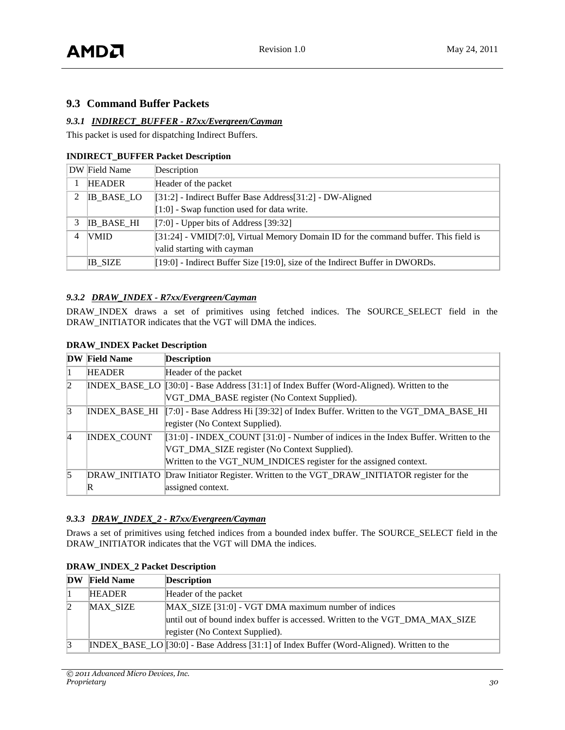# <span id="page-29-0"></span>**9.3 Command Buffer Packets**

#### *9.3.1 INDIRECT\_BUFFER - R7xx/Evergreen/Cayman*

This packet is used for dispatching Indirect Buffers.

#### **INDIRECT\_BUFFER Packet Description**

|             | DW Field Name     | Description                                                                           |
|-------------|-------------------|---------------------------------------------------------------------------------------|
|             | <b>HEADER</b>     | Header of the packet                                                                  |
| $2^{\circ}$ | <b>IB_BASE_LO</b> | [31:2] - Indirect Buffer Base Address[31:2] - DW-Aligned                              |
|             |                   | $[1:0]$ - Swap function used for data write.                                          |
|             | <b>IB BASE HI</b> | $[7:0]$ - Upper bits of Address [39:32]                                               |
|             | <b>VMID</b>       | $[31:24]$ - VMID[7:0], Virtual Memory Domain ID for the command buffer. This field is |
|             |                   | valid starting with cayman                                                            |
|             | <b>IB SIZE</b>    | $[19:0]$ - Indirect Buffer Size [19:0], size of the Indirect Buffer in DWORDs.        |

#### *9.3.2 DRAW\_INDEX - R7xx/Evergreen/Cayman*

DRAW\_INDEX draws a set of primitives using fetched indices. The SOURCE\_SELECT field in the DRAW\_INITIATOR indicates that the VGT will DMA the indices.

|                | <b>DW</b> Field Name | <b>Description</b>                                                                              |
|----------------|----------------------|-------------------------------------------------------------------------------------------------|
|                | <b>HEADER</b>        | Header of the packet                                                                            |
| $\overline{2}$ |                      | $[INDEX_BASE\_LO   [30:0] - Base Address [31:1] of Index Buffer (Word-Aligned). Written to the$ |
|                |                      | VGT_DMA_BASE register (No Context Supplied).                                                    |
| 3              |                      | INDEX_BASE_HI   7:0] - Base Address Hi [39:32] of Index Buffer. Written to the VGT_DMA_BASE_HI  |
|                |                      | register (No Context Supplied).                                                                 |
| $\overline{4}$ | <b>INDEX COUNT</b>   | $[31:0]$ - INDEX_COUNT [31:0] - Number of indices in the Index Buffer. Written to the           |
|                |                      | VGT_DMA_SIZE register (No Context Supplied).                                                    |
|                |                      | Written to the VGT_NUM_INDICES register for the assigned context.                               |
| 5              |                      | DRAW_INITIATO Draw Initiator Register. Written to the VGT_DRAW_INITIATOR register for the       |
|                | $\mathbb R$          | assigned context.                                                                               |

#### **DRAW\_INDEX Packet Description**

#### *9.3.3 DRAW\_INDEX\_2 - R7xx/Evergreen/Cayman*

Draws a set of primitives using fetched indices from a bounded index buffer. The SOURCE\_SELECT field in the DRAW\_INITIATOR indicates that the VGT will DMA the indices.

| <b>DW</b> | <b>Field Name</b> | <b>Description</b>                                                                           |  |
|-----------|-------------------|----------------------------------------------------------------------------------------------|--|
|           | <b>HEADER</b>     | Header of the packet                                                                         |  |
|           | <b>MAX SIZE</b>   | MAX SIZE [31:0] - VGT DMA maximum number of indices                                          |  |
|           |                   | until out of bound index buffer is accessed. Written to the VGT DMA MAX SIZE                 |  |
|           |                   | register (No Context Supplied).                                                              |  |
|           |                   | $[INDEX_BASE_LO][30:0]$ - Base Address [31:1] of Index Buffer (Word-Aligned). Written to the |  |

# **DRAW\_INDEX\_2 Packet Description**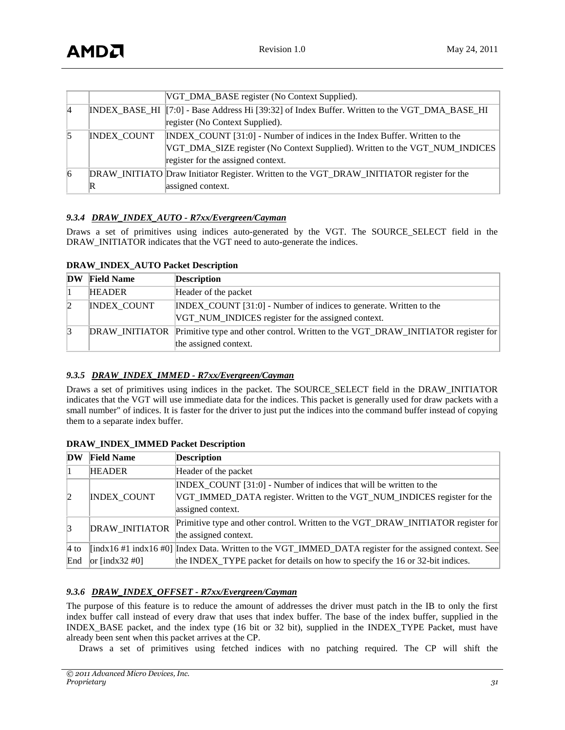|                |                    | VGT_DMA_BASE register (No Context Supplied).                                                  |
|----------------|--------------------|-----------------------------------------------------------------------------------------------|
| $\overline{4}$ |                    | INDEX_BASE_HI [7:0] - Base Address Hi [39:32] of Index Buffer. Written to the VGT_DMA_BASE_HI |
|                |                    | register (No Context Supplied).                                                               |
|                | <b>INDEX COUNT</b> | INDEX COUNT [31:0] - Number of indices in the Index Buffer. Written to the                    |
|                |                    | VGT_DMA_SIZE register (No Context Supplied). Written to the VGT_NUM_INDICES                   |
|                |                    | register for the assigned context.                                                            |
| $\overline{6}$ |                    | DRAW_INITIATO Draw Initiator Register. Written to the VGT_DRAW_INITIATOR register for the     |
|                | $\mathbb R$        | assigned context.                                                                             |

### *9.3.4 DRAW\_INDEX\_AUTO - R7xx/Evergreen/Cayman*

Draws a set of primitives using indices auto-generated by the VGT. The SOURCE\_SELECT field in the DRAW\_INITIATOR indicates that the VGT need to auto-generate the indices.

| <b>DW</b> | <b>Field Name</b>  | <b>Description</b>                                                                                                       |
|-----------|--------------------|--------------------------------------------------------------------------------------------------------------------------|
|           | <b>HEADER</b>      | Header of the packet                                                                                                     |
| 2         | <b>INDEX COUNT</b> | INDEX_COUNT [31:0] - Number of indices to generate. Written to the<br>VGT_NUM_INDICES register for the assigned context. |
|           |                    | DRAW_INITIATOR Primitive type and other control. Written to the VGT_DRAW_INITIATOR register for<br>the assigned context. |

#### **DRAW\_INDEX\_AUTO Packet Description**

#### *9.3.5 DRAW\_INDEX\_IMMED - R7xx/Evergreen/Cayman*

Draws a set of primitives using indices in the packet. The SOURCE\_SELECT field in the DRAW\_INITIATOR indicates that the VGT will use immediate data for the indices. This packet is generally used for draw packets with a small number" of indices. It is faster for the driver to just put the indices into the command buffer instead of copying them to a separate index buffer.

| DW             | <b>Field Name</b>                             | <b>Description</b>                                                                                                                                                |
|----------------|-----------------------------------------------|-------------------------------------------------------------------------------------------------------------------------------------------------------------------|
|                | <b>HEADER</b>                                 | Header of the packet                                                                                                                                              |
|                | <b>INDEX COUNT</b>                            | INDEX COUNT [31:0] - Number of indices that will be written to the                                                                                                |
| $\overline{2}$ |                                               | VGT_IMMED_DATA register. Written to the VGT_NUM_INDICES register for the                                                                                          |
|                |                                               | assigned context.                                                                                                                                                 |
| 3              | <b>DRAW INITIATOR</b>                         | Primitive type and other control. Written to the VGT_DRAW_INITIATOR register for                                                                                  |
|                |                                               | the assigned context.                                                                                                                                             |
| $4$ to         |                                               | $\left[ \frac{\text{ind}}{41} \right]$ indx16 #0] $\left[ \frac{\text{Ind}}{48} \right]$ and Mritten to the VGT_IMMED_DATA register for the assigned context. See |
| End            | or $\left[\text{indx}32 \text{ } \#0 \right]$ | the INDEX_TYPE packet for details on how to specify the 16 or 32-bit indices.                                                                                     |

#### **DRAW\_INDEX\_IMMED Packet Description**

#### *9.3.6 DRAW\_INDEX\_OFFSET - R7xx/Evergreen/Cayman*

The purpose of this feature is to reduce the amount of addresses the driver must patch in the IB to only the first index buffer call instead of every draw that uses that index buffer. The base of the index buffer, supplied in the INDEX\_BASE packet, and the index type (16 bit or 32 bit), supplied in the INDEX\_TYPE Packet, must have already been sent when this packet arrives at the CP.

Draws a set of primitives using fetched indices with no patching required. The CP will shift the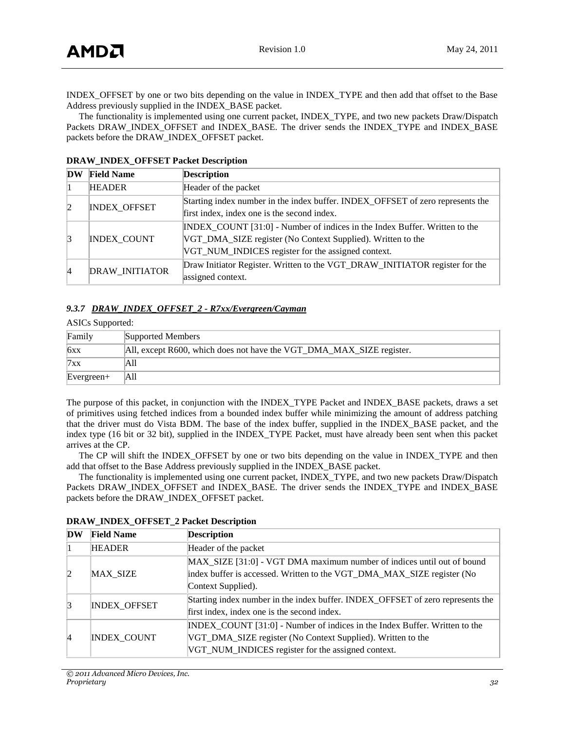INDEX\_OFFSET by one or two bits depending on the value in INDEX\_TYPE and then add that offset to the Base Address previously supplied in the INDEX\_BASE packet.

The functionality is implemented using one current packet, INDEX\_TYPE, and two new packets Draw/Dispatch Packets DRAW\_INDEX\_OFFSET and INDEX\_BASE. The driver sends the INDEX\_TYPE and INDEX\_BASE packets before the DRAW\_INDEX\_OFFSET packet.

| DW              | <b>Field Name</b>   | <b>Description</b>                                                                                                                                                                              |
|-----------------|---------------------|-------------------------------------------------------------------------------------------------------------------------------------------------------------------------------------------------|
|                 | <b>HEADER</b>       | Header of the packet                                                                                                                                                                            |
| $\overline{2}$  | <b>INDEX OFFSET</b> | Starting index number in the index buffer. INDEX_OFFSET of zero represents the<br>first index, index one is the second index.                                                                   |
| $\vert 3 \vert$ | <b>INDEX COUNT</b>  | INDEX_COUNT [31:0] - Number of indices in the Index Buffer. Written to the<br>VGT_DMA_SIZE register (No Context Supplied). Written to the<br>VGT_NUM_INDICES register for the assigned context. |
| $\vert 4 \vert$ | DRAW_INITIATOR      | Draw Initiator Register. Written to the VGT DRAW INITIATOR register for the<br>assigned context.                                                                                                |

#### **DRAW\_INDEX\_OFFSET Packet Description**

#### *9.3.7 DRAW\_INDEX\_OFFSET\_2 - R7xx/Evergreen/Cayman*

| <b>ASICs Supported:</b> |                                                                      |  |
|-------------------------|----------------------------------------------------------------------|--|
| Family                  | Supported Members                                                    |  |
| 6xx                     | All, except R600, which does not have the VGT_DMA_MAX_SIZE register. |  |
| 7xx                     | All                                                                  |  |
| $Evergreen+$            | A11                                                                  |  |

The purpose of this packet, in conjunction with the INDEX\_TYPE Packet and INDEX\_BASE packets, draws a set of primitives using fetched indices from a bounded index buffer while minimizing the amount of address patching that the driver must do Vista BDM. The base of the index buffer, supplied in the INDEX\_BASE packet, and the index type (16 bit or 32 bit), supplied in the INDEX\_TYPE Packet, must have already been sent when this packet arrives at the CP.

The CP will shift the INDEX\_OFFSET by one or two bits depending on the value in INDEX\_TYPE and then add that offset to the Base Address previously supplied in the INDEX\_BASE packet.

The functionality is implemented using one current packet, INDEX\_TYPE, and two new packets Draw/Dispatch Packets DRAW\_INDEX\_OFFSET and INDEX\_BASE. The driver sends the INDEX\_TYPE and INDEX\_BASE packets before the DRAW\_INDEX\_OFFSET packet.

| DW              | <b>Field Name</b>   | <b>Description</b>                                                             |
|-----------------|---------------------|--------------------------------------------------------------------------------|
|                 | <b>HEADER</b>       | Header of the packet                                                           |
|                 | <b>MAX SIZE</b>     | MAX_SIZE [31:0] - VGT DMA maximum number of indices until out of bound         |
| $\overline{2}$  |                     | index buffer is accessed. Written to the VGT_DMA_MAX_SIZE register (No         |
|                 |                     | Context Supplied).                                                             |
| $\vert 3 \vert$ | <b>INDEX_OFFSET</b> | Starting index number in the index buffer. INDEX_OFFSET of zero represents the |
|                 |                     | first index, index one is the second index.                                    |
|                 |                     | INDEX_COUNT [31:0] - Number of indices in the Index Buffer. Written to the     |
| $\vert$ 4       | <b>INDEX COUNT</b>  | VGT_DMA_SIZE register (No Context Supplied). Written to the                    |
|                 |                     | VGT_NUM_INDICES register for the assigned context.                             |

**DRAW\_INDEX\_OFFSET\_2 Packet Description**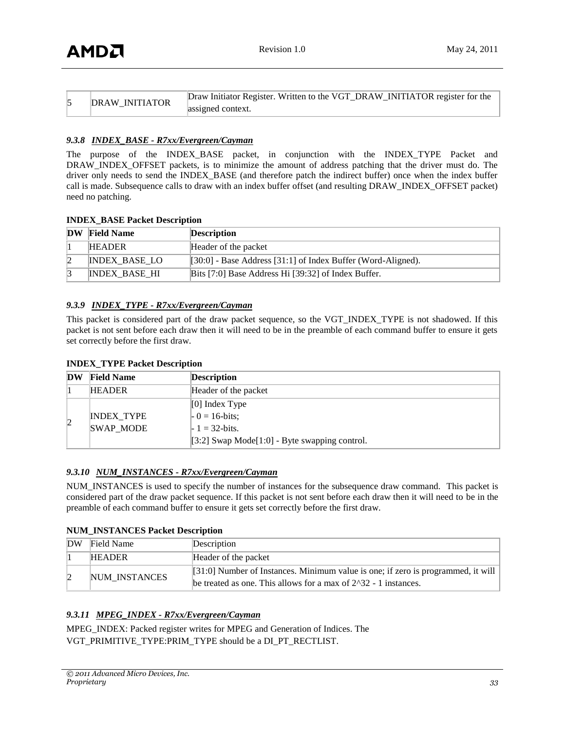| Draw Initiator Register. Written to the VGT_DRAW_INITIATOR register for the<br><b>DRAW INITIATOR</b><br>assigned context. |  |
|---------------------------------------------------------------------------------------------------------------------------|--|
|---------------------------------------------------------------------------------------------------------------------------|--|

#### *9.3.8 INDEX\_BASE - R7xx/Evergreen/Cayman*

The purpose of the INDEX\_BASE packet, in conjunction with the INDEX\_TYPE Packet and DRAW\_INDEX\_OFFSET packets, is to minimize the amount of address patching that the driver must do. The driver only needs to send the INDEX\_BASE (and therefore patch the indirect buffer) once when the index buffer call is made. Subsequence calls to draw with an index buffer offset (and resulting DRAW\_INDEX\_OFFSET packet) need no patching.

#### **INDEX\_BASE Packet Description**

| <b>DW</b> | <b>Field Name</b>    | <b>Description</b>                                           |
|-----------|----------------------|--------------------------------------------------------------|
|           | <b>HEADER</b>        | Header of the packet                                         |
|           | <b>INDEX BASE LO</b> | [30:0] - Base Address [31:1] of Index Buffer (Word-Aligned). |
|           | <b>INDEX BASE HI</b> | Bits [7:0] Base Address Hi [39:32] of Index Buffer.          |

#### *9.3.9 INDEX\_TYPE - R7xx/Evergreen/Cayman*

This packet is considered part of the draw packet sequence, so the VGT\_INDEX\_TYPE is not shadowed. If this packet is not sent before each draw then it will need to be in the preamble of each command buffer to ensure it gets set correctly before the first draw.

| DW | <b>Field Name</b> | <b>Description</b>                                                       |
|----|-------------------|--------------------------------------------------------------------------|
|    | <b>HEADER</b>     | Header of the packet                                                     |
|    | <b>INDEX TYPE</b> | $[0]$ Index Type<br>$-0 = 16 - bits;$                                    |
|    | <b>SWAP MODE</b>  | $-1 = 32 - bits$ .<br>$[3:2]$ Swap Mode $[1:0]$ - Byte swapping control. |

#### *9.3.10 NUM\_INSTANCES - R7xx/Evergreen/Cayman*

NUM\_INSTANCES is used to specify the number of instances for the subsequence draw command. This packet is considered part of the draw packet sequence. If this packet is not sent before each draw then it will need to be in the preamble of each command buffer to ensure it gets set correctly before the first draw.

#### **NUM\_INSTANCES Packet Description**

| <b>DW</b> | Field Name    | Description                                                                                                                                         |
|-----------|---------------|-----------------------------------------------------------------------------------------------------------------------------------------------------|
|           | <b>HEADER</b> | Header of the packet                                                                                                                                |
|           | NUM INSTANCES | [31:0] Number of Instances. Minimum value is one; if zero is programmed, it will<br>be treated as one. This allows for a max of $2^3$ -1 instances. |

#### *9.3.11 MPEG\_INDEX - R7xx/Evergreen/Cayman*

MPEG\_INDEX: Packed register writes for MPEG and Generation of Indices. The VGT\_PRIMITIVE\_TYPE:PRIM\_TYPE should be a DI\_PT\_RECTLIST.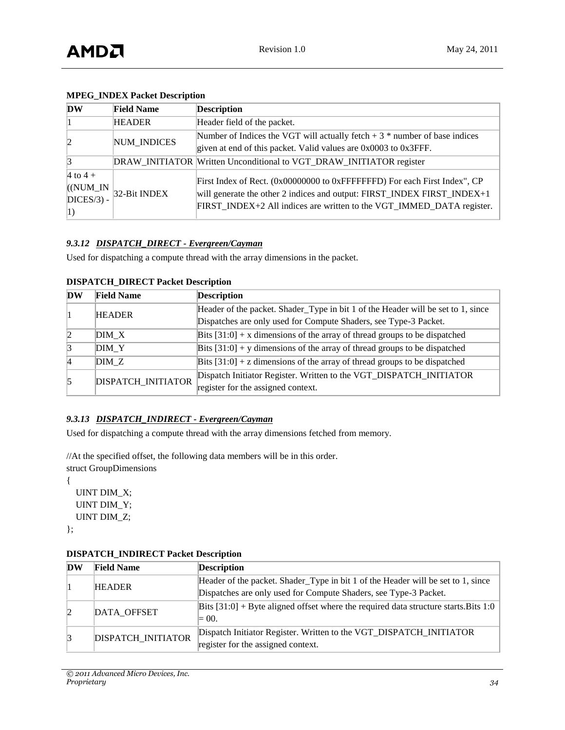| DW                                        | <b>Field Name</b>  | <b>Description</b>                                                                                                                                                                                                            |
|-------------------------------------------|--------------------|-------------------------------------------------------------------------------------------------------------------------------------------------------------------------------------------------------------------------------|
|                                           | <b>HEADER</b>      | Header field of the packet.                                                                                                                                                                                                   |
|                                           | <b>NUM INDICES</b> | Number of Indices the VGT will actually fetch $+3$ * number of base indices<br>given at end of this packet. Valid values are $0x0003$ to $0x3$ FFF.                                                                           |
| 13                                        |                    | DRAW_INITIATOR Written Unconditional to VGT_DRAW_INITIATOR register                                                                                                                                                           |
| 4 to $4 +$<br>$($ (NUM_IN<br>$DICES/3) -$ | 32-Bit INDEX       | First Index of Rect. (0x00000000 to 0xFFFFFFFD) For each First Index", CP<br>will generate the other 2 indices and output: FIRST_INDEX FIRST_INDEX+1<br>FIRST_INDEX+2 All indices are written to the VGT_IMMED_DATA register. |

# **MPEG\_INDEX Packet Description**

### *9.3.12 DISPATCH\_DIRECT - Evergreen/Cayman*

Used for dispatching a compute thread with the array dimensions in the packet.

| <b>DW</b>       | <b>Field Name</b>         | <b>Description</b>                                                               |
|-----------------|---------------------------|----------------------------------------------------------------------------------|
|                 | <b>HEADER</b>             | Header of the packet. Shader_Type in bit 1 of the Header will be set to 1, since |
|                 |                           | Dispatches are only used for Compute Shaders, see Type-3 Packet.                 |
| $\mathbf{2}$    | DIM X                     | Bits $[31:0] + x$ dimensions of the array of thread groups to be dispatched      |
| $\vert 3 \vert$ | DIM Y                     | Bits $[31:0]$ + y dimensions of the array of thread groups to be dispatched      |
| $\vert$ 4       | DIMZ                      | Bits $[31:0]$ + z dimensions of the array of thread groups to be dispatched      |
| 5               | <b>DISPATCH INITIATOR</b> | Dispatch Initiator Register. Written to the VGT_DISPATCH_INITIATOR               |
|                 |                           | register for the assigned context.                                               |

#### **DISPATCH\_DIRECT Packet Description**

#### *9.3.13 DISPATCH\_INDIRECT - Evergreen/Cayman*

Used for dispatching a compute thread with the array dimensions fetched from memory.

//At the specified offset, the following data members will be in this order.

struct GroupDimensions

 UINT DIM\_X; UINT DIM\_Y; UINT DIM\_Z;

};

{

| DW | <b>Field Name</b>  | <b>Description</b>                                                                     |
|----|--------------------|----------------------------------------------------------------------------------------|
|    | <b>HEADER</b>      | Header of the packet. Shader_Type in bit 1 of the Header will be set to 1, since       |
|    |                    | Dispatches are only used for Compute Shaders, see Type-3 Packet.                       |
|    | DATA OFFSET        | Bits $[31:0]$ + Byte aligned offset where the required data structure starts. Bits 1:0 |
|    |                    | $= 00.$                                                                                |
|    | DISPATCH_INITIATOR | Dispatch Initiator Register. Written to the VGT_DISPATCH_INITIATOR                     |
|    |                    | register for the assigned context.                                                     |

# **DISPATCH\_INDIRECT Packet Description**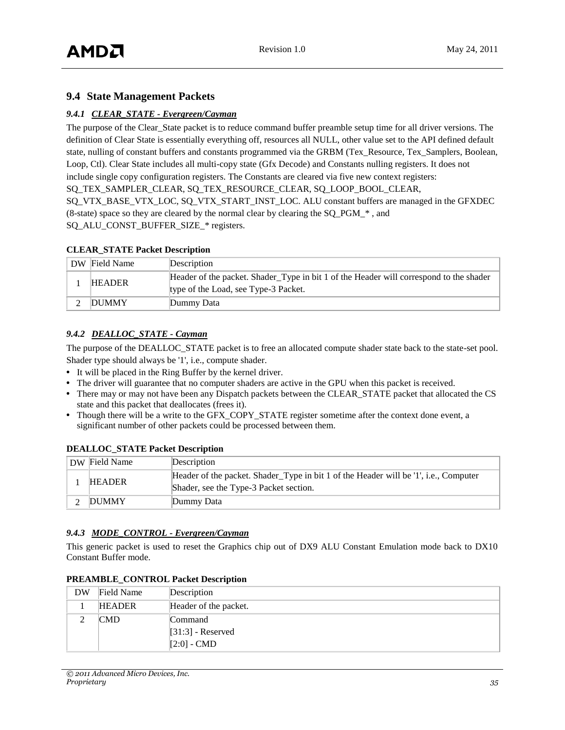# <span id="page-34-0"></span>**9.4 State Management Packets**

# *9.4.1 CLEAR\_STATE - Evergreen/Cayman*

The purpose of the Clear State packet is to reduce command buffer preamble setup time for all driver versions. The definition of Clear State is essentially everything off, resources all NULL, other value set to the API defined default state, nulling of constant buffers and constants programmed via the GRBM (Tex\_Resource, Tex\_Samplers, Boolean, Loop, Ctl). Clear State includes all multi-copy state (Gfx Decode) and Constants nulling registers. It does not include single copy configuration registers. The Constants are cleared via five new context registers: SO TEX\_SAMPLER\_CLEAR, SO TEX\_RESOURCE\_CLEAR, SO LOOP\_BOOL\_CLEAR, SQ\_VTX\_BASE\_VTX\_LOC, SQ\_VTX\_START\_INST\_LOC. ALU constant buffers are managed in the GFXDEC (8-state) space so they are cleared by the normal clear by clearing the SQ\_PGM\_\* , and SO ALU CONST BUFFER SIZE \* registers.

#### **CLEAR\_STATE Packet Description**

| DW Field Name | Description                                                                                                                    |
|---------------|--------------------------------------------------------------------------------------------------------------------------------|
| <b>HEADER</b> | Header of the packet. Shader_Type in bit 1 of the Header will correspond to the shader<br>type of the Load, see Type-3 Packet. |
| <b>DUMMY</b>  | Dummy Data                                                                                                                     |

## *9.4.2 DEALLOC\_STATE - Cayman*

The purpose of the DEALLOC\_STATE packet is to free an allocated compute shader state back to the state-set pool. Shader type should always be '1', i.e., compute shader.

- **•** It will be placed in the Ring Buffer by the kernel driver.
- **•** The driver will guarantee that no computer shaders are active in the GPU when this packet is received.
- **•** There may or may not have been any Dispatch packets between the CLEAR\_STATE packet that allocated the CS state and this packet that deallocates (frees it).
- **•** Though there will be a write to the GFX\_COPY\_STATE register sometime after the context done event, a significant number of other packets could be processed between them.

| DW Field Name | Description                                                                                                                    |
|---------------|--------------------------------------------------------------------------------------------------------------------------------|
| <b>HEADER</b> | Header of the packet. Shader_Type in bit 1 of the Header will be '1', i.e., Computer<br>Shader, see the Type-3 Packet section. |
| DUMMY         | Dummy Data                                                                                                                     |

#### **DEALLOC\_STATE Packet Description**

#### *9.4.3 MODE\_CONTROL - Evergreen/Cayman*

This generic packet is used to reset the Graphics chip out of DX9 ALU Constant Emulation mode back to DX10 Constant Buffer mode.

| DW | Field Name    | Description           |
|----|---------------|-----------------------|
|    | <b>HEADER</b> | Header of the packet. |
|    | <b>CMD</b>    | Command               |
|    |               | $[31:3]$ - Reserved   |
|    |               | $[2:0]$ - CMD         |

#### **PREAMBLE\_CONTROL Packet Description**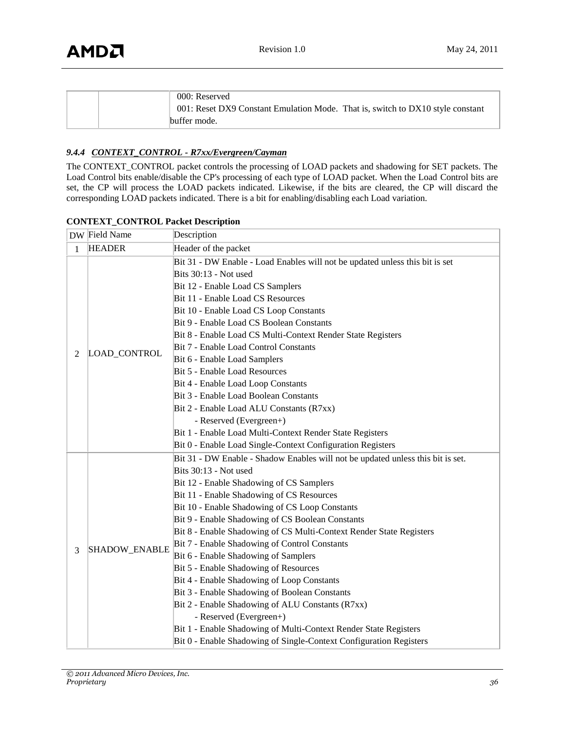| 000: Reserved                                                                  |
|--------------------------------------------------------------------------------|
| 001: Reset DX9 Constant Emulation Mode. That is, switch to DX10 style constant |
| buffer mode.                                                                   |

## *9.4.4 CONTEXT\_CONTROL - R7xx/Evergreen/Cayman*

The CONTEXT\_CONTROL packet controls the processing of LOAD packets and shadowing for SET packets. The Load Control bits enable/disable the CP's processing of each type of LOAD packet. When the Load Control bits are set, the CP will process the LOAD packets indicated. Likewise, if the bits are cleared, the CP will discard the corresponding LOAD packets indicated. There is a bit for enabling/disabling each Load variation.

|              | DW Field Name | Description                                                                                                                                                                                                                                                                                                                                                                                                                                                                                                                                                                                                                                                                                                                                                                                                                                                                                            |
|--------------|---------------|--------------------------------------------------------------------------------------------------------------------------------------------------------------------------------------------------------------------------------------------------------------------------------------------------------------------------------------------------------------------------------------------------------------------------------------------------------------------------------------------------------------------------------------------------------------------------------------------------------------------------------------------------------------------------------------------------------------------------------------------------------------------------------------------------------------------------------------------------------------------------------------------------------|
| $\mathbf{1}$ | <b>HEADER</b> | Header of the packet                                                                                                                                                                                                                                                                                                                                                                                                                                                                                                                                                                                                                                                                                                                                                                                                                                                                                   |
| 2            | LOAD_CONTROL  | Bit 31 - DW Enable - Load Enables will not be updated unless this bit is set<br>Bits 30:13 - Not used<br>Bit 12 - Enable Load CS Samplers<br>Bit 11 - Enable Load CS Resources<br>Bit 10 - Enable Load CS Loop Constants<br>Bit 9 - Enable Load CS Boolean Constants<br>Bit 8 - Enable Load CS Multi-Context Render State Registers<br>Bit 7 - Enable Load Control Constants<br>Bit 6 - Enable Load Samplers<br>Bit 5 - Enable Load Resources<br>Bit 4 - Enable Load Loop Constants<br>Bit 3 - Enable Load Boolean Constants<br>Bit 2 - Enable Load ALU Constants (R7xx)<br>- Reserved (Evergreen+)<br>Bit 1 - Enable Load Multi-Context Render State Registers                                                                                                                                                                                                                                        |
| 3            | SHADOW_ENABLE | Bit 0 - Enable Load Single-Context Configuration Registers<br>Bit 31 - DW Enable - Shadow Enables will not be updated unless this bit is set.<br>Bits 30:13 - Not used<br>Bit 12 - Enable Shadowing of CS Samplers<br>Bit 11 - Enable Shadowing of CS Resources<br>Bit 10 - Enable Shadowing of CS Loop Constants<br>Bit 9 - Enable Shadowing of CS Boolean Constants<br>Bit 8 - Enable Shadowing of CS Multi-Context Render State Registers<br>Bit 7 - Enable Shadowing of Control Constants<br>Bit 6 - Enable Shadowing of Samplers<br>Bit 5 - Enable Shadowing of Resources<br>Bit 4 - Enable Shadowing of Loop Constants<br>Bit 3 - Enable Shadowing of Boolean Constants<br>Bit 2 - Enable Shadowing of ALU Constants (R7xx)<br>- Reserved (Evergreen+)<br>Bit 1 - Enable Shadowing of Multi-Context Render State Registers<br>Bit 0 - Enable Shadowing of Single-Context Configuration Registers |

#### **CONTEXT\_CONTROL Packet Description**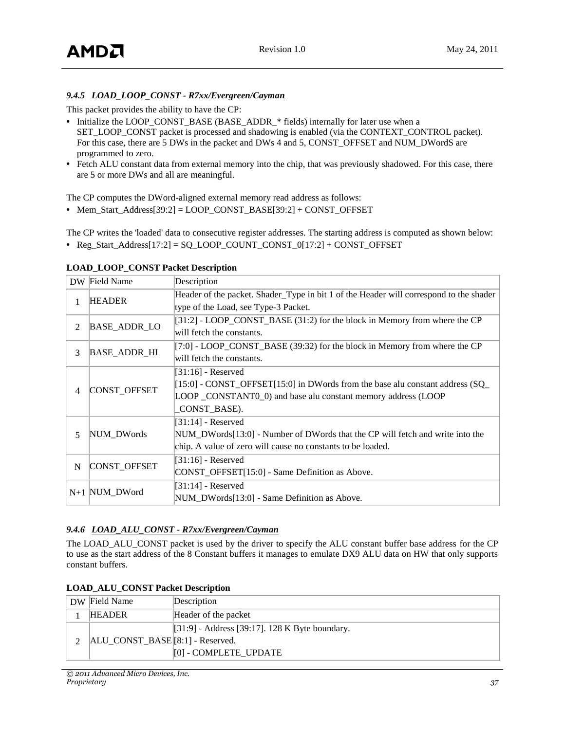# *9.4.5 LOAD\_LOOP\_CONST - R7xx/Evergreen/Cayman*

This packet provides the ability to have the CP:

- **•** Initialize the LOOP\_CONST\_BASE (BASE\_ADDR\_\* fields) internally for later use when a SET\_LOOP\_CONST packet is processed and shadowing is enabled (via the CONTEXT\_CONTROL packet). For this case, there are 5 DWs in the packet and DWs 4 and 5, CONST\_OFFSET and NUM\_DWordS are programmed to zero.
- **•** Fetch ALU constant data from external memory into the chip, that was previously shadowed. For this case, there are 5 or more DWs and all are meaningful.

The CP computes the DWord-aligned external memory read address as follows:

**•** Mem\_Start\_Address[39:2] = LOOP\_CONST\_BASE[39:2] + CONST\_OFFSET

The CP writes the 'loaded' data to consecutive register addresses. The starting address is computed as shown below:

**•** Reg\_Start\_Address[17:2] = SQ\_LOOP\_COUNT\_CONST\_0[17:2] + CONST\_OFFSET

|                | DW Field Name       | Description                                                                            |
|----------------|---------------------|----------------------------------------------------------------------------------------|
| 1              | <b>HEADER</b>       | Header of the packet. Shader_Type in bit 1 of the Header will correspond to the shader |
|                |                     | type of the Load, see Type-3 Packet.                                                   |
| $\overline{2}$ | <b>BASE_ADDR_LO</b> | [31:2] - LOOP_CONST_BASE (31:2) for the block in Memory from where the CP              |
|                |                     | will fetch the constants.                                                              |
| 3              | <b>BASE_ADDR_HI</b> | $[7:0]$ - LOOP_CONST_BASE (39:32) for the block in Memory from where the CP            |
|                |                     | will fetch the constants.                                                              |
|                |                     | $[31:16]$ - Reserved                                                                   |
| 4              | CONST_OFFSET        | $[15:0]$ - CONST_OFFSET[15:0] in DWords from the base alu constant address (SQ_        |
|                |                     | LOOP CONSTANTO <sub>_0</sub> ) and base alu constant memory address (LOOP              |
|                |                     | CONST_BASE).                                                                           |
|                |                     | $[31:14]$ - Reserved                                                                   |
| 5              | NUM DWords          | $NUM_DWords[13:0]$ - Number of DWords that the CP will fetch and write into the        |
|                |                     | chip. A value of zero will cause no constants to be loaded.                            |
|                | CONST_OFFSET        | $[31:16]$ - Reserved                                                                   |
| N              |                     | CONST_OFFSET[15:0] - Same Definition as Above.                                         |
|                | $N+1$ NUM DWord     | $[31:14]$ - Reserved                                                                   |
|                |                     | NUM DWords[13:0] - Same Definition as Above.                                           |

### **LOAD\_LOOP\_CONST Packet Description**

# *9.4.6 LOAD\_ALU\_CONST - R7xx/Evergreen/Cayman*

**LOAD\_ALU\_CONST Packet Description**

The LOAD ALU CONST packet is used by the driver to specify the ALU constant buffer base address for the CP to use as the start address of the 8 Constant buffers it manages to emulate DX9 ALU data on HW that only supports constant buffers.

| $20.12$ $-0.010$ $+0.010$ $+0.001$ $+0.001$ |               |                      |
|---------------------------------------------|---------------|----------------------|
|                                             | DW Field Name | Description          |
|                                             | <b>HEADER</b> | Header of the nacket |

| DW Field Name                    | Description                                    |
|----------------------------------|------------------------------------------------|
| <b>HEADER</b>                    | Header of the packet                           |
|                                  | [31:9] - Address [39:17]. 128 K Byte boundary. |
| ALU_CONST_BASE [8:1] - Reserved. |                                                |
|                                  | [0] - COMPLETE UPDATE                          |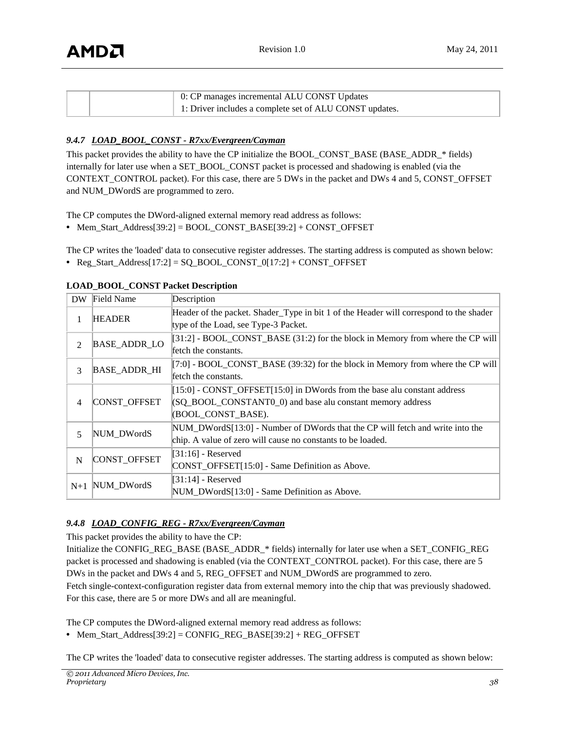|  | 0: CP manages incremental ALU CONST Updates             |
|--|---------------------------------------------------------|
|  | 1: Driver includes a complete set of ALU CONST updates. |

# *9.4.7 LOAD\_BOOL\_CONST - R7xx/Evergreen/Cayman*

This packet provides the ability to have the CP initialize the BOOL\_CONST\_BASE (BASE\_ADDR\_\* fields) internally for later use when a SET\_BOOL\_CONST packet is processed and shadowing is enabled (via the CONTEXT\_CONTROL packet). For this case, there are 5 DWs in the packet and DWs 4 and 5, CONST\_OFFSET and NUM\_DWordS are programmed to zero.

The CP computes the DWord-aligned external memory read address as follows:

**•** Mem\_Start\_Address[39:2] = BOOL\_CONST\_BASE[39:2] + CONST\_OFFSET

The CP writes the 'loaded' data to consecutive register addresses. The starting address is computed as shown below:

**•** Reg\_Start\_Address[17:2] = SQ\_BOOL\_CONST\_0[17:2] + CONST\_OFFSET

| DW.         | <b>Field Name</b>   | Description                                                                            |
|-------------|---------------------|----------------------------------------------------------------------------------------|
|             | <b>HEADER</b>       | Header of the packet. Shader_Type in bit 1 of the Header will correspond to the shader |
| 1           |                     | type of the Load, see Type-3 Packet.                                                   |
| 2           | <b>BASE_ADDR_LO</b> | $[31:2]$ - BOOL_CONST_BASE (31:2) for the block in Memory from where the CP will       |
|             |                     | fetch the constants.                                                                   |
|             |                     | $[7:0]$ - BOOL_CONST_BASE (39:32) for the block in Memory from where the CP will       |
| 3           | <b>BASE_ADDR_HI</b> | fetch the constants.                                                                   |
|             | CONST_OFFSET        | $[15:0]$ - CONST OFFSET[15:0] in DWords from the base alu constant address             |
| 4           |                     | (SQ_BOOL_CONSTANT0_0) and base alu constant memory address                             |
|             |                     | (BOOL CONST BASE).                                                                     |
| 5           | NUM DWordS          | NUM_DWordS[13:0] - Number of DWords that the CP will fetch and write into the          |
|             |                     | chip. A value of zero will cause no constants to be loaded.                            |
|             | CONST_OFFSET        | $[31:16]$ - Reserved                                                                   |
| $\mathbf N$ |                     | CONST_OFFSET[15:0] - Same Definition as Above.                                         |
|             | NUM DWordS          | $[31:14]$ - Reserved                                                                   |
| $N+1$       |                     | NUM_DWordS[13:0] - Same Definition as Above.                                           |

**LOAD\_BOOL\_CONST Packet Description**

# *9.4.8 LOAD\_CONFIG\_REG - R7xx/Evergreen/Cayman*

This packet provides the ability to have the CP:

Initialize the CONFIG\_REG\_BASE (BASE\_ADDR\_\* fields) internally for later use when a SET\_CONFIG\_REG packet is processed and shadowing is enabled (via the CONTEXT\_CONTROL packet). For this case, there are 5 DWs in the packet and DWs 4 and 5, REG\_OFFSET and NUM\_DWordS are programmed to zero. Fetch single-context-configuration register data from external memory into the chip that was previously shadowed. For this case, there are 5 or more DWs and all are meaningful.

The CP computes the DWord-aligned external memory read address as follows:

**•** Mem\_Start\_Address[39:2] = CONFIG\_REG\_BASE[39:2] + REG\_OFFSET

The CP writes the 'loaded' data to consecutive register addresses. The starting address is computed as shown below: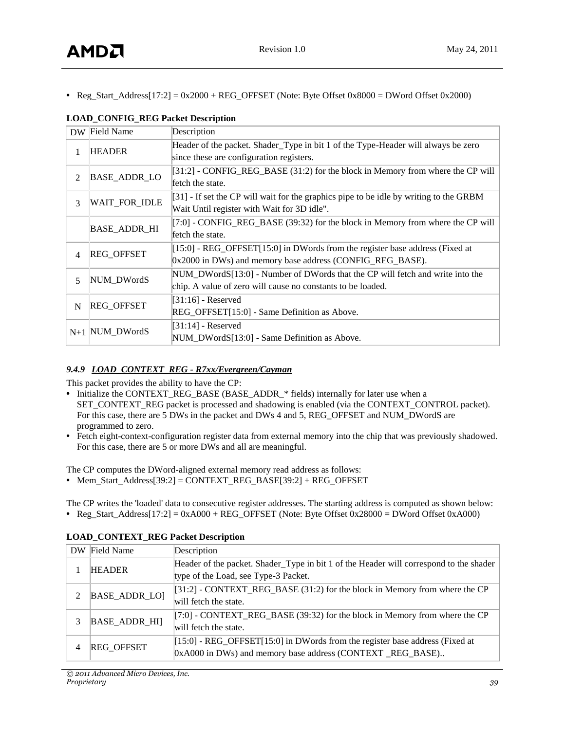• Reg\_Start\_Address[17:2] = 0x2000 + REG\_OFFSET (Note: Byte Offset 0x8000 = DWord Offset 0x2000)

|                | DW Field Name        | Description                                                                              |
|----------------|----------------------|------------------------------------------------------------------------------------------|
|                | <b>HEADER</b>        | Header of the packet. Shader_Type in bit 1 of the Type-Header will always be zero        |
| 1              |                      | since these are configuration registers.                                                 |
| 2              | <b>BASE_ADDR_LO</b>  | $[31:2]$ - CONFIG_REG_BASE (31:2) for the block in Memory from where the CP will         |
|                |                      | fetch the state.                                                                         |
| 3              | <b>WAIT_FOR_IDLE</b> | $[31]$ - If set the CP will wait for the graphics pipe to be idle by writing to the GRBM |
|                |                      | Wait Until register with Wait for 3D idle".                                              |
|                | <b>BASE_ADDR_HI</b>  | [7:0] - CONFIG_REG_BASE (39:32) for the block in Memory from where the CP will           |
|                |                      | fetch the state.                                                                         |
| $\overline{4}$ | <b>REG OFFSET</b>    | [15:0] - REG_OFFSET[15:0] in DWords from the register base address (Fixed at             |
|                |                      | 0x2000 in DWs) and memory base address (CONFIG_REG_BASE).                                |
| 5              | NUM_DWordS           | NUM_DWordS[13:0] - Number of DWords that the CP will fetch and write into the            |
|                |                      | chip. A value of zero will cause no constants to be loaded.                              |
|                |                      | $[31:16]$ - Reserved                                                                     |
| N              | <b>REG OFFSET</b>    | REG_OFFSET[15:0] - Same Definition as Above.                                             |
|                | $N+1$ NUM_DWordS     | $[31:14]$ - Reserved                                                                     |
|                |                      | NUM_DWordS[13:0] - Same Definition as Above.                                             |

# **LOAD\_CONFIG\_REG Packet Description**

# *9.4.9 LOAD\_CONTEXT\_REG - R7xx/Evergreen/Cayman*

This packet provides the ability to have the CP:

- **•** Initialize the CONTEXT\_REG\_BASE (BASE\_ADDR\_\* fields) internally for later use when a SET\_CONTEXT\_REG packet is processed and shadowing is enabled (via the CONTEXT\_CONTROL packet). For this case, there are 5 DWs in the packet and DWs 4 and 5, REG\_OFFSET and NUM\_DWordS are programmed to zero.
- **•** Fetch eight-context-configuration register data from external memory into the chip that was previously shadowed. For this case, there are 5 or more DWs and all are meaningful.

The CP computes the DWord-aligned external memory read address as follows:

**•** Mem\_Start\_Address[39:2] = CONTEXT\_REG\_BASE[39:2] + REG\_OFFSET

The CP writes the 'loaded' data to consecutive register addresses. The starting address is computed as shown below: • Reg\_Start\_Address[17:2] = 0xA000 + REG\_OFFSET (Note: Byte Offset 0x28000 = DWord Offset 0xA000)

|                             | DW Field Name        | Description                                                                            |
|-----------------------------|----------------------|----------------------------------------------------------------------------------------|
|                             | <b>HEADER</b>        | Header of the packet. Shader_Type in bit 1 of the Header will correspond to the shader |
|                             |                      | type of the Load, see Type-3 Packet.                                                   |
| $\mathcal{D}_{\mathcal{L}}$ | <b>BASE ADDR LOI</b> | [31:2] - CONTEXT_REG_BASE (31:2) for the block in Memory from where the CP             |
|                             |                      | will fetch the state.                                                                  |
| 3                           | <b>BASE_ADDR_HI]</b> | $[T:0]$ - CONTEXT_REG_BASE (39:32) for the block in Memory from where the CP           |
|                             |                      | will fetch the state.                                                                  |
| 4                           | <b>REG OFFSET</b>    | $[15:0]$ - REG_OFFSET $[15:0]$ in DWords from the register base address (Fixed at      |
|                             |                      | [0xA000 in DWs) and memory base address (CONTEXT_REG_BASE)                             |

# **LOAD\_CONTEXT\_REG Packet Description**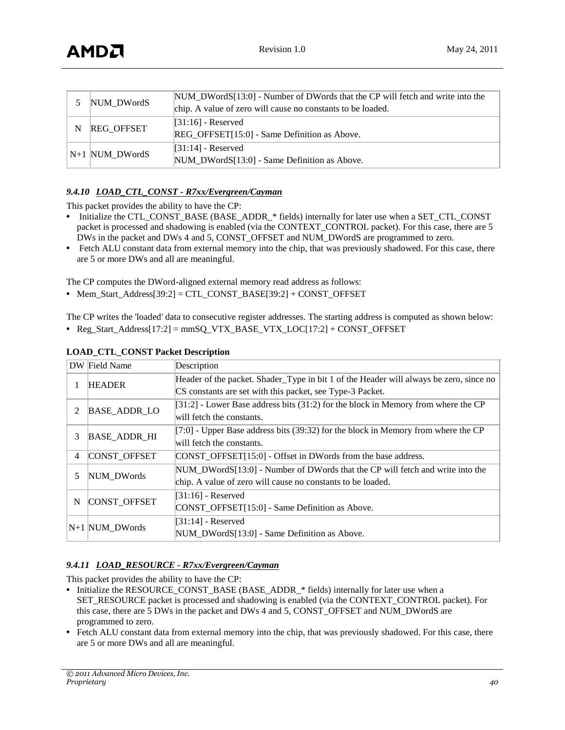|   | NUM DWordS        | $\text{NUM\_DWordS}[13:0]$ - Number of DWords that the CP will fetch and write into the<br>chip. A value of zero will cause no constants to be loaded. |
|---|-------------------|--------------------------------------------------------------------------------------------------------------------------------------------------------|
| N | <b>REG OFFSET</b> | $[31:16]$ - Reserved<br>REG OFFSET[15:0] - Same Definition as Above.                                                                                   |
|   | $N+1$ NUM_DWordS  | $[31:14]$ - Reserved<br>NUM_DWordS[13:0] - Same Definition as Above.                                                                                   |

### *9.4.10 LOAD\_CTL\_CONST - R7xx/Evergreen/Cayman*

This packet provides the ability to have the CP:

- Initialize the CTL\_CONST\_BASE (BASE\_ADDR\_\* fields) internally for later use when a SET\_CTL\_CONST packet is processed and shadowing is enabled (via the CONTEXT\_CONTROL packet). For this case, there are 5 DWs in the packet and DWs 4 and 5, CONST\_OFFSET and NUM\_DWordS are programmed to zero.
- **•** Fetch ALU constant data from external memory into the chip, that was previously shadowed. For this case, there are 5 or more DWs and all are meaningful.

The CP computes the DWord-aligned external memory read address as follows:

**•** Mem\_Start\_Address[39:2] = CTL\_CONST\_BASE[39:2] + CONST\_OFFSET

The CP writes the 'loaded' data to consecutive register addresses. The starting address is computed as shown below:

**•** Reg\_Start\_Address[17:2] = mmSQ\_VTX\_BASE\_VTX\_LOC[17:2] + CONST\_OFFSET

|    | DW Field Name       | Description                                                                            |
|----|---------------------|----------------------------------------------------------------------------------------|
|    | <b>HEADER</b>       | Header of the packet. Shader_Type in bit 1 of the Header will always be zero, since no |
|    |                     | CS constants are set with this packet, see Type-3 Packet.                              |
| 2  | <b>BASE_ADDR_LO</b> | $[31:2]$ - Lower Base address bits $(31:2)$ for the block in Memory from where the CP  |
|    |                     | will fetch the constants.                                                              |
| 3  | <b>BASE ADDR HI</b> | $[7:0]$ - Upper Base address bits (39:32) for the block in Memory from where the CP    |
|    |                     | will fetch the constants.                                                              |
| 4  | <b>CONST OFFSET</b> | CONST OFFSET[15:0] - Offset in DWords from the base address.                           |
| 5. | NUM DWords          | $\text{NUM}$ DWordS[13:0] - Number of DWords that the CP will fetch and write into the |
|    |                     | chip. A value of zero will cause no constants to be loaded.                            |
| N  | CONST_OFFSET        | $[31:16]$ - Reserved                                                                   |
|    |                     | CONST_OFFSET[15:0] - Same Definition as Above.                                         |
|    | N+1 NUM_DWords      | $[31:14]$ - Reserved                                                                   |
|    |                     | NUM DWordS[13:0] - Same Definition as Above.                                           |

#### **LOAD\_CTL\_CONST Packet Description**

#### *9.4.11 LOAD\_RESOURCE - R7xx/Evergreen/Cayman*

This packet provides the ability to have the CP:

- **•** Initialize the RESOURCE\_CONST\_BASE (BASE\_ADDR\_\* fields) internally for later use when a SET\_RESOURCE packet is processed and shadowing is enabled (via the CONTEXT\_CONTROL packet). For this case, there are 5 DWs in the packet and DWs 4 and 5, CONST\_OFFSET and NUM\_DWordS are programmed to zero.
- Fetch ALU constant data from external memory into the chip, that was previously shadowed. For this case, there are 5 or more DWs and all are meaningful.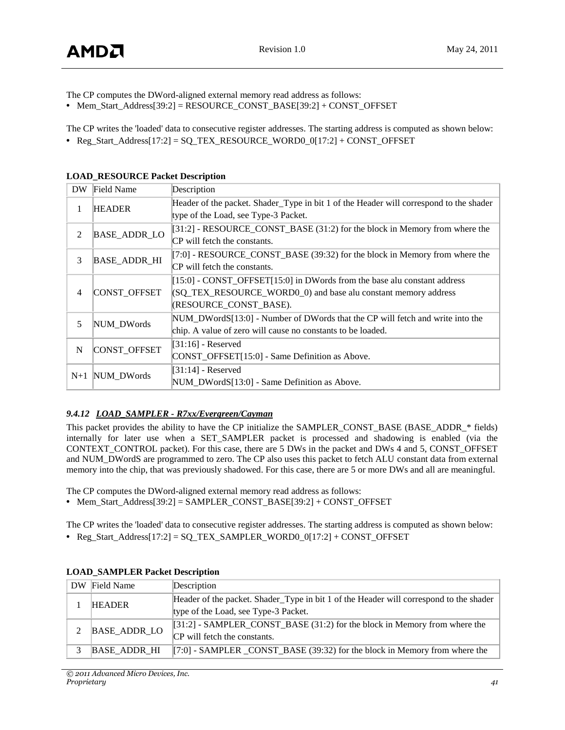The CP computes the DWord-aligned external memory read address as follows:

**•** Mem\_Start\_Address[39:2] = RESOURCE\_CONST\_BASE[39:2] + CONST\_OFFSET

The CP writes the 'loaded' data to consecutive register addresses. The starting address is computed as shown below: • Reg\_Start\_Address[17:2] = SQ\_TEX\_RESOURCE\_WORD0\_0[17:2] + CONST\_OFFSET

| <b>DW</b>      | Field Name          | Description                                                                            |
|----------------|---------------------|----------------------------------------------------------------------------------------|
| 1              | <b>HEADER</b>       | Header of the packet. Shader_Type in bit 1 of the Header will correspond to the shader |
|                |                     | type of the Load, see Type-3 Packet.                                                   |
| 2              | <b>BASE_ADDR_LO</b> | $[31:2]$ - RESOURCE_CONST_BASE $(31:2)$ for the block in Memory from where the         |
|                |                     | CP will fetch the constants.                                                           |
| 3              | <b>BASE_ADDR_HI</b> | $[7:0]$ - RESOURCE_CONST_BASE (39:32) for the block in Memory from where the           |
|                |                     | CP will fetch the constants.                                                           |
|                | CONST_OFFSET        | $[15:0]$ - CONST_OFFSET $[15:0]$ in DWords from the base alu constant address          |
| $\overline{4}$ |                     | (SQ_TEX_RESOURCE_WORD0_0) and base alu constant memory address                         |
|                |                     | (RESOURCE_CONST_BASE).                                                                 |
| 5              | NUM DWords          | NUM_DWordS[13:0] - Number of DWords that the CP will fetch and write into the          |
|                |                     | chip. A value of zero will cause no constants to be loaded.                            |
| N              | CONST_OFFSET        | $[31:16]$ - Reserved                                                                   |
|                |                     | CONST_OFFSET[15:0] - Same Definition as Above.                                         |
|                |                     | $[31:14]$ - Reserved                                                                   |
| $N+1$          | NUM DWords          | NUM_DWordS[13:0] - Same Definition as Above.                                           |

#### **LOAD\_RESOURCE Packet Description**

# *9.4.12 LOAD\_SAMPLER - R7xx/Evergreen/Cayman*

This packet provides the ability to have the CP initialize the SAMPLER\_CONST\_BASE (BASE\_ADDR\_\* fields) internally for later use when a SET SAMPLER packet is processed and shadowing is enabled (via the CONTEXT\_CONTROL packet). For this case, there are 5 DWs in the packet and DWs 4 and 5, CONST\_OFFSET and NUM\_DWordS are programmed to zero. The CP also uses this packet to fetch ALU constant data from external memory into the chip, that was previously shadowed. For this case, there are 5 or more DWs and all are meaningful.

The CP computes the DWord-aligned external memory read address as follows:

**•** Mem\_Start\_Address[39:2] = SAMPLER\_CONST\_BASE[39:2] + CONST\_OFFSET

The CP writes the 'loaded' data to consecutive register addresses. The starting address is computed as shown below:

**•** Reg\_Start\_Address[17:2] = SQ\_TEX\_SAMPLER\_WORD0\_0[17:2] + CONST\_OFFSET

| DW Field Name       | Description                                                                            |
|---------------------|----------------------------------------------------------------------------------------|
| <b>HEADER</b>       | Header of the packet. Shader_Type in bit 1 of the Header will correspond to the shader |
|                     | type of the Load, see Type-3 Packet.                                                   |
| BASE_ADDR_LO        | $[31:2]$ - SAMPLER_CONST_BASE (31:2) for the block in Memory from where the            |
|                     | CP will fetch the constants.                                                           |
| <b>BASE ADDR HI</b> | $[7:0]$ - SAMPLER CONST_BASE (39:32) for the block in Memory from where the            |

#### **LOAD\_SAMPLER Packet Description**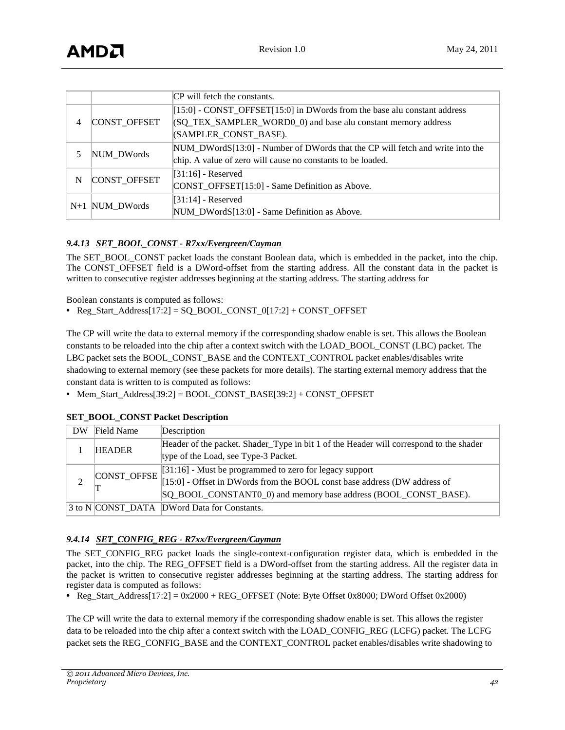|       |              | CP will fetch the constants.                                                                                                                                            |
|-------|--------------|-------------------------------------------------------------------------------------------------------------------------------------------------------------------------|
| 4     | CONST_OFFSET | $[15:0]$ - CONST_OFFSET $[15:0]$ in DWords from the base alu constant address<br>(SQ_TEX_SAMPLER_WORD0_0) and base alu constant memory address<br>(SAMPLER_CONST_BASE). |
| 5     | NUM DWords   | $NUM_DWordS[13:0]$ - Number of DWords that the CP will fetch and write into the<br>chip. A value of zero will cause no constants to be loaded.                          |
| N     | CONST_OFFSET | $[31:16]$ - Reserved<br>CONST_OFFSET[15:0] - Same Definition as Above.                                                                                                  |
| $N+1$ | NUM DWords   | $[31:14]$ - Reserved<br>NUM_DWordS[13:0] - Same Definition as Above.                                                                                                    |

# *9.4.13 SET\_BOOL\_CONST - R7xx/Evergreen/Cayman*

The SET\_BOOL\_CONST packet loads the constant Boolean data, which is embedded in the packet, into the chip. The CONST\_OFFSET field is a DWord-offset from the starting address. All the constant data in the packet is written to consecutive register addresses beginning at the starting address. The starting address for

Boolean constants is computed as follows:

**•** Reg\_Start\_Address[17:2] = SQ\_BOOL\_CONST\_0[17:2] + CONST\_OFFSET

The CP will write the data to external memory if the corresponding shadow enable is set. This allows the Boolean constants to be reloaded into the chip after a context switch with the LOAD\_BOOL\_CONST (LBC) packet. The LBC packet sets the BOOL\_CONST\_BASE and the CONTEXT\_CONTROL packet enables/disables write shadowing to external memory (see these packets for more details). The starting external memory address that the constant data is written to is computed as follows:

**•** Mem\_Start\_Address[39:2] = BOOL\_CONST\_BASE[39:2] + CONST\_OFFSET

| DW | Field Name    | Description                                                                                                                                  |
|----|---------------|----------------------------------------------------------------------------------------------------------------------------------------------|
|    | <b>HEADER</b> | Header of the packet. Shader_Type in bit 1 of the Header will correspond to the shader                                                       |
|    |               | type of the Load, see Type-3 Packet.                                                                                                         |
|    | CONST_OFFSE   | [ $31:16$ ] - Must be programmed to zero for legacy support<br>[ $15:0$ ] - Offset in DWords from the BOOL const base address (DW address of |
|    |               |                                                                                                                                              |
|    |               | SQ_BOOL_CONSTANT0_0) and memory base address (BOOL_CONST_BASE).                                                                              |
|    |               | 3 to N CONST DATA DWord Data for Constants.                                                                                                  |

#### **SET\_BOOL\_CONST Packet Description**

# *9.4.14 SET\_CONFIG\_REG - R7xx/Evergreen/Cayman*

The SET\_CONFIG\_REG packet loads the single-context-configuration register data, which is embedded in the packet, into the chip. The REG\_OFFSET field is a DWord-offset from the starting address. All the register data in the packet is written to consecutive register addresses beginning at the starting address. The starting address for register data is computed as follows:

**•** Reg\_Start\_Address[17:2] = 0x2000 + REG\_OFFSET (Note: Byte Offset 0x8000; DWord Offset 0x2000)

The CP will write the data to external memory if the corresponding shadow enable is set. This allows the register data to be reloaded into the chip after a context switch with the LOAD\_CONFIG\_REG (LCFG) packet. The LCFG packet sets the REG\_CONFIG\_BASE and the CONTEXT\_CONTROL packet enables/disables write shadowing to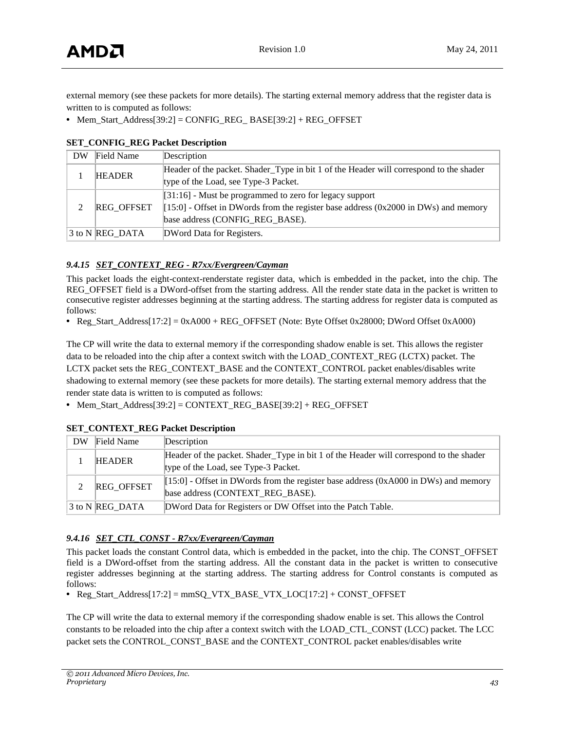external memory (see these packets for more details). The starting external memory address that the register data is written to is computed as follows:

• Mem\_Start\_Address[39:2] = CONFIG\_REG\_ BASE[39:2] + REG\_OFFSET

| Field Name        | Description                                                                            |
|-------------------|----------------------------------------------------------------------------------------|
| <b>HEADER</b>     | Header of the packet. Shader_Type in bit 1 of the Header will correspond to the shader |
|                   | type of the Load, see Type-3 Packet.                                                   |
| <b>REG OFFSET</b> | $[31:16]$ - Must be programmed to zero for legacy support                              |
|                   | $[15:0]$ - Offset in DWords from the register base address (0x2000 in DWs) and memory  |
|                   | base address (CONFIG REG BASE).                                                        |
| 3 to N REG DATA   | DWord Data for Registers.                                                              |
|                   |                                                                                        |

#### **SET\_CONFIG\_REG Packet Description**

### *9.4.15 SET\_CONTEXT\_REG - R7xx/Evergreen/Cayman*

This packet loads the eight-context-renderstate register data, which is embedded in the packet, into the chip. The REG\_OFFSET field is a DWord-offset from the starting address. All the render state data in the packet is written to consecutive register addresses beginning at the starting address. The starting address for register data is computed as follows:

• Reg\_Start\_Address[17:2] = 0xA000 + REG\_OFFSET (Note: Byte Offset 0x28000; DWord Offset 0xA000)

The CP will write the data to external memory if the corresponding shadow enable is set. This allows the register data to be reloaded into the chip after a context switch with the LOAD\_CONTEXT\_REG (LCTX) packet. The LCTX packet sets the REG\_CONTEXT\_BASE and the CONTEXT\_CONTROL packet enables/disables write shadowing to external memory (see these packets for more details). The starting external memory address that the render state data is written to is computed as follows:

**•** Mem\_Start\_Address[39:2] = CONTEXT\_REG\_BASE[39:2] + REG\_OFFSET

| DW | Field Name      | Description                                                                            |
|----|-----------------|----------------------------------------------------------------------------------------|
|    | <b>HEADER</b>   | Header of the packet. Shader_Type in bit 1 of the Header will correspond to the shader |
|    |                 | type of the Load, see Type-3 Packet.                                                   |
|    | REG_OFFSET      | $[15:0]$ - Offset in DWords from the register base address (0xA000 in DWs) and memory  |
|    |                 | base address (CONTEXT REG BASE).                                                       |
|    | 3 to N REG DATA | DWord Data for Registers or DW Offset into the Patch Table.                            |

#### **SET\_CONTEXT\_REG Packet Description**

#### *9.4.16 SET\_CTL\_CONST - R7xx/Evergreen/Cayman*

This packet loads the constant Control data, which is embedded in the packet, into the chip. The CONST\_OFFSET field is a DWord-offset from the starting address. All the constant data in the packet is written to consecutive register addresses beginning at the starting address. The starting address for Control constants is computed as follows:

• Reg\_Start\_Address[17:2] = mmSQ\_VTX\_BASE\_VTX\_LOC[17:2] + CONST\_OFFSET

The CP will write the data to external memory if the corresponding shadow enable is set. This allows the Control constants to be reloaded into the chip after a context switch with the LOAD\_CTL\_CONST (LCC) packet. The LCC packet sets the CONTROL\_CONST\_BASE and the CONTEXT\_CONTROL packet enables/disables write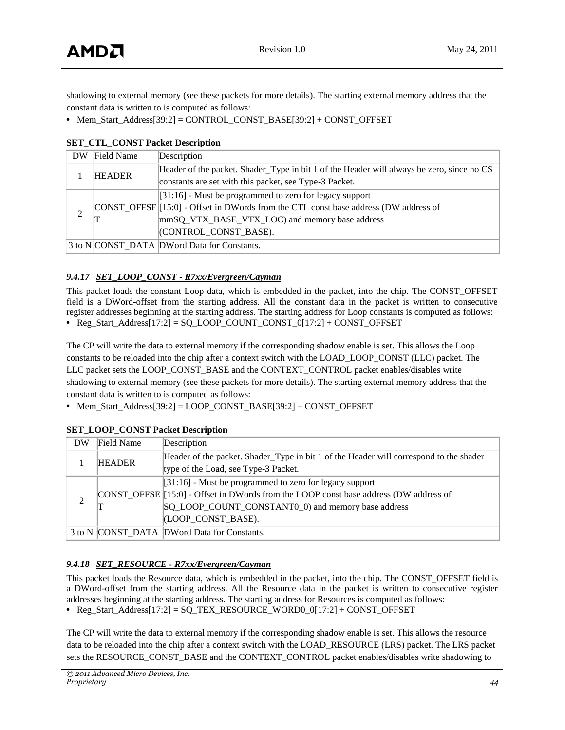shadowing to external memory (see these packets for more details). The starting external memory address that the constant data is written to is computed as follows:

• Mem\_Start\_Address[39:2] = CONTROL\_CONST\_BASE[39:2] + CONST\_OFFSET

| DW             | Field Name    | Description                                                                                                                                                                                                                             |  |
|----------------|---------------|-----------------------------------------------------------------------------------------------------------------------------------------------------------------------------------------------------------------------------------------|--|
|                | <b>HEADER</b> | Header of the packet. Shader_Type in bit 1 of the Header will always be zero, since no CS<br>constants are set with this packet, see Type-3 Packet.                                                                                     |  |
| $\overline{c}$ |               | $[31:16]$ - Must be programmed to zero for legacy support<br>CONST_OFFSE <sup>[15:0]</sup> - Offset in DWords from the CTL const base address (DW address of<br>mmSQ_VTX_BASE_VTX_LOC) and memory base address<br>(CONTROL CONST BASE). |  |
|                |               | 3 to N CONST DATA DWord Data for Constants.                                                                                                                                                                                             |  |

#### **SET\_CTL\_CONST Packet Description**

### *9.4.17 SET\_LOOP\_CONST - R7xx/Evergreen/Cayman*

This packet loads the constant Loop data, which is embedded in the packet, into the chip. The CONST\_OFFSET field is a DWord-offset from the starting address. All the constant data in the packet is written to consecutive register addresses beginning at the starting address. The starting address for Loop constants is computed as follows: **•** Reg\_Start\_Address[17:2] = SQ\_LOOP\_COUNT\_CONST\_0[17:2] + CONST\_OFFSET

The CP will write the data to external memory if the corresponding shadow enable is set. This allows the Loop constants to be reloaded into the chip after a context switch with the LOAD\_LOOP\_CONST (LLC) packet. The LLC packet sets the LOOP\_CONST\_BASE and the CONTEXT\_CONTROL packet enables/disables write shadowing to external memory (see these packets for more details). The starting external memory address that the constant data is written to is computed as follows:

**•** Mem\_Start\_Address[39:2] = LOOP\_CONST\_BASE[39:2] + CONST\_OFFSET

| DW | <b>Field Name</b> | Description                                                                            |
|----|-------------------|----------------------------------------------------------------------------------------|
|    | <b>HEADER</b>     | Header of the packet. Shader_Type in bit 1 of the Header will correspond to the shader |
|    |                   | type of the Load, see Type-3 Packet.                                                   |
|    |                   | $[31:16]$ - Must be programmed to zero for legacy support                              |
| 2  |                   | CONST_OFFSE [15:0] - Offset in DWords from the LOOP const base address (DW address of  |
|    |                   | SQ_LOOP_COUNT_CONSTANT0_0) and memory base address                                     |
|    |                   | (LOOP CONST BASE).                                                                     |
|    |                   | 3 to N CONST_DATA DWord Data for Constants.                                            |

#### **SET\_LOOP\_CONST Packet Description**

#### *9.4.18 SET\_RESOURCE - R7xx/Evergreen/Cayman*

This packet loads the Resource data, which is embedded in the packet, into the chip. The CONST\_OFFSET field is a DWord-offset from the starting address. All the Resource data in the packet is written to consecutive register addresses beginning at the starting address. The starting address for Resources is computed as follows:

**•** Reg\_Start\_Address[17:2] = SQ\_TEX\_RESOURCE\_WORD0\_0[17:2] + CONST\_OFFSET

The CP will write the data to external memory if the corresponding shadow enable is set. This allows the resource data to be reloaded into the chip after a context switch with the LOAD\_RESOURCE (LRS) packet. The LRS packet sets the RESOURCE\_CONST\_BASE and the CONTEXT\_CONTROL packet enables/disables write shadowing to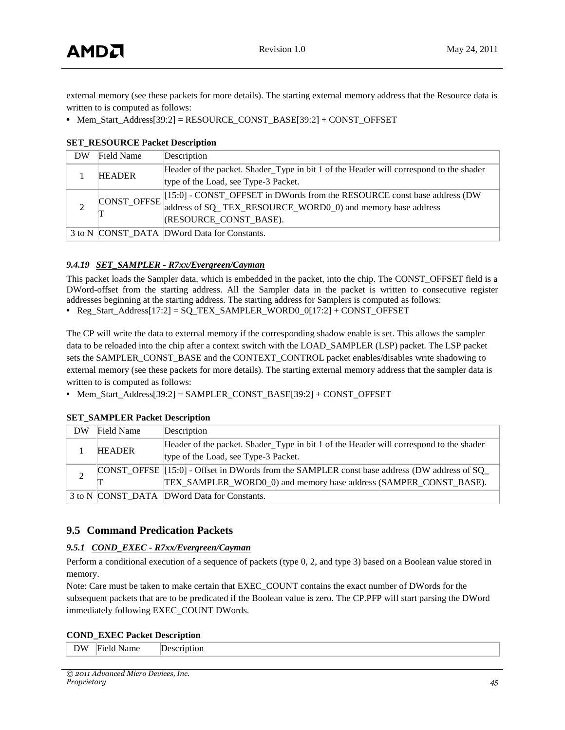external memory (see these packets for more details). The starting external memory address that the Resource data is written to is computed as follows:

• Mem\_Start\_Address[39:2] = RESOURCE\_CONST\_BASE[39:2] + CONST\_OFFSET

| DW | Field Name    | Description                                                                                   |
|----|---------------|-----------------------------------------------------------------------------------------------|
|    | <b>HEADER</b> | Header of the packet. Shader_Type in bit 1 of the Header will correspond to the shader        |
|    |               | type of the Load, see Type-3 Packet.                                                          |
|    |               | $\text{CONST_OFFSE}$ [15:0] - CONST_OFFSET in DWords from the RESOURCE const base address (DW |
|    |               | address of SQ_TEX_RESOURCE_WORD0_0) and memory base address                                   |
|    |               | (RESOURCE_CONST_BASE).                                                                        |
|    |               | 3 to N CONST DATA DWord Data for Constants.                                                   |

#### **SET\_RESOURCE Packet Description**

#### *9.4.19 SET\_SAMPLER - R7xx/Evergreen/Cayman*

This packet loads the Sampler data, which is embedded in the packet, into the chip. The CONST\_OFFSET field is a DWord-offset from the starting address. All the Sampler data in the packet is written to consecutive register addresses beginning at the starting address. The starting address for Samplers is computed as follows:

• Reg\_Start\_Address[17:2] = SQ\_TEX\_SAMPLER\_WORD0\_0[17:2] + CONST\_OFFSET

The CP will write the data to external memory if the corresponding shadow enable is set. This allows the sampler data to be reloaded into the chip after a context switch with the LOAD\_SAMPLER (LSP) packet. The LSP packet sets the SAMPLER\_CONST\_BASE and the CONTEXT\_CONTROL packet enables/disables write shadowing to external memory (see these packets for more details). The starting external memory address that the sampler data is written to is computed as follows:

**•** Mem\_Start\_Address[39:2] = SAMPLER\_CONST\_BASE[39:2] + CONST\_OFFSET

| DW | Field Name    | Description                                                                                  |
|----|---------------|----------------------------------------------------------------------------------------------|
|    | <b>HEADER</b> | Header of the packet. Shader_Type in bit 1 of the Header will correspond to the shader       |
|    |               | type of the Load, see Type-3 Packet.                                                         |
|    |               | CONST_OFFSE [15:0] - Offset in DWords from the SAMPLER const base address (DW address of SQ_ |
|    |               | TEX_SAMPLER_WORD0_0) and memory base address (SAMPER_CONST_BASE).                            |
|    |               | 3 to N CONST DATA DWord Data for Constants.                                                  |

#### **SET\_SAMPLER Packet Description**

# <span id="page-44-0"></span>**9.5 Command Predication Packets**

#### *9.5.1 COND\_EXEC - R7xx/Evergreen/Cayman*

Perform a conditional execution of a sequence of packets (type 0, 2, and type 3) based on a Boolean value stored in memory.

Note: Care must be taken to make certain that EXEC\_COUNT contains the exact number of DWords for the subsequent packets that are to be predicated if the Boolean value is zero. The CP.PFP will start parsing the DWord immediately following EXEC\_COUNT DWords.

#### **COND\_EXEC Packet Description**

| ◡ | vame<br>. | . |
|---|-----------|---|
|   |           |   |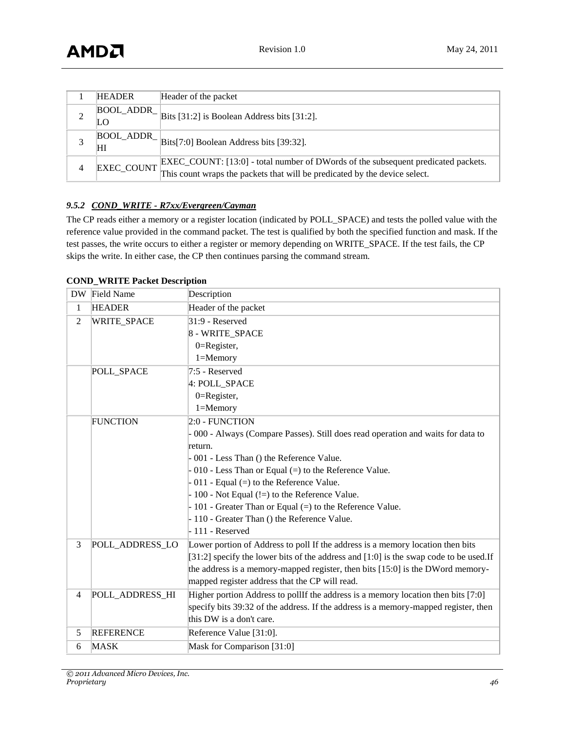|   | <b>HEADER</b>     | Header of the packet                                                                                                                                            |
|---|-------------------|-----------------------------------------------------------------------------------------------------------------------------------------------------------------|
|   | LО                | $\vert$ BOOL_ADDR_ $\vert$ Bits [31:2] is Boolean Address bits [31:2].                                                                                          |
|   | HІ                | $\left  \frac{\text{BOOL}\_\text{ADDR}}{\text{Bits}[7:0]} \right $ Boolean Address bits [39:32].                                                                |
| 4 | <b>EXEC COUNT</b> | EXEC_COUNT: [13:0] - total number of DWords of the subsequent predicated packets.<br>This count wraps the packets that will be predicated by the device select. |

### *9.5.2 COND\_WRITE - R7xx/Evergreen/Cayman*

The CP reads either a memory or a register location (indicated by POLL\_SPACE) and tests the polled value with the reference value provided in the command packet. The test is qualified by both the specified function and mask. If the test passes, the write occurs to either a register or memory depending on WRITE\_SPACE. If the test fails, the CP skips the write. In either case, the CP then continues parsing the command stream.

| <b>DW</b>      | Field Name         | Description                                                                              |
|----------------|--------------------|------------------------------------------------------------------------------------------|
| 1              | <b>HEADER</b>      | Header of the packet                                                                     |
| $\overline{2}$ | <b>WRITE_SPACE</b> | $31:9$ - Reserved                                                                        |
|                |                    | 8 - WRITE_SPACE                                                                          |
|                |                    | $0 =$ Register,                                                                          |
|                |                    | $1 =$ Memory                                                                             |
|                | POLL_SPACE         | 7:5 - Reserved                                                                           |
|                |                    | 4: POLL_SPACE                                                                            |
|                |                    | $0 =$ Register,                                                                          |
|                |                    | $1 =$ Memory                                                                             |
|                | <b>FUNCTION</b>    | 2:0 - FUNCTION                                                                           |
|                |                    | - 000 - Always (Compare Passes). Still does read operation and waits for data to         |
|                |                    | return.                                                                                  |
|                |                    | - 001 - Less Than () the Reference Value.                                                |
|                |                    | $-010$ - Less Than or Equal (=) to the Reference Value.                                  |
|                |                    | $-011$ - Equal (=) to the Reference Value.                                               |
|                |                    | $-100$ - Not Equal (!=) to the Reference Value.                                          |
|                |                    | - 101 - Greater Than or Equal (=) to the Reference Value.                                |
|                |                    | - 110 - Greater Than () the Reference Value.                                             |
|                |                    | $-111$ - Reserved                                                                        |
| 3              | POLL_ADDRESS_LO    | Lower portion of Address to poll If the address is a memory location then bits           |
|                |                    | [31:2] specify the lower bits of the address and $[1:0]$ is the swap code to be used. If |
|                |                    | the address is a memory-mapped register, then bits [15:0] is the DWord memory-           |
|                |                    | mapped register address that the CP will read.                                           |
| $\overline{4}$ | POLL ADDRESS HI    | Higher portion Address to pollIf the address is a memory location then bits [7:0]        |
|                |                    | specify bits 39:32 of the address. If the address is a memory-mapped register, then      |
|                |                    | this DW is a don't care.                                                                 |
| 5              | <b>REFERENCE</b>   | Reference Value [31:0].                                                                  |
| 6              | <b>MASK</b>        | Mask for Comparison [31:0]                                                               |

#### **COND\_WRITE Packet Description**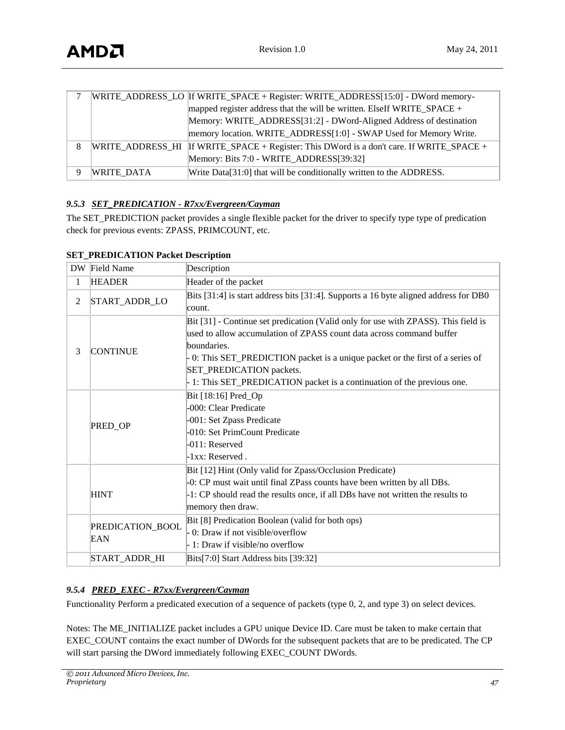|   |            | WRITE_ADDRESS_LO  If WRITE_SPACE + Register: WRITE_ADDRESS[15:0] - DWord memory-         |
|---|------------|------------------------------------------------------------------------------------------|
|   |            | mapped register address that the will be written. ElseIf WRITE_SPACE +                   |
|   |            | Memory: WRITE_ADDRESS[31:2] - DWord-Aligned Address of destination                       |
|   |            | memory location. WRITE_ADDRESS[1:0] - SWAP Used for Memory Write.                        |
| 8 |            | WRITE_ADDRESS_HI If WRITE_SPACE + Register: This DWord is a don't care. If WRITE_SPACE + |
|   |            | Memory: Bits 7:0 - WRITE_ADDRESS[39:32]                                                  |
|   | WRITE DATA | Write Data[31:0] that will be conditionally written to the ADDRESS.                      |

# *9.5.3 SET\_PREDICATION - R7xx/Evergreen/Cayman*

The SET\_PREDICTION packet provides a single flexible packet for the driver to specify type type of predication check for previous events: ZPASS, PRIMCOUNT, etc.

| DW.            | Field Name              | Description                                                                          |
|----------------|-------------------------|--------------------------------------------------------------------------------------|
| $\mathbf{1}$   | <b>HEADER</b>           | Header of the packet                                                                 |
| $\mathfrak{2}$ | START_ADDR_LO           | Bits [31:4] is start address bits [31:4]. Supports a 16 byte aligned address for DB0 |
|                |                         | count.                                                                               |
|                |                         | Bit [31] - Continue set predication (Valid only for use with ZPASS). This field is   |
|                |                         | used to allow accumulation of ZPASS count data across command buffer                 |
| 3              | <b>CONTINUE</b>         | boundaries.                                                                          |
|                |                         | 0: This SET_PREDICTION packet is a unique packet or the first of a series of         |
|                |                         | SET_PREDICATION packets.                                                             |
|                |                         | 1: This SET_PREDICATION packet is a continuation of the previous one.                |
|                |                         | Bit [18:16] Pred_Op                                                                  |
|                |                         | -000: Clear Predicate                                                                |
|                | PRED_OP                 | -001: Set Zpass Predicate                                                            |
|                |                         | -010: Set PrimCount Predicate                                                        |
|                |                         | $-011$ : Reserved                                                                    |
|                |                         | -1xx: Reserved.                                                                      |
|                |                         | Bit [12] Hint (Only valid for Zpass/Occlusion Predicate)                             |
|                |                         | -0: CP must wait until final ZPass counts have been written by all DBs.              |
|                | <b>HINT</b>             | -1: CP should read the results once, if all DBs have not written the results to      |
|                |                         | memory then draw.                                                                    |
|                | PREDICATION_BOOL<br>EAN | Bit [8] Predication Boolean (valid for both ops)                                     |
|                |                         | 0: Draw if not visible/overflow                                                      |
|                |                         | 1: Draw if visible/no overflow                                                       |
|                | START_ADDR_HI           | Bits[7:0] Start Address bits [39:32]                                                 |

#### **SET\_PREDICATION Packet Description**

# *9.5.4 PRED\_EXEC - R7xx/Evergreen/Cayman*

Functionality Perform a predicated execution of a sequence of packets (type 0, 2, and type 3) on select devices.

Notes: The ME\_INITIALIZE packet includes a GPU unique Device ID. Care must be taken to make certain that EXEC\_COUNT contains the exact number of DWords for the subsequent packets that are to be predicated. The CP will start parsing the DWord immediately following EXEC\_COUNT DWords.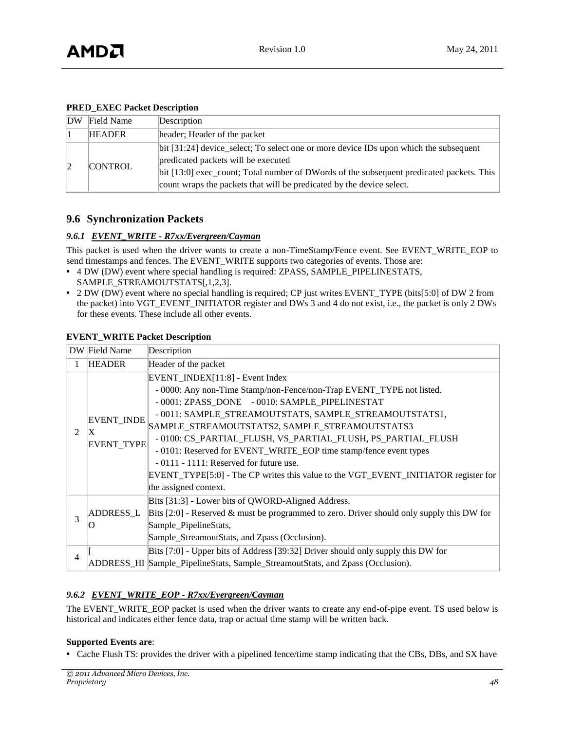#### **PRED\_EXEC Packet Description**

| DW | Field Name     | Description                                                                                                                                                         |
|----|----------------|---------------------------------------------------------------------------------------------------------------------------------------------------------------------|
|    | <b>HEADER</b>  | header; Header of the packet                                                                                                                                        |
|    | <b>CONTROL</b> | bit [31:24] device_select; To select one or more device IDs upon which the subsequent<br>predicated packets will be executed                                        |
|    |                | bit $[13:0]$ exec_count; Total number of DWords of the subsequent predicated packets. This<br>count wraps the packets that will be predicated by the device select. |

# <span id="page-47-0"></span>**9.6 Synchronization Packets**

#### *9.6.1 EVENT\_WRITE - R7xx/Evergreen/Cayman*

This packet is used when the driver wants to create a non-TimeStamp/Fence event. See EVENT\_WRITE\_EOP to send timestamps and fences. The EVENT\_WRITE supports two categories of events. Those are:

- **•** 4 DW (DW) event where special handling is required: ZPASS, SAMPLE\_PIPELINESTATS, SAMPLE\_STREAMOUTSTATS[,1,2,3].
- **•** 2 DW (DW) event where no special handling is required; CP just writes EVENT\_TYPE (bits[5:0] of DW 2 from the packet) into VGT\_EVENT\_INITIATOR register and DWs 3 and 4 do not exist, i.e., the packet is only 2 DWs for these events. These include all other events.

|        | DW Field Name<br>Description          |                                                                                                                                                                                                                                                                                                                                                                                                                                                                                                                                                                        |
|--------|---------------------------------------|------------------------------------------------------------------------------------------------------------------------------------------------------------------------------------------------------------------------------------------------------------------------------------------------------------------------------------------------------------------------------------------------------------------------------------------------------------------------------------------------------------------------------------------------------------------------|
| 1      | <b>HEADER</b><br>Header of the packet |                                                                                                                                                                                                                                                                                                                                                                                                                                                                                                                                                                        |
| 2      | <b>EVENT_INDE</b><br>IX<br>EVENT_TYPE | EVENT_INDEX[11:8] - Event Index<br>- 0000: Any non-Time Stamp/non-Fence/non-Trap EVENT_TYPE not listed.<br>- 0001: ZPASS_DONE - 0010: SAMPLE_PIPELINESTAT<br>- 0011: SAMPLE_STREAMOUTSTATS, SAMPLE_STREAMOUTSTATS1,<br>SAMPLE_STREAMOUTSTATS2, SAMPLE_STREAMOUTSTATS3<br>- 0100: CS_PARTIAL_FLUSH, VS_PARTIAL_FLUSH, PS_PARTIAL_FLUSH<br>- 0101: Reserved for EVENT_WRITE_EOP time stamp/fence event types<br>$-0111 - 1111$ : Reserved for future use.<br>EVENT_TYPE[5:0] - The CP writes this value to the VGT_EVENT_INITIATOR register for<br>the assigned context. |
| 3<br>4 | O                                     | Bits [31:3] - Lower bits of QWORD-Aligned Address.<br>$ADDRESS\_L$ Bits [2:0] - Reserved & must be programmed to zero. Driver should only supply this DW for<br>Sample_PipelineStats,<br>Sample_StreamoutStats, and Zpass (Occlusion).<br>Bits [7:0] - Upper bits of Address [39:32] Driver should only supply this DW for<br>ADDRESS_HI Sample_PipelineStats, Sample_StreamoutStats, and Zpass (Occlusion).                                                                                                                                                           |

### **EVENT\_WRITE Packet Description**

# *9.6.2 EVENT\_WRITE\_EOP - R7xx/Evergreen/Cayman*

The EVENT\_WRITE\_EOP packet is used when the driver wants to create any end-of-pipe event. TS used below is historical and indicates either fence data, trap or actual time stamp will be written back.

#### **Supported Events are**:

**•** Cache Flush TS: provides the driver with a pipelined fence/time stamp indicating that the CBs, DBs, and SX have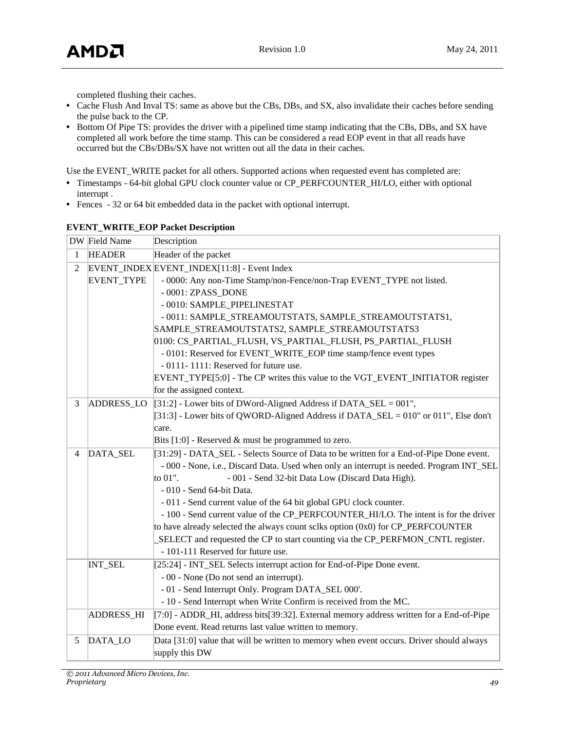completed flushing their caches.

- **•** Cache Flush And Inval TS: same as above but the CBs, DBs, and SX, also invalidate their caches before sending the pulse back to the CP.
- **•** Bottom Of Pipe TS: provides the driver with a pipelined time stamp indicating that the CBs, DBs, and SX have completed all work before the time stamp. This can be considered a read EOP event in that all reads have occurred but the CBs/DBs/SX have not written out all the data in their caches.

Use the EVENT\_WRITE packet for all others. Supported actions when requested event has completed are:

- **•** Timestamps 64-bit global GPU clock counter value or CP\_PERFCOUNTER\_HI/LO, either with optional interrupt .
- **•** Fences 32 or 64 bit embedded data in the packet with optional interrupt.

|                | DW Field Name<br>Description |                                                                                          |
|----------------|------------------------------|------------------------------------------------------------------------------------------|
| 1              | <b>HEADER</b>                | Header of the packet                                                                     |
| $\overline{2}$ |                              | EVENT_INDEX EVENT_INDEX[11:8] - Event Index                                              |
|                | <b>EVENT_TYPE</b>            | - 0000: Any non-Time Stamp/non-Fence/non-Trap EVENT_TYPE not listed.                     |
|                |                              | - 0001: ZPASS_DONE                                                                       |
|                |                              | - 0010: SAMPLE_PIPELINESTAT                                                              |
|                |                              | - 0011: SAMPLE_STREAMOUTSTATS, SAMPLE_STREAMOUTSTATS1,                                   |
|                |                              | SAMPLE_STREAMOUTSTATS2, SAMPLE_STREAMOUTSTATS3                                           |
|                |                              | 0100: CS_PARTIAL_FLUSH, VS_PARTIAL_FLUSH, PS_PARTIAL_FLUSH                               |
|                |                              | - 0101: Reserved for EVENT_WRITE_EOP time stamp/fence event types                        |
|                |                              | - 0111-1111: Reserved for future use.                                                    |
|                |                              | EVENT_TYPE[5:0] - The CP writes this value to the VGT_EVENT_INITIATOR register           |
|                |                              | for the assigned context.                                                                |
| 3              | ADDRESS_LO                   | [31:2] - Lower bits of DWord-Aligned Address if DATA_SEL = $001$ ",                      |
|                |                              | [31:3] - Lower bits of QWORD-Aligned Address if DATA_SEL = 010" or 011", Else don't      |
|                |                              | care.                                                                                    |
|                |                              | Bits $[1:0]$ - Reserved & must be programmed to zero.                                    |
| $\overline{4}$ | DATA_SEL                     | [31:29] - DATA_SEL - Selects Source of Data to be written for a End-of-Pipe Done event.  |
|                |                              | - 000 - None, i.e., Discard Data. Used when only an interrupt is needed. Program INT_SEL |
|                |                              | to 01".<br>- 001 - Send 32-bit Data Low (Discard Data High).                             |
|                |                              | - 010 - Send 64-bit Data.                                                                |
|                |                              | - 011 - Send current value of the 64 bit global GPU clock counter.                       |
|                |                              | - 100 - Send current value of the CP_PERFCOUNTER_HI/LO. The intent is for the driver     |
|                |                              | to have already selected the always count sclks option (0x0) for CP_PERFCOUNTER          |
|                |                              | SELECT and requested the CP to start counting via the CP_PERFMON_CNTL register.          |
|                |                              | - 101-111 Reserved for future use.                                                       |
|                | <b>INT_SEL</b>               | [25:24] - INT_SEL Selects interrupt action for End-of-Pipe Done event.                   |
|                |                              | - 00 - None (Do not send an interrupt).                                                  |
|                |                              | - 01 - Send Interrupt Only. Program DATA_SEL 000'.                                       |
|                |                              | - 10 - Send Interrupt when Write Confirm is received from the MC.                        |
|                | <b>ADDRESS_HI</b>            | [7:0] - ADDR_HI, address bits[39:32]. External memory address written for a End-of-Pipe  |
|                |                              | Done event. Read returns last value written to memory.                                   |
| 5              | DATA_LO                      | Data [31:0] value that will be written to memory when event occurs. Driver should always |
|                |                              | supply this DW                                                                           |

#### **EVENT\_WRITE\_EOP Packet Description**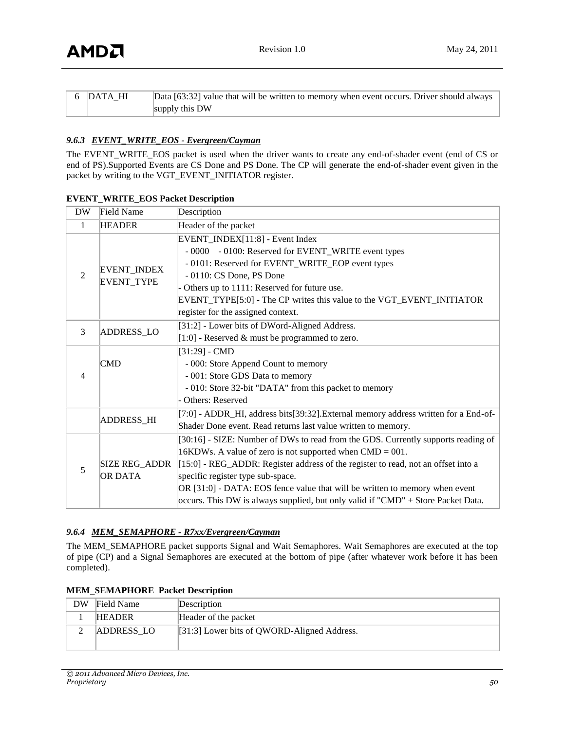| 6  DATA HI | Data [63:32] value that will be written to memory when event occurs. Driver should always |
|------------|-------------------------------------------------------------------------------------------|
|            | supply this DW                                                                            |

### *9.6.3 EVENT\_WRITE\_EOS - Evergreen/Cayman*

The EVENT\_WRITE\_EOS packet is used when the driver wants to create any end-of-shader event (end of CS or end of PS).Supported Events are CS Done and PS Done. The CP will generate the end-of-shader event given in the packet by writing to the VGT\_EVENT\_INITIATOR register.

| <b>DW</b>      | Field Name                       | Description                                                                                                                                                                                                                                                                                                                                                                                                                                      |
|----------------|----------------------------------|--------------------------------------------------------------------------------------------------------------------------------------------------------------------------------------------------------------------------------------------------------------------------------------------------------------------------------------------------------------------------------------------------------------------------------------------------|
| $\mathbf{1}$   | <b>HEADER</b>                    | Header of the packet                                                                                                                                                                                                                                                                                                                                                                                                                             |
| $\mathfrak{D}$ | EVENT_INDEX<br><b>EVENT_TYPE</b> | EVENT_INDEX[11:8] - Event Index<br>- 0000 - 0100: Reserved for EVENT_WRITE event types<br>- 0101: Reserved for EVENT_WRITE_EOP event types<br>- 0110: CS Done, PS Done<br>- Others up to 1111: Reserved for future use.<br>EVENT_TYPE[5:0] - The CP writes this value to the VGT_EVENT_INITIATOR<br>register for the assigned context.                                                                                                           |
| 3              | ADDRESS_LO                       | [31:2] - Lower bits of DWord-Aligned Address.<br>[1:0] - Reserved & must be programmed to zero.                                                                                                                                                                                                                                                                                                                                                  |
| $\overline{4}$ | $\mathbf{CMD}$                   | $[31:29] - CMD$<br>- 000: Store Append Count to memory<br>- 001: Store GDS Data to memory<br>- 010: Store 32-bit "DATA" from this packet to memory<br>Others: Reserved                                                                                                                                                                                                                                                                           |
|                | <b>ADDRESS_HI</b>                | [7:0] - ADDR_HI, address bits[39:32]. External memory address written for a End-of-<br>Shader Done event. Read returns last value written to memory.                                                                                                                                                                                                                                                                                             |
| 5              | SIZE REG_ADDR<br><b>OR DATA</b>  | [30:16] - SIZE: Number of DWs to read from the GDS. Currently supports reading of<br>$16KDW$ s. A value of zero is not supported when $CMD = 001$ .<br>[15:0] - REG_ADDR: Register address of the register to read, not an offset into a<br>specific register type sub-space.<br>OR [31:0] - DATA: EOS fence value that will be written to memory when event<br>occurs. This DW is always supplied, but only valid if "CMD" + Store Packet Data. |

#### **EVENT\_WRITE\_EOS Packet Description**

#### *9.6.4 MEM\_SEMAPHORE - R7xx/Evergreen/Cayman*

The MEM\_SEMAPHORE packet supports Signal and Wait Semaphores. Wait Semaphores are executed at the top of pipe (CP) and a Signal Semaphores are executed at the bottom of pipe (after whatever work before it has been completed).

|    | IEM SEMAPHORE PACKEL DESCRIPTION |                                             |  |  |
|----|----------------------------------|---------------------------------------------|--|--|
| DW | Field Name                       | Description                                 |  |  |
|    | <b>HEADER</b>                    | Header of the packet                        |  |  |
|    | ADDRESS LO                       | [31:3] Lower bits of QWORD-Aligned Address. |  |  |

## **MEM\_SEMAPHORE Packet Description**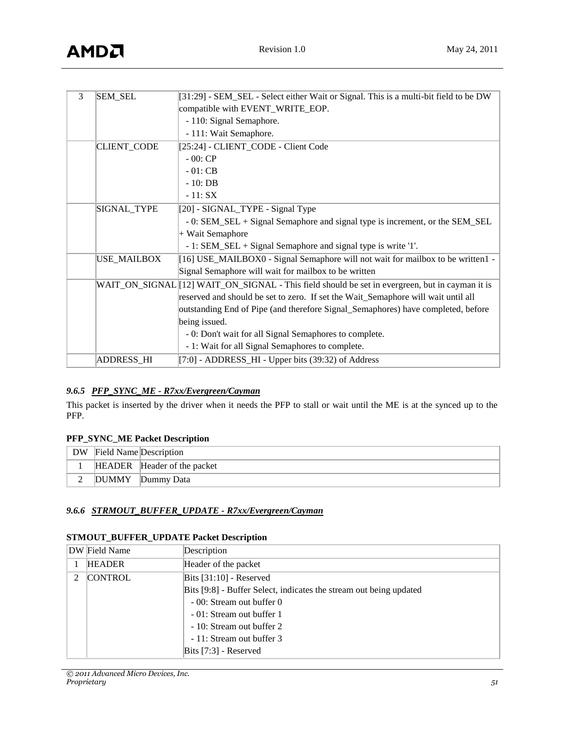| 3 | <b>SEM_SEL</b>     | [31:29] - SEM_SEL - Select either Wait or Signal. This is a multi-bit field to be DW            |
|---|--------------------|-------------------------------------------------------------------------------------------------|
|   |                    | compatible with EVENT_WRITE_EOP.                                                                |
|   |                    | - 110: Signal Semaphore.                                                                        |
|   |                    | - 111: Wait Semaphore.                                                                          |
|   | <b>CLIENT_CODE</b> | [25:24] - CLIENT_CODE - Client Code                                                             |
|   |                    | $-00:CP$                                                                                        |
|   |                    | $-01:CB$                                                                                        |
|   |                    | $-10:DB$                                                                                        |
|   |                    | $-11: SX$                                                                                       |
|   | SIGNAL_TYPE        | [20] - SIGNAL_TYPE - Signal Type                                                                |
|   |                    | - 0: SEM_SEL + Signal Semaphore and signal type is increment, or the SEM_SEL                    |
|   |                    | + Wait Semaphore                                                                                |
|   |                    | - 1: SEM_SEL + Signal Semaphore and signal type is write '1'.                                   |
|   | <b>USE_MAILBOX</b> | [16] USE_MAILBOX0 - Signal Semaphore will not wait for mailbox to be written1 -                 |
|   |                    | Signal Semaphore will wait for mailbox to be written                                            |
|   |                    | WAIT_ON_SIGNAL [12] WAIT_ON_SIGNAL - This field should be set in evergreen, but in cayman it is |
|   |                    | reserved and should be set to zero. If set the Wait_Semaphore will wait until all               |
|   |                    | outstanding End of Pipe (and therefore Signal_Semaphores) have completed, before                |
|   |                    | being issued.                                                                                   |
|   |                    | - 0: Don't wait for all Signal Semaphores to complete.                                          |
|   |                    | - 1: Wait for all Signal Semaphores to complete.                                                |
|   | <b>ADDRESS_HI</b>  | [7:0] - ADDRESS_HI - Upper bits (39:32) of Address                                              |

# *9.6.5 PFP\_SYNC\_ME - R7xx/Evergreen/Cayman*

This packet is inserted by the driver when it needs the PFP to stall or wait until the ME is at the synced up to the PFP.

#### **PFP\_SYNC\_ME Packet Description**

| DW | Field Name Description |                             |
|----|------------------------|-----------------------------|
|    |                        | HEADER Header of the packet |
|    | <b>DUMMY</b>           | Dummy Data                  |

#### *9.6.6 STRMOUT\_BUFFER\_UPDATE - R7xx/Evergreen/Cayman*

#### **STMOUT\_BUFFER\_UPDATE Packet Description**

|               | DW Field Name  | Description                                                        |
|---------------|----------------|--------------------------------------------------------------------|
|               | <b>HEADER</b>  | Header of the packet                                               |
| $\mathcal{L}$ | <b>CONTROL</b> | Bits $[31:10]$ - Reserved                                          |
|               |                | Bits [9:8] - Buffer Select, indicates the stream out being updated |
|               |                | - 00: Stream out buffer 0                                          |
|               |                | - 01: Stream out buffer 1                                          |
|               |                | - 10: Stream out buffer 2                                          |
|               |                | - 11: Stream out buffer 3                                          |
|               |                | Bits $[7:3]$ - Reserved                                            |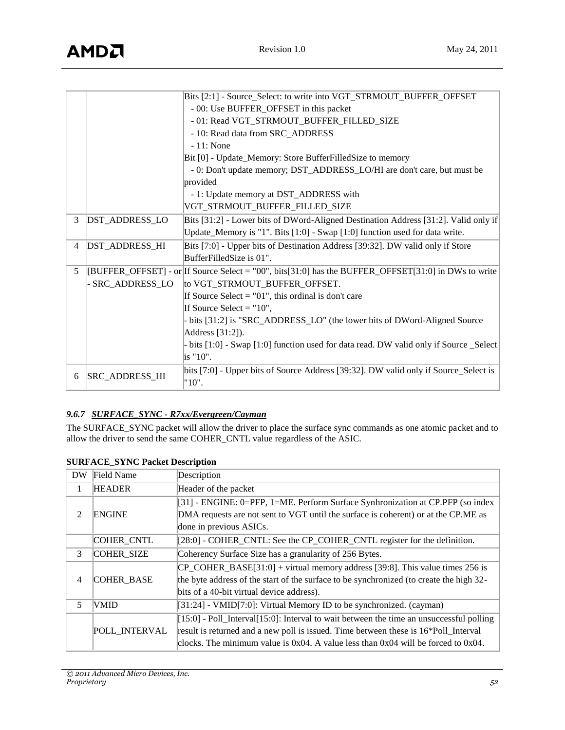|   |                       | Bits [2:1] - Source_Select: to write into VGT_STRMOUT_BUFFER_OFFSET                                  |
|---|-----------------------|------------------------------------------------------------------------------------------------------|
|   |                       | - 00: Use BUFFER_OFFSET in this packet                                                               |
|   |                       | - 01: Read VGT_STRMOUT_BUFFER_FILLED_SIZE                                                            |
|   |                       | - 10: Read data from SRC_ADDRESS                                                                     |
|   |                       | $-11$ : None                                                                                         |
|   |                       | Bit [0] - Update_Memory: Store BufferFilledSize to memory                                            |
|   |                       | - 0: Don't update memory; DST_ADDRESS_LO/HI are don't care, but must be                              |
|   |                       | provided                                                                                             |
|   |                       | - 1: Update memory at DST_ADDRESS with                                                               |
|   |                       | VGT_STRMOUT_BUFFER_FILLED_SIZE                                                                       |
| 3 | DST_ADDRESS_LO        | Bits [31:2] - Lower bits of DWord-Aligned Destination Address [31:2]. Valid only if                  |
|   |                       | Update_Memory is "1". Bits [1:0] - Swap [1:0] function used for data write.                          |
| 4 | DST_ADDRESS_HI        | Bits [7:0] - Upper bits of Destination Address [39:32]. DW valid only if Store                       |
|   |                       | BufferFilledSize is 01".                                                                             |
| 5 |                       | [BUFFER_OFFSET] - or If Source Select = "00", bits[31:0] has the BUFFER_OFFSET[31:0] in DWs to write |
|   | SRC_ADDRESS_LO        | to VGT_STRMOUT_BUFFER_OFFSET.                                                                        |
|   |                       | If Source Select $=$ "01", this ordinal is don't care                                                |
|   |                       | If Source Select = $"10"$ ,                                                                          |
|   |                       | - bits [31:2] is "SRC_ADDRESS_LO" (the lower bits of DWord-Aligned Source                            |
|   |                       | Address [31:2]).                                                                                     |
|   |                       | - bits [1:0] - Swap [1:0] function used for data read. DW valid only if Source _Select               |
|   |                       | is "10".                                                                                             |
|   |                       | bits [7:0] - Upper bits of Source Address [39:32]. DW valid only if Source_Select is                 |
| 6 | <b>SRC_ADDRESS_HI</b> | "10".                                                                                                |

# *9.6.7 SURFACE\_SYNC - R7xx/Evergreen/Cayman*

The SURFACE\_SYNC packet will allow the driver to place the surface sync commands as one atomic packet and to allow the driver to send the same COHER\_CNTL value regardless of the ASIC.

| <b>DW</b>      | Field Name        | Description                                                                                   |
|----------------|-------------------|-----------------------------------------------------------------------------------------------|
| 1              | <b>HEADER</b>     | Header of the packet                                                                          |
|                |                   | [31] - ENGINE: 0=PFP, 1=ME. Perform Surface Synhronization at CP.PFP (so index                |
| $\overline{2}$ | <b>ENGINE</b>     | DMA requests are not sent to VGT until the surface is coherent) or at the CP.ME as            |
|                |                   | done in previous ASICs.                                                                       |
|                | COHER_CNTL        | [28:0] - COHER_CNTL: See the CP_COHER_CNTL register for the definition.                       |
| 3              | <b>COHER SIZE</b> | Coherency Surface Size has a granularity of 256 Bytes.                                        |
|                |                   | $CP$ COHER BASE[31:0] + virtual memory address [39:8]. This value times 256 is                |
| $\overline{4}$ | COHER_BASE        | the byte address of the start of the surface to be synchronized (to create the high 32-       |
|                |                   | bits of a 40-bit virtual device address).                                                     |
| 5              | <b>VMID</b>       | [31:24] - VMID[7:0]: Virtual Memory ID to be synchronized. (cayman)                           |
|                |                   | $[15:0]$ - Poll_Interval $[15:0]$ : Interval to wait between the time an unsuccessful polling |
|                | POLL INTERVAL     | result is returned and a new poll is issued. Time between these is 16*Poll_Interval           |
|                |                   | clocks. The minimum value is $0x04$ . A value less than $0x04$ will be forced to $0x04$ .     |

# **SURFACE\_SYNC Packet Description**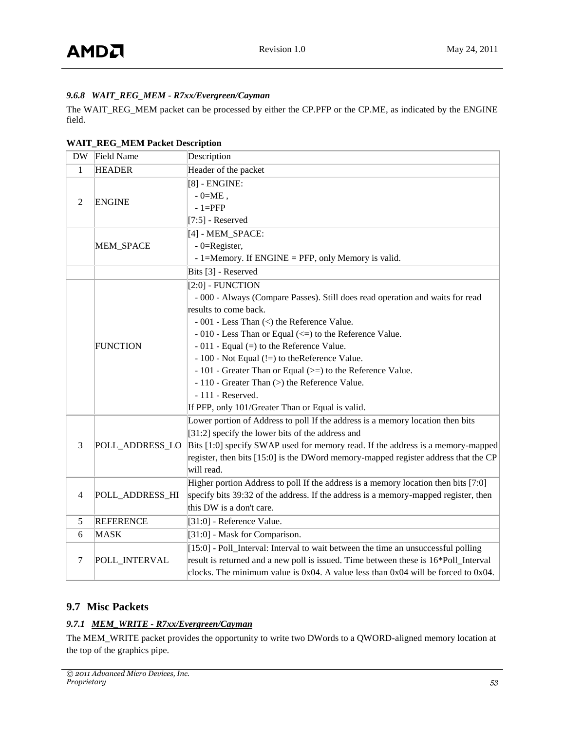# *9.6.8 WAIT\_REG\_MEM - R7xx/Evergreen/Cayman*

The WAIT\_REG\_MEM packet can be processed by either the CP.PFP or the CP.ME, as indicated by the ENGINE field.

#### **WAIT\_REG\_MEM Packet Description**

| <b>DW</b>      | Field Name       | Description                                                                               |
|----------------|------------------|-------------------------------------------------------------------------------------------|
| $\mathbf{1}$   | <b>HEADER</b>    | Header of the packet                                                                      |
|                |                  | $[8]$ - ENGINE:                                                                           |
| $\overline{2}$ | <b>ENGINE</b>    | $-0=ME$ ,                                                                                 |
|                |                  | $-1=$ PFP                                                                                 |
|                |                  | $[7:5]$ - Reserved                                                                        |
|                |                  | $[4]$ - MEM_SPACE:                                                                        |
|                | MEM_SPACE        | - 0=Register,                                                                             |
|                |                  | - 1=Memory. If ENGINE = PFP, only Memory is valid.                                        |
|                |                  | Bits [3] - Reserved                                                                       |
|                |                  | $[2:0]$ - FUNCTION                                                                        |
|                |                  | - 000 - Always (Compare Passes). Still does read operation and waits for read             |
|                |                  | results to come back.                                                                     |
|                |                  | - 001 - Less Than (<) the Reference Value.                                                |
|                |                  | $-010$ - Less Than or Equal ( $\le$ ) to the Reference Value.                             |
|                | <b>FUNCTION</b>  | $-011$ - Equal (=) to the Reference Value.                                                |
|                |                  | - 100 - Not Equal (!=) to the Reference Value.                                            |
|                |                  | - 101 - Greater Than or Equal (>=) to the Reference Value.                                |
|                |                  | - 110 - Greater Than (>) the Reference Value.                                             |
|                |                  | $-111$ - Reserved.                                                                        |
|                |                  | If PFP, only 101/Greater Than or Equal is valid.                                          |
|                |                  | Lower portion of Address to poll If the address is a memory location then bits            |
|                |                  | [31:2] specify the lower bits of the address and                                          |
| 3              | POLL_ADDRESS_LO  | Bits [1:0] specify SWAP used for memory read. If the address is a memory-mapped           |
|                |                  | register, then bits [15:0] is the DWord memory-mapped register address that the CP        |
|                |                  | will read.                                                                                |
|                |                  | Higher portion Address to poll If the address is a memory location then bits [7:0]        |
| $\overline{4}$ | POLL_ADDRESS_HI  | specify bits 39:32 of the address. If the address is a memory-mapped register, then       |
|                |                  | this DW is a don't care.                                                                  |
| 5              | <b>REFERENCE</b> | [31:0] - Reference Value.                                                                 |
| 6              | <b>MASK</b>      | [31:0] - Mask for Comparison.                                                             |
|                |                  | [15:0] - Poll_Interval: Interval to wait between the time an unsuccessful polling         |
| $\tau$         | POLL_INTERVAL    | result is returned and a new poll is issued. Time between these is 16*Poll_Interval       |
|                |                  | clocks. The minimum value is $0x04$ . A value less than $0x04$ will be forced to $0x04$ . |

# <span id="page-52-0"></span>**9.7 Misc Packets**

#### *9.7.1 MEM\_WRITE - R7xx/Evergreen/Cayman*

The MEM\_WRITE packet provides the opportunity to write two DWords to a QWORD-aligned memory location at the top of the graphics pipe.